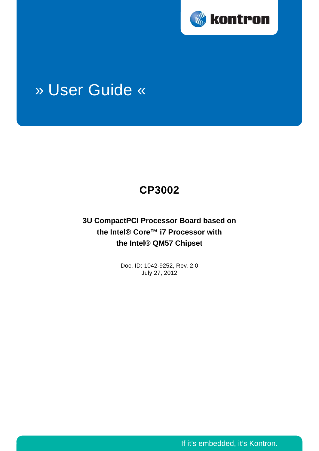

# » User Guide «

# **CP3002**

**3U CompactPCI Processor Board based on the Intel® Core™ i7 Processor with the Intel® QM57 Chipset**

> Doc. ID: 1042-9252, Rev. 2.0 July 27, 2012

> > If it's embedded, it's Kontron.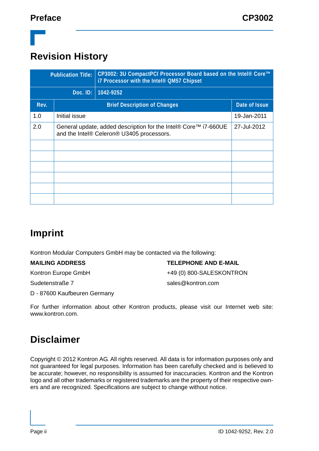# <span id="page-1-0"></span>**Revision History**

| <b>Publication Title:</b> |               | CP3002: 3U CompactPCI Processor Board based on the Intel® Core™<br>i7 Processor with the Intel® QM57 Chipset |               |  |
|---------------------------|---------------|--------------------------------------------------------------------------------------------------------------|---------------|--|
|                           | Doc. ID:      | 1042-9252                                                                                                    |               |  |
| Rev.                      |               | <b>Brief Description of Changes</b>                                                                          | Date of Issue |  |
| 1.0                       | Initial issue |                                                                                                              | 19-Jan-2011   |  |
| 2.0                       |               | General update, added description for the Intel® Core™ i7-660UE<br>and the Intel® Celeron® U3405 processors. | 27-Jul-2012   |  |
|                           |               |                                                                                                              |               |  |
|                           |               |                                                                                                              |               |  |
|                           |               |                                                                                                              |               |  |
|                           |               |                                                                                                              |               |  |
|                           |               |                                                                                                              |               |  |
|                           |               |                                                                                                              |               |  |

# <span id="page-1-1"></span>**Imprint**

Kontron Modular Computers GmbH may be contacted via the following:

#### **MAILING ADDRESS TELEPHONE AND E-MAIL**

Kontron Europe GmbH +49 (0) 800-SALESKONTRON

Sudetenstraße 7 sales@kontron.com

D - 87600 Kaufbeuren Germany

For further information about other Kontron products, please visit our Internet web site: www.kontron.com.

# <span id="page-1-2"></span>**Disclaimer**

Copyright © 2012 Kontron AG. All rights reserved. All data is for information purposes only and not guaranteed for legal purposes. Information has been carefully checked and is believed to be accurate; however, no responsibility is assumed for inaccuracies. Kontron and the Kontron logo and all other trademarks or registered trademarks are the property of their respective owners and are recognized. Specifications are subject to change without notice.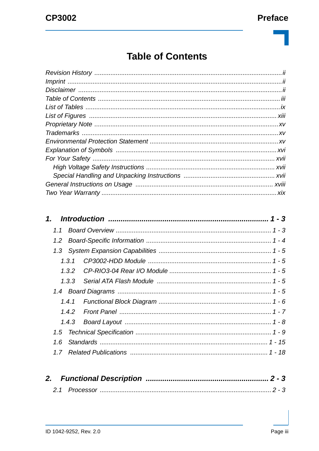# **Table of Contents**

<span id="page-2-0"></span>

| 1.1 |  |
|-----|--|
| 1.2 |  |
|     |  |
|     |  |
|     |  |
|     |  |
|     |  |
|     |  |
|     |  |
|     |  |
|     |  |
| 1.6 |  |
|     |  |
|     |  |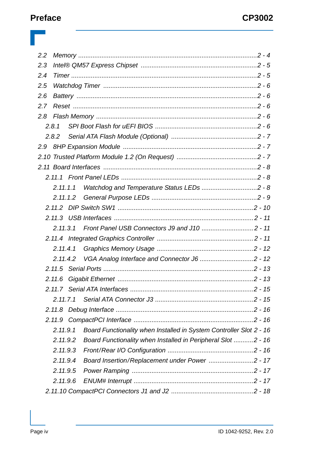# **Preface**

| 2.2 |          |                                                                     |
|-----|----------|---------------------------------------------------------------------|
| 2.3 |          |                                                                     |
| 2.4 |          |                                                                     |
| 2.5 |          |                                                                     |
| 2.6 |          |                                                                     |
| 2.7 |          |                                                                     |
| 2.8 |          |                                                                     |
|     | 2.8.1    |                                                                     |
|     |          |                                                                     |
|     |          |                                                                     |
|     |          |                                                                     |
|     |          |                                                                     |
|     |          |                                                                     |
|     |          | 2.11.1.1 Watchdog and Temperature Status LEDs 2 - 8                 |
|     |          |                                                                     |
|     |          |                                                                     |
|     |          |                                                                     |
|     | 2.11.3.1 |                                                                     |
|     |          |                                                                     |
|     |          |                                                                     |
|     |          | 2.11.4.2 VGA Analog Interface and Connector J6 2 - 12               |
|     |          |                                                                     |
|     | 2.11.6   |                                                                     |
|     |          | 2.11.7 Serial ATA Interfaces<br>.2 - 15                             |
|     | 2.11.7.1 |                                                                     |
|     |          |                                                                     |
|     |          |                                                                     |
|     | 2.11.9.1 | Board Functionality when Installed in System Controller Slot 2 - 16 |
|     | 2.11.9.2 | Board Functionality when Installed in Peripheral Slot 2 - 16        |
|     | 2.11.9.3 |                                                                     |
|     | 2.11.9.4 | Board Insertion/Replacement under Power 2 - 17                      |
|     | 2.11.9.5 |                                                                     |
|     | 2.11.96  |                                                                     |
|     |          |                                                                     |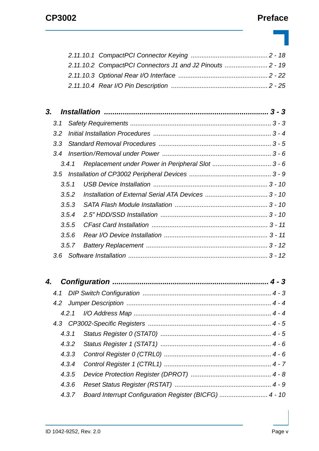|     |       | 2.11.10.2 CompactPCI Connectors J1 and J2 Pinouts  2 - 19 |  |
|-----|-------|-----------------------------------------------------------|--|
|     |       |                                                           |  |
|     |       |                                                           |  |
| 3.  |       |                                                           |  |
| 3.1 |       |                                                           |  |
| 3.2 |       |                                                           |  |
| 3.3 |       |                                                           |  |
| 3.4 |       |                                                           |  |
|     | 3.4.1 |                                                           |  |
|     |       |                                                           |  |
|     | 3.5.1 |                                                           |  |
|     | 3.5.2 |                                                           |  |
|     | 3.5.3 |                                                           |  |
|     | 3.5.4 |                                                           |  |
|     | 3.5.5 |                                                           |  |
|     | 3.5.6 |                                                           |  |
|     | 3.5.7 |                                                           |  |
|     |       |                                                           |  |
|     |       |                                                           |  |

|  | 4.3.7 Board Interrupt Configuration Register (BICFG)  4 - 10 |  |
|--|--------------------------------------------------------------|--|
|  |                                                              |  |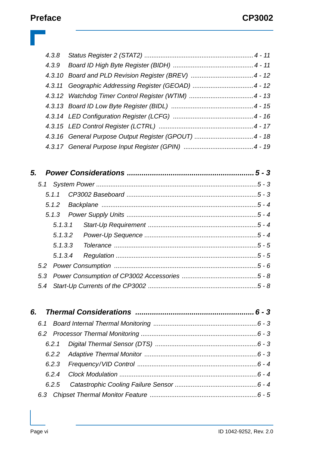# Preface **CP3002**

 $\overline{\phantom{a}}$ 

|  | 4.3.11 Geographic Addressing Register (GEOAD) 4 - 12  |  |
|--|-------------------------------------------------------|--|
|  |                                                       |  |
|  |                                                       |  |
|  |                                                       |  |
|  |                                                       |  |
|  | 4.3.16 General Purpose Output Register (GPOUT) 4 - 18 |  |
|  |                                                       |  |
|  |                                                       |  |

| 5. |  | $5 - 3$ |
|----|--|---------|
|    |  |         |
|    |  |         |
|    |  |         |
|    |  |         |
|    |  |         |
|    |  |         |
|    |  |         |
|    |  |         |
|    |  |         |
|    |  |         |
|    |  |         |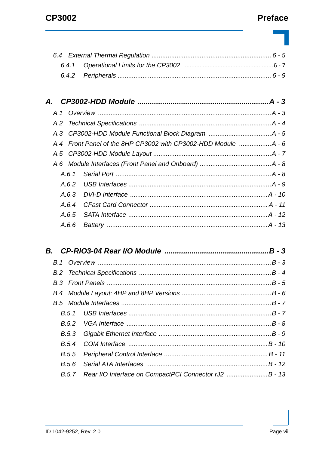|       | A.4 Front Panel of the 8HP CP3002 with CP3002-HDD Module A - 6 |  |
|-------|----------------------------------------------------------------|--|
|       |                                                                |  |
|       |                                                                |  |
|       |                                                                |  |
|       |                                                                |  |
|       |                                                                |  |
|       |                                                                |  |
|       |                                                                |  |
| A.6.6 |                                                                |  |

| B.5.5 |                                                             |  |
|-------|-------------------------------------------------------------|--|
| B.5.6 |                                                             |  |
|       | B.5.7 Rear I/O Interface on CompactPCI Connector rJ2 B - 13 |  |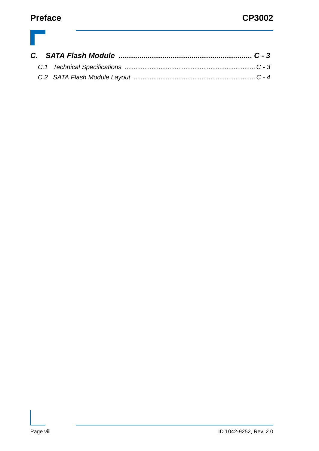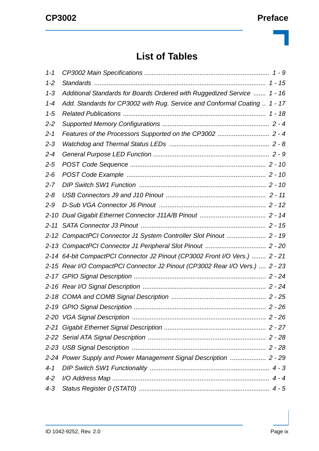# **List of Tables**

<span id="page-8-0"></span>

| $1 - 1$  |                                                                              |
|----------|------------------------------------------------------------------------------|
| $1 - 2$  |                                                                              |
| $1 - 3$  | Additional Standards for Boards Ordered with Ruggedized Service  1 - 16      |
| $1 - 4$  | Add. Standards for CP3002 with Rug. Service and Conformal Coating  1 - 17    |
| $1 - 5$  |                                                                              |
| $2 - 2$  |                                                                              |
| $2 - 1$  |                                                                              |
| $2 - 3$  |                                                                              |
| $2 - 4$  |                                                                              |
| $2 - 5$  |                                                                              |
| $2 - 6$  |                                                                              |
| $2 - 7$  |                                                                              |
| $2 - 8$  |                                                                              |
| $2 - 9$  |                                                                              |
| $2 - 10$ |                                                                              |
| 2-11     |                                                                              |
|          | 2-12 CompactPCI Connector J1 System Controller Slot Pinout  2 - 19           |
|          |                                                                              |
|          | 2-14 64-bit CompactPCI Connector J2 Pinout (CP3002 Front I/O Vers.)  2 - 21  |
|          | 2-15 Rear I/O CompactPCI Connector J2 Pinout (CP3002 Rear I/O Vers.)  2 - 23 |
|          |                                                                              |
|          |                                                                              |
|          |                                                                              |
|          |                                                                              |
|          |                                                                              |
|          |                                                                              |
|          |                                                                              |
|          |                                                                              |
|          | 2-24 Power Supply and Power Management Signal Description  2 - 29            |
| $4 - 1$  |                                                                              |
| $4 - 2$  |                                                                              |
| $4 - 3$  |                                                                              |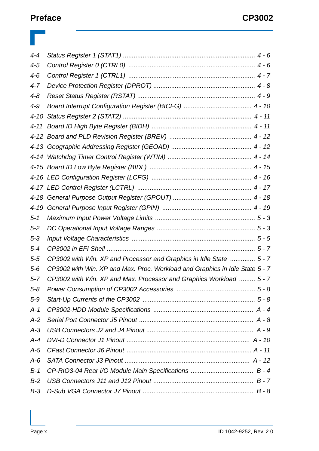# Preface **CP3002**

F

| $4 - 4$ |                                                                              |
|---------|------------------------------------------------------------------------------|
| $4 - 5$ |                                                                              |
| $4 - 6$ |                                                                              |
| $4 - 7$ |                                                                              |
| $4 - 8$ |                                                                              |
| $4 - 9$ |                                                                              |
| 4-10    |                                                                              |
| 4-11    |                                                                              |
|         |                                                                              |
|         |                                                                              |
|         |                                                                              |
|         |                                                                              |
|         |                                                                              |
|         |                                                                              |
|         |                                                                              |
| 4-19    |                                                                              |
| $5 - 1$ |                                                                              |
| $5 - 2$ |                                                                              |
| $5 - 3$ |                                                                              |
| 5-4     |                                                                              |
| $5 - 5$ | CP3002 with Win. XP and Processor and Graphics in Idle State  5 - 7          |
| 5-6     | CP3002 with Win. XP and Max. Proc. Workload and Graphics in Idle State 5 - 7 |
| $5 - 7$ | CP3002 with Win. XP and Max. Processor and Graphics Workload  5 - 7          |
| $5 - 8$ |                                                                              |
| $5-9$   |                                                                              |
| A-1     |                                                                              |
| A-2     |                                                                              |
| $A-3$   |                                                                              |
| A-4     |                                                                              |
| A-5     |                                                                              |
| A-6     |                                                                              |
| B-1     |                                                                              |
| B-2     |                                                                              |
| $B-3$   |                                                                              |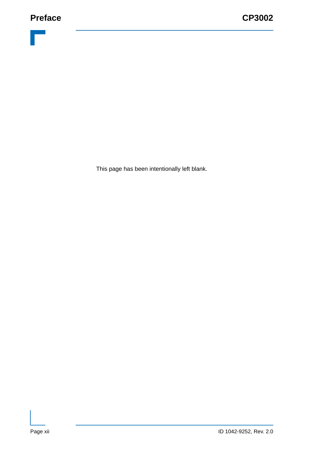# Preface **CP3002**



This page has been intentionally left blank.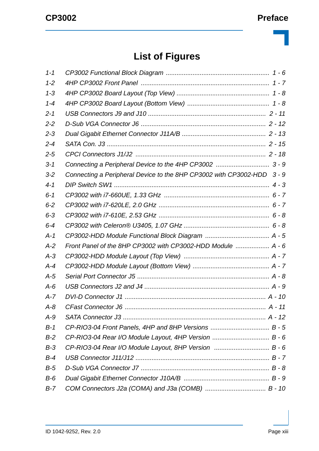# **List of Figures**

<span id="page-12-0"></span>

| $1 - 1$ |                                                                        |
|---------|------------------------------------------------------------------------|
| $1 - 2$ |                                                                        |
| $1 - 3$ |                                                                        |
| $1 - 4$ |                                                                        |
| $2 - 1$ |                                                                        |
| $2 - 2$ |                                                                        |
| $2 - 3$ |                                                                        |
| $2 - 4$ |                                                                        |
| $2 - 5$ |                                                                        |
| $3 - 1$ | Connecting a Peripheral Device to the 4HP CP3002  3 - 9                |
| $3-2$   | Connecting a Peripheral Device to the 8HP CP3002 with CP3002-HDD 3 - 9 |
| $4 - 1$ |                                                                        |
| $6 - 1$ |                                                                        |
| $6 - 2$ |                                                                        |
| $6 - 3$ |                                                                        |
| $6 - 4$ |                                                                        |
| $A-1$   |                                                                        |
| $A-2$   | Front Panel of the 8HP CP3002 with CP3002-HDD Module  A - 6            |
| A-3     |                                                                        |
| A-4     |                                                                        |
| A-5     |                                                                        |
| A-6     |                                                                        |
| A-7     |                                                                        |
| A-8     |                                                                        |
| A-9     |                                                                        |
| $B-1$   |                                                                        |
| $B-2$   |                                                                        |
| $B-3$   | CP-RIO3-04 Rear I/O Module Layout, 8HP Version  B - 6                  |
| B-4     |                                                                        |
| $B-5$   |                                                                        |
| B-6     |                                                                        |
| B-7     |                                                                        |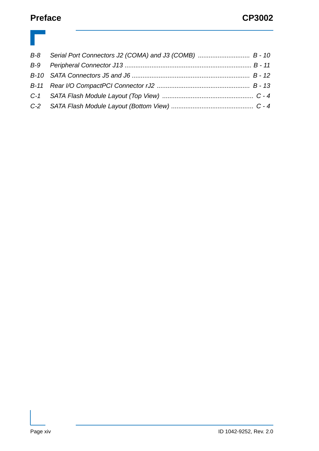# Preface **CP3002**

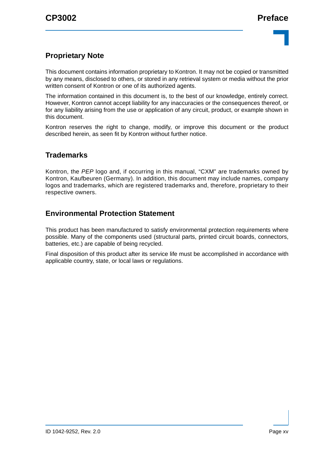

# <span id="page-14-0"></span>**Proprietary Note**

This document contains information proprietary to Kontron. It may not be copied or transmitted by any means, disclosed to others, or stored in any retrieval system or media without the prior written consent of Kontron or one of its authorized agents.

The information contained in this document is, to the best of our knowledge, entirely correct. However, Kontron cannot accept liability for any inaccuracies or the consequences thereof, or for any liability arising from the use or application of any circuit, product, or example shown in this document.

Kontron reserves the right to change, modify, or improve this document or the product described herein, as seen fit by Kontron without further notice.

# <span id="page-14-1"></span>**Trademarks**

Kontron, the *PEP* logo and, if occurring in this manual, "CXM" are trademarks owned by Kontron, Kaufbeuren (Germany). In addition, this document may include names, company logos and trademarks, which are registered trademarks and, therefore, proprietary to their respective owners.

# <span id="page-14-2"></span>**Environmental Protection Statement**

This product has been manufactured to satisfy environmental protection requirements where possible. Many of the components used (structural parts, printed circuit boards, connectors, batteries, etc.) are capable of being recycled.

Final disposition of this product after its service life must be accomplished in accordance with applicable country, state, or local laws or regulations.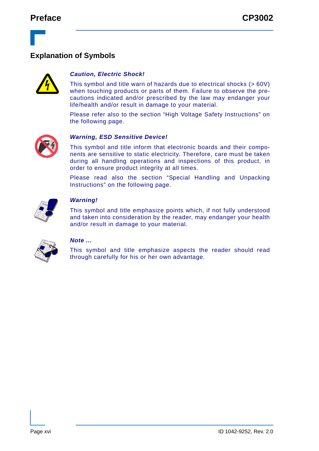# <span id="page-15-0"></span>**Explanation of Symbols**



### *Caution, Electric Shock!*

This symbol and title warn of hazards due to electrical shocks (> 60V) when touching products or parts of them. Failure to observe the precautions indicated and/or prescribed by the law may endanger your life/health and/or result in damage to your material.

Please refer also to the section "High Voltage Safety Instructions" on the following page.



#### *Warning, ESD Sensitive Device!*

This symbol and title inform that electronic boards and their components are sensitive to static electricity. Therefore, care must be taken during all handling operations and inspections of this product, in order to ensure product integrity at all times.

Please read also the section "Special Handling and Unpacking Instructions" on the following page.



#### *Warning!*

This symbol and title emphasize points which, if not fully understood and taken into consideration by the reader, may endanger your health and/or result in damage to your material.



#### *Note ...*

This symbol and title emphasize aspects the reader should read through carefully for his or her own advantage.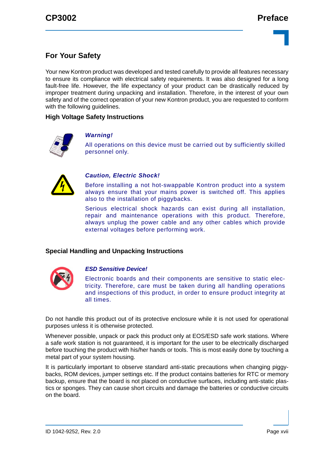# <span id="page-16-0"></span>**For Your Safety**

Your new Kontron product was developed and tested carefully to provide all features necessary to ensure its compliance with electrical safety requirements. It was also designed for a long fault-free life. However, the life expectancy of your product can be drastically reduced by improper treatment during unpacking and installation. Therefore, in the interest of your own safety and of the correct operation of your new Kontron product, you are requested to conform with the following guidelines.

#### <span id="page-16-1"></span>**High Voltage Safety Instructions**



#### *Warning!*

All operations on this device must be carried out by sufficiently skilled personnel only.



#### *Caution, Electric Shock!*

Before installing a not hot-swappable Kontron product into a system always ensure that your mains power is switched off. This applies also to the installation of piggybacks.

Serious electrical shock hazards can exist during all installation, repair and maintenance operations with this product. Therefore, always unplug the power cable and any other cables which provide external voltages before performing work.

#### <span id="page-16-2"></span>**Special Handling and Unpacking Instructions**



#### *ESD Sensitive Device!*

Electronic boards and their components are sensitive to static electricity. Therefore, care must be taken during all handling operations and inspections of this product, in order to ensure product integrity at all times.

Do not handle this product out of its protective enclosure while it is not used for operational purposes unless it is otherwise protected.

Whenever possible, unpack or pack this product only at EOS/ESD safe work stations. Where a safe work station is not guaranteed, it is important for the user to be electrically discharged before touching the product with his/her hands or tools. This is most easily done by touching a metal part of your system housing.

It is particularly important to observe standard anti-static precautions when changing piggybacks, ROM devices, jumper settings etc. If the product contains batteries for RTC or memory backup, ensure that the board is not placed on conductive surfaces, including anti-static plastics or sponges. They can cause short circuits and damage the batteries or conductive circuits on the board.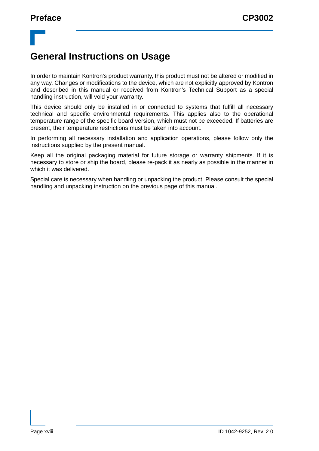# <span id="page-17-0"></span>**General Instructions on Usage**

In order to maintain Kontron's product warranty, this product must not be altered or modified in any way. Changes or modifications to the device, which are not explicitly approved by Kontron and described in this manual or received from Kontron's Technical Support as a special handling instruction, will void your warranty.

This device should only be installed in or connected to systems that fulfill all necessary technical and specific environmental requirements. This applies also to the operational temperature range of the specific board version, which must not be exceeded. If batteries are present, their temperature restrictions must be taken into account.

In performing all necessary installation and application operations, please follow only the instructions supplied by the present manual.

Keep all the original packaging material for future storage or warranty shipments. If it is necessary to store or ship the board, please re-pack it as nearly as possible in the manner in which it was delivered.

Special care is necessary when handling or unpacking the product. Please consult the special handling and unpacking instruction on the previous page of this manual.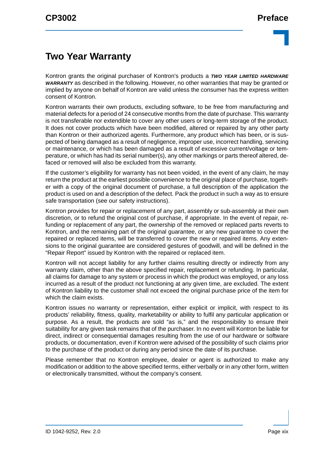

# <span id="page-18-0"></span>**Two Year Warranty**

Kontron grants the original purchaser of Kontron's products a *TWO YEAR LIMITED HARDWARE WARRANTY* as described in the following. However, no other warranties that may be granted or implied by anyone on behalf of Kontron are valid unless the consumer has the express written consent of Kontron.

Kontron warrants their own products, excluding software, to be free from manufacturing and material defects for a period of 24 consecutive months from the date of purchase. This warranty is not transferable nor extendible to cover any other users or long-term storage of the product. It does not cover products which have been modified, altered or repaired by any other party than Kontron or their authorized agents. Furthermore, any product which has been, or is suspected of being damaged as a result of negligence, improper use, incorrect handling, servicing or maintenance, or which has been damaged as a result of excessive current/voltage or temperature, or which has had its serial number(s), any other markings or parts thereof altered, defaced or removed will also be excluded from this warranty.

If the customer's eligibility for warranty has not been voided, in the event of any claim, he may return the product at the earliest possible convenience to the original place of purchase, together with a copy of the original document of purchase, a full description of the application the product is used on and a description of the defect. Pack the product in such a way as to ensure safe transportation (see our safety instructions).

Kontron provides for repair or replacement of any part, assembly or sub-assembly at their own discretion, or to refund the original cost of purchase, if appropriate. In the event of repair, refunding or replacement of any part, the ownership of the removed or replaced parts reverts to Kontron, and the remaining part of the original guarantee, or any new guarantee to cover the repaired or replaced items, will be transferred to cover the new or repaired items. Any extensions to the original guarantee are considered gestures of goodwill, and will be defined in the "Repair Report" issued by Kontron with the repaired or replaced item.

Kontron will not accept liability for any further claims resulting directly or indirectly from any warranty claim, other than the above specified repair, replacement or refunding. In particular, all claims for damage to any system or process in which the product was employed, or any loss incurred as a result of the product not functioning at any given time, are excluded. The extent of Kontron liability to the customer shall not exceed the original purchase price of the item for which the claim exists.

Kontron issues no warranty or representation, either explicit or implicit, with respect to its products' reliability, fitness, quality, marketability or ability to fulfil any particular application or purpose. As a result, the products are sold "as is," and the responsibility to ensure their suitability for any given task remains that of the purchaser. In no event will Kontron be liable for direct, indirect or consequential damages resulting from the use of our hardware or software products, or documentation, even if Kontron were advised of the possibility of such claims prior to the purchase of the product or during any period since the date of its purchase.

Please remember that no Kontron employee, dealer or agent is authorized to make any modification or addition to the above specified terms, either verbally or in any other form, written or electronically transmitted, without the company's consent.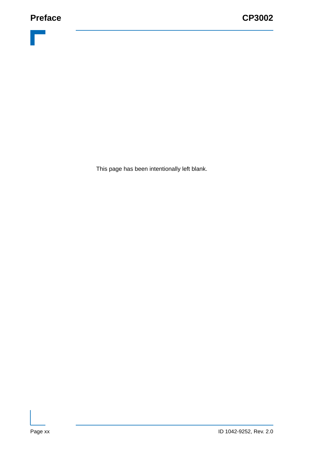# Preface **CP3002**



This page has been intentionally left blank.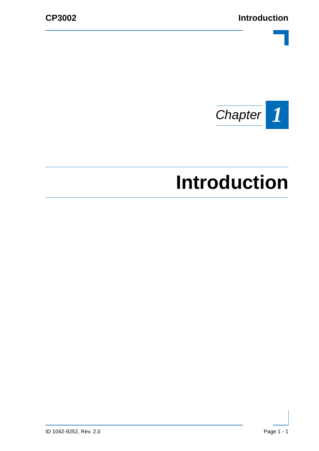

# **Introduction**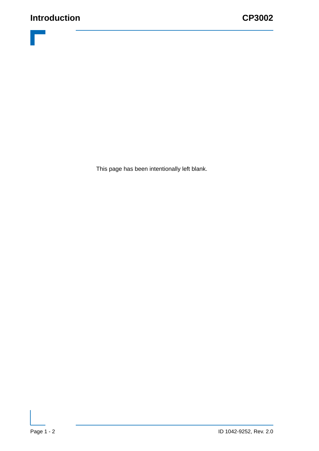

This page has been intentionally left blank.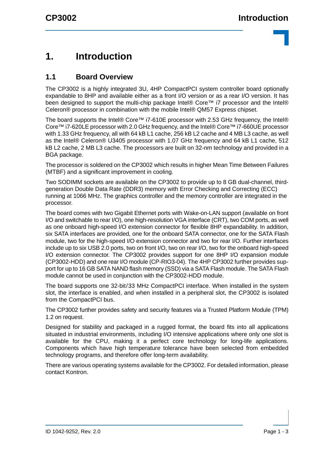# <span id="page-22-0"></span>**1. Introduction**

# <span id="page-22-1"></span>**1.1 Board Overview**

The CP3002 is a highly integrated 3U, 4HP CompactPCI system controller board optionally expandable to 8HP and available either as a front I/O version or as a rear I/O version. It has been designed to support the multi-chip package Intel® Core™ i7 processor and the Intel® Celeron® processor in combination with the mobile Intel® QM57 Express chipset.

The board supports the Intel® Core™ i7-610E processor with 2.53 GHz frequency, the Intel® Core™ i7-620LE processor with 2.0 GHz frequency, and the Intel® Core™ i7-660UE processor with 1.33 GHz frequency, all with 64 kB L1 cache, 256 kB L2 cache and 4 MB L3 cache, as well as the Intel® Celeron® U3405 processor with 1.07 GHz frequency and 64 kB L1 cache, 512 kB L2 cache, 2 MB L3 cache. The processors are built on 32-nm technology and provided in a BGA package.

The processor is soldered on the CP3002 which results in higher Mean Time Between Failures (MTBF) and a significant improvement in cooling.

Two SODIMM sockets are available on the CP3002 to provide up to 8 GB dual-channel, thirdgeneration Double Data Rate (DDR3) memory with Error Checking and Correcting (ECC) running at 1066 MHz. The graphics controller and the memory controller are integrated in the processor.

The board comes with two Gigabit Ethernet ports with Wake-on-LAN support (available on front I/O and switchable to rear I/O), one high-resolution VGA interface (CRT), two COM ports, as well as one onboard high-speed I/O extension connector for flexible 8HP expandability. In addition, six SATA interfaces are provided, one for the onboard SATA connector, one for the SATA Flash module, two for the high-speed I/O extension connector and two for rear I/O. Further interfaces include up to six USB 2.0 ports, two on front I/O, two on rear I/O, two for the onboard high-speed I/O extension connector. The CP3002 provides support for one 8HP I/O expansion module (CP3002-HDD) and one rear I/O module (CP-RIO3-04). The 4HP CP3002 further provides support for up to 16 GB SATA NAND flash memory (SSD) via a SATA Flash module. The SATA Flash module cannot be used in conjunction with the CP3002-HDD module.

The board supports one 32-bit/33 MHz CompactPCI interface. When installed in the system slot, the interface is enabled, and when installed in a peripheral slot, the CP3002 is isolated from the CompactPCI bus.

The CP3002 further provides safety and security features via a Trusted Platform Module (TPM) 1.2 on request.

Designed for stability and packaged in a rugged format, the board fits into all applications situated in industrial environments, including I/O intensive applications where only one slot is available for the CPU, making it a perfect core technology for long-life applications. Components which have high temperature tolerance have been selected from embedded technology programs, and therefore offer long-term availability.

There are various operating systems available for the CP3002. For detailed information, please contact Kontron.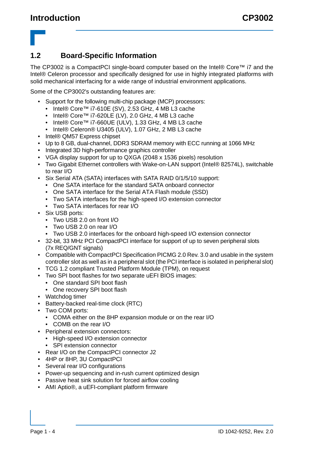

# <span id="page-23-0"></span>**1.2 Board-Specific Information**

The CP3002 is a CompactPCI single-board computer based on the Intel® Core™ i7 and the Intel® Celeron processor and specifically designed for use in highly integrated platforms with solid mechanical interfacing for a wide range of industrial environment applications.

Some of the CP3002's outstanding features are:

- Support for the following multi-chip package (MCP) processors:
	- Intel® Core™ i7-610E (SV), 2.53 GHz, 4 MB L3 cache
	- Intel® Core™ i7-620LE (LV), 2.0 GHz, 4 MB L3 cache
	- Intel® Core™ i7-660UE (ULV), 1.33 GHz, 4 MB L3 cache
	- Intel® Celeron® U3405 (ULV), 1.07 GHz, 2 MB L3 cache
- Intel® QM57 Express chipset
- Up to 8 GB, dual-channel, DDR3 SDRAM memory with ECC running at 1066 MHz
- Integrated 3D high-performance graphics controller
- VGA display support for up to QXGA (2048 x 1536 pixels) resolution
- Two Gigabit Ethernet controllers with Wake-on-LAN support (Intel® 82574L), switchable to rear I/O
- Six Serial ATA (SATA) interfaces with SATA RAID 0/1/5/10 support:
	- One SATA interface for the standard SATA onboard connector
	- One SATA interface for the Serial ATA Flash module (SSD)
	- Two SATA interfaces for the high-speed I/O extension connector
	- Two SATA interfaces for rear I/O
- Six USB ports:
	- Two USB 2.0 on front I/O
	- Two USB 2.0 on rear I/O
	- Two USB 2.0 interfaces for the onboard high-speed I/O extension connector
- 32-bit, 33 MHz PCI CompactPCI interface for support of up to seven peripheral slots (7x REQ/GNT signals)
- Compatible with CompactPCI Specification PICMG 2.0 Rev. 3.0 and usable in the system controller slot as well as in a peripheral slot (the PCI interface is isolated in peripheral slot)
- TCG 1.2 compliant Trusted Platform Module (TPM), on request
- Two SPI boot flashes for two separate uEFI BIOS images:
	- One standard SPI boot flash
	- One recovery SPI boot flash
- Watchdog timer
- Battery-backed real-time clock (RTC)
- Two COM ports:
	- COMA either on the 8HP expansion module or on the rear I/O
	- COMB on the rear I/O
- Peripheral extension connectors:
	- High-speed I/O extension connector
	- SPI extension connector
- Rear I/O on the CompactPCI connector J2
- 4HP or 8HP, 3U CompactPCI
- Several rear I/O configurations
- Power-up sequencing and in-rush current optimized design
- Passive heat sink solution for forced airflow cooling
- AMI Aptio®, a uEFI-compliant platform firmware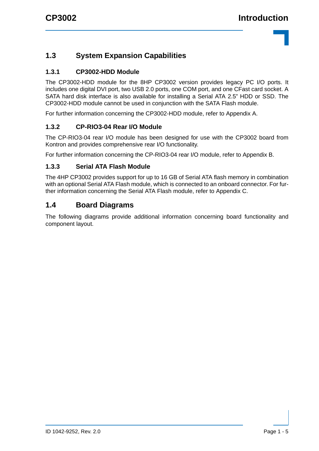

# <span id="page-24-0"></span>**1.3 System Expansion Capabilities**

#### <span id="page-24-1"></span>**1.3.1 CP3002-HDD Module**

The CP3002-HDD module for the 8HP CP3002 version provides legacy PC I/O ports. It includes one digital DVI port, two USB 2.0 ports, one COM port, and one CFast card socket. A SATA hard disk interface is also available for installing a Serial ATA 2.5" HDD or SSD. The CP3002-HDD module cannot be used in conjunction with the SATA Flash module.

For further information concerning the CP3002-HDD module, refer to Appendix A.

#### <span id="page-24-2"></span>**1.3.2 CP-RIO3-04 Rear I/O Module**

The CP-RIO3-04 rear I/O module has been designed for use with the CP3002 board from Kontron and provides comprehensive rear I/O functionality.

For further information concerning the CP-RIO3-04 rear I/O module, refer to Appendix B.

#### <span id="page-24-3"></span>**1.3.3 Serial ATA Flash Module**

The 4HP CP3002 provides support for up to 16 GB of Serial ATA flash memory in combination with an optional Serial ATA Flash module, which is connected to an onboard connector. For further information concerning the Serial ATA Flash module, refer to Appendix C.

### <span id="page-24-4"></span>**1.4 Board Diagrams**

The following diagrams provide additional information concerning board functionality and component layout.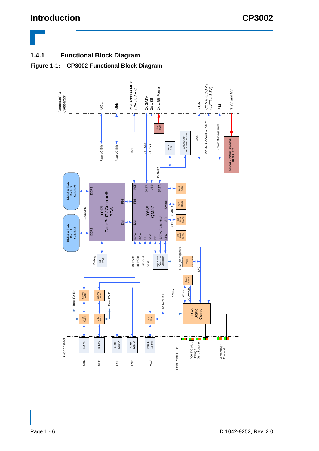

# <span id="page-25-0"></span>**1.4.1 Functional Block Diagram**

<span id="page-25-1"></span>

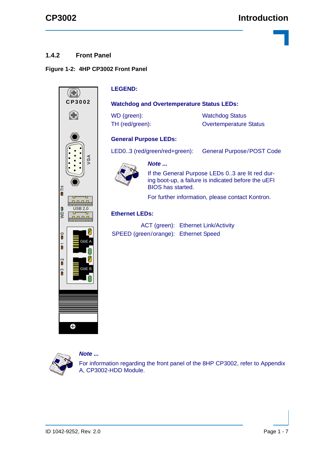

### <span id="page-26-0"></span>**1.4.2 Front Panel**

#### <span id="page-26-1"></span>**Figure 1-2: 4HP CP3002 Front Panel**

|                                                                                                           | <b>LEGEND:</b>                                                                                                                     |  |  |
|-----------------------------------------------------------------------------------------------------------|------------------------------------------------------------------------------------------------------------------------------------|--|--|
| CP3002                                                                                                    | <b>Watchdog and Overtemperature Status LEDs:</b>                                                                                   |  |  |
|                                                                                                           | WD (green):<br><b>Watchdog Status</b><br>TH (red/green):<br><b>Overtemperature Status</b>                                          |  |  |
| VGA                                                                                                       | <b>General Purpose LEDs:</b><br>LED03 (red/green/red+green):<br><b>General Purpose/POST Code</b><br>Note                           |  |  |
| 三八                                                                                                        | If the General Purpose LEDs 03 are lit red dur-<br>ing boot-up, a failure is indicated before the uEFI<br><b>BIOS</b> has started. |  |  |
|                                                                                                           | For further information, please contact Kontron.                                                                                   |  |  |
| O<br><b>USB 2.0</b><br><b>Q</b>                                                                           | <b>Ethernet LEDs:</b>                                                                                                              |  |  |
| $\overline{\mathbf{C}}$<br>GbE A<br>$\overline{\phantom{0}}$<br>Ø<br>2<br>Z<br>GbE <sub>B</sub><br>S<br>Ø | ACT (green): Ethernet Link/Activity<br>SPEED (green/orange): Ethernet Speed                                                        |  |  |
| 0                                                                                                         |                                                                                                                                    |  |  |



*Note ...*

For information regarding the front panel of the 8HP CP3002, refer to Appendix A, CP3002-HDD Module.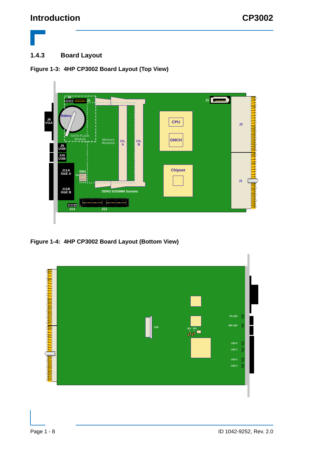# **Introduction CP3002**



# <span id="page-27-0"></span>**1.4.3 Board Layout**

## <span id="page-27-1"></span>**Figure 1-3: 4HP CP3002 Board Layout (Top View)**



<span id="page-27-2"></span>**Figure 1-4: 4HP CP3002 Board Layout (Bottom View)**

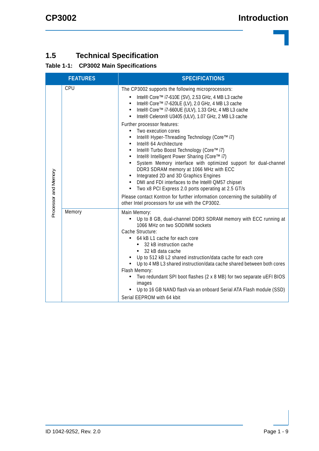# <span id="page-28-0"></span>**1.5 Technical Specification**

# <span id="page-28-1"></span>**Table 1-1: CP3002 Main Specifications**

| <b>FEATURES</b>      |        | <b>SPECIFICATIONS</b>                                                                                                                                                                                                                                                                                                                                                                                                                                                                                                                                                                                                                                                                                                                                                                                                                                                                                                                                                                  |
|----------------------|--------|----------------------------------------------------------------------------------------------------------------------------------------------------------------------------------------------------------------------------------------------------------------------------------------------------------------------------------------------------------------------------------------------------------------------------------------------------------------------------------------------------------------------------------------------------------------------------------------------------------------------------------------------------------------------------------------------------------------------------------------------------------------------------------------------------------------------------------------------------------------------------------------------------------------------------------------------------------------------------------------|
| Processor and Memory | CPU    | The CP3002 supports the following microprocessors:<br>Intel <sup>®</sup> Core™ i7-610E (SV), 2.53 GHz, 4 MB L3 cache<br>Intel <sup>®</sup> Core™ i7-620LE (LV), 2.0 GHz, 4 MB L3 cache<br>Intel <sup>®</sup> Core™ i7-660UE (ULV), 1.33 GHz, 4 MB L3 cache<br>$\bullet$<br>Intel <sup>®</sup> Celeron <sup>®</sup> U3405 (ULV), 1.07 GHz, 2 MB L3 cache<br>Further processor features:<br>• Two execution cores<br>Intel® Hyper-Threading Technology (Core™ i7)<br>Intel <sup>®</sup> 64 Architecture<br>Intel <sup>®</sup> Turbo Boost Technology (Core™ i7)<br>Intel <sup>®</sup> Intelligent Power Sharing (Core™ i7)<br>System Memory interface with optimized support for dual-channel<br>DDR3 SDRAM memory at 1066 MHz with ECC<br>Integrated 2D and 3D Graphics Engines<br>DMI and FDI interfaces to the Intel® QM57 chipset<br>Two x8 PCI Express 2.0 ports operating at 2.5 GT/s<br>$\bullet$<br>Please contact Kontron for further information concerning the suitability of |
|                      | Memory | other Intel processors for use with the CP3002.<br>Main Memory:<br>Up to 8 GB, dual-channel DDR3 SDRAM memory with ECC running at<br>1066 MHz on two SODIMM sockets<br>Cache Structure:<br>• 64 kB L1 cache for each core<br>• 32 kB instruction cache<br>• 32 kB data cache<br>Up to 512 kB L2 shared instruction/data cache for each core<br>Up to 4 MB L3 shared instruction/data cache shared between both cores<br>Flash Memory:<br>Two redundant SPI boot flashes (2 x 8 MB) for two separate uEFI BIOS<br>images<br>Up to 16 GB NAND flash via an onboard Serial ATA Flash module (SSD)<br>Serial EEPROM with 64 kbit                                                                                                                                                                                                                                                                                                                                                           |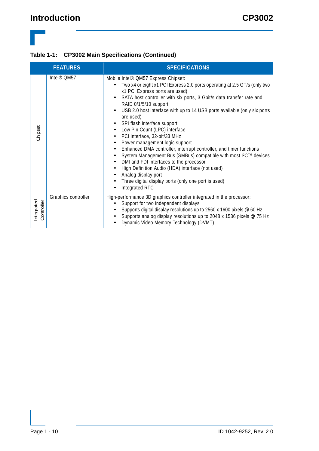| Table 1-1: CP3002 Main Specifications (Continued) |  |  |
|---------------------------------------------------|--|--|
|---------------------------------------------------|--|--|

|                          | <b>FEATURES</b>         | <b>SPECIFICATIONS</b>                                                                                                                                                                                                                                                                                                                                                                                                                                                                                                                                                                                                                                                                                                                                                                                                              |
|--------------------------|-------------------------|------------------------------------------------------------------------------------------------------------------------------------------------------------------------------------------------------------------------------------------------------------------------------------------------------------------------------------------------------------------------------------------------------------------------------------------------------------------------------------------------------------------------------------------------------------------------------------------------------------------------------------------------------------------------------------------------------------------------------------------------------------------------------------------------------------------------------------|
| Chipset                  | Intel <sup>®</sup> QM57 | Mobile Intel® QM57 Express Chipset:<br>Two x4 or eight x1 PCI Express 2.0 ports operating at 2.5 GT/s (only two<br>x1 PCI Express ports are used)<br>SATA host controller with six ports, 3 Gbit/s data transfer rate and<br>RAID 0/1/5/10 support<br>USB 2.0 host interface with up to 14 USB ports available (only six ports<br>are used)<br>SPI flash interface support<br>Low Pin Count (LPC) interface<br>PCI interface, 32-bit/33 MHz<br>Power management logic support<br>Enhanced DMA controller, interrupt controller, and timer functions<br>System Management Bus (SMBus) compatible with most I <sup>2</sup> C™ devices<br>DMI and FDI interfaces to the processor<br>High Definition Audio (HDA) interface (not used)<br>Analog display port<br>Three digital display ports (only one port is used)<br>Integrated RTC |
| Integrated<br>Controller | Graphics controller     | High-performance 3D graphics controller integrated in the processor:<br>Support for two independent displays<br>٠<br>Supports digital display resolutions up to 2560 x 1600 pixels @ 60 Hz<br>Supports analog display resolutions up to 2048 x 1536 pixels @ 75 Hz<br>Dynamic Video Memory Technology (DVMT)                                                                                                                                                                                                                                                                                                                                                                                                                                                                                                                       |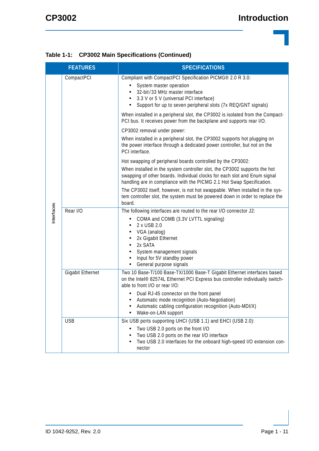

| <b>FEATURES</b> |                  | <b>SPECIFICATIONS</b>                                                                                                                                                                                                           |
|-----------------|------------------|---------------------------------------------------------------------------------------------------------------------------------------------------------------------------------------------------------------------------------|
|                 | CompactPCI       | Compliant with CompactPCI Specification PICMG® 2.0 R 3.0:                                                                                                                                                                       |
|                 |                  | System master operation<br>32-bit/33 MHz master interface<br>3.3 V or 5 V (universal PCI interface)<br>Support for up to seven peripheral slots (7x REQ/GNT signals)                                                            |
|                 |                  | When installed in a peripheral slot, the CP3002 is isolated from the Compact-<br>PCI bus. It receives power from the backplane and supports rear I/O.                                                                           |
|                 |                  | CP3002 removal under power:                                                                                                                                                                                                     |
|                 |                  | When installed in a peripheral slot, the CP3002 supports hot plugging on<br>the power interface through a dedicated power controller, but not on the<br>PCI interface.                                                          |
|                 |                  | Hot swapping of peripheral boards controlled by the CP3002:                                                                                                                                                                     |
|                 |                  | When installed in the system controller slot, the CP3002 supports the hot<br>swapping of other boards. Individual clocks for each slot and Enum signal<br>handling are in compliance with the PICMG 2.1 Hot Swap Specification. |
|                 |                  | The CP3002 itself, however, is not hot swappable. When installed in the sys-<br>tem controller slot, the system must be powered down in order to replace the<br>board.                                                          |
| Interfaces      | Rear I/O         | The following interfaces are routed to the rear I/O connector J2:                                                                                                                                                               |
|                 |                  | COMA and COMB (3.3V LVTTL signaling)<br>2 x USB 2.0                                                                                                                                                                             |
|                 |                  | VGA (analog)                                                                                                                                                                                                                    |
|                 |                  | 2x Gigabit Ethernet                                                                                                                                                                                                             |
|                 |                  | 2x SATA                                                                                                                                                                                                                         |
|                 |                  | System management signals<br>Input for 5V standby power                                                                                                                                                                         |
|                 |                  | General purpose signals<br>٠                                                                                                                                                                                                    |
|                 | Gigabit Ethernet | Two 10 Base-T/100 Base-TX/1000 Base-T Gigabit Ethernet interfaces based<br>on the Intel® 82574L Ethernet PCI Express bus controller individually switch-<br>able to front I/O or rear I/O:                                      |
|                 |                  | Dual RJ-45 connector on the front panel<br>Automatic mode recognition (Auto-Negotiation)<br>Automatic cabling configuration recognition (Auto-MDI/X)<br>Wake-on-LAN support                                                     |
|                 | <b>USB</b>       | Six USB ports supporting UHCI (USB 1.1) and EHCI (USB 2.0):                                                                                                                                                                     |
|                 |                  | Two USB 2.0 ports on the front I/O<br>Two USB 2.0 ports on the rear I/O interface<br>Two USB 2.0 interfaces for the onboard high-speed I/O extension con-                                                                       |
|                 |                  | nector                                                                                                                                                                                                                          |

# **Table 1-1: CP3002 Main Specifications (Continued)**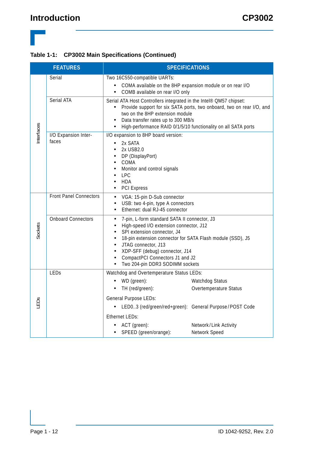## **Table 1-1: CP3002 Main Specifications (Continued)**

| <b>FEATURES</b> |                               | <b>SPECIFICATIONS</b>                                                                                                                                                                                                                                                                                                                                                   |                                           |  |
|-----------------|-------------------------------|-------------------------------------------------------------------------------------------------------------------------------------------------------------------------------------------------------------------------------------------------------------------------------------------------------------------------------------------------------------------------|-------------------------------------------|--|
| Serial          |                               | Two 16C550-compatible UARTs:                                                                                                                                                                                                                                                                                                                                            |                                           |  |
| Interfaces      |                               | COMA available on the 8HP expansion module or on rear I/O<br>COMB available on rear I/O only                                                                                                                                                                                                                                                                            |                                           |  |
|                 | <b>Serial ATA</b>             | Serial ATA Host Controllers integrated in the Intel® QM57 chipset:<br>Provide support for six SATA ports, two onboard, two on rear I/O, and<br>two on the 8HP extension module<br>Data transfer rates up to 300 MB/s<br>High-performance RAID 0/1/5/10 functionality on all SATA ports<br>$\bullet$                                                                     |                                           |  |
|                 | I/O Expansion Inter-          | I/O expansion to 8HP board version:                                                                                                                                                                                                                                                                                                                                     |                                           |  |
|                 | faces                         | 2x SATA<br>$\bullet$<br>2x USB2.0<br>$\bullet$<br>DP (DisplayPort)<br>COMA<br>Monitor and control signals<br><b>LPC</b><br>$\bullet$<br><b>HDA</b><br>$\bullet$<br><b>PCI Express</b>                                                                                                                                                                                   |                                           |  |
| Sockets         | <b>Front Panel Connectors</b> | VGA: 15-pin D-Sub connector<br>$\bullet$<br>USB: two 4-pin, type A connectors<br>Ethernet: dual RJ-45 connector<br>٠                                                                                                                                                                                                                                                    |                                           |  |
|                 | <b>Onboard Connectors</b>     | 7-pin, L-form standard SATA II connector, J3<br>$\bullet$<br>High-speed I/O extension connector, J12<br>$\bullet$<br>SPI extension connector, J4<br>18-pin extension connector for SATA Flash module (SSD), J5<br>JTAG connector, J13<br>$\bullet$<br>XDP-SFF (debug) connector, J14<br>$\bullet$<br>CompactPCI Connectors J1 and J2<br>Two 204-pin DDR3 SODIMM sockets |                                           |  |
|                 | LEDs                          | Watchdog and Overtemperature Status LEDs:                                                                                                                                                                                                                                                                                                                               |                                           |  |
| LEDS            |                               | • WD (green):<br>TH (red/green):                                                                                                                                                                                                                                                                                                                                        | Watchdog Status<br>Overtemperature Status |  |
|                 |                               | <b>General Purpose LEDs:</b>                                                                                                                                                                                                                                                                                                                                            |                                           |  |
|                 |                               | LED03 (red/green/red+green): General Purpose/POST Code                                                                                                                                                                                                                                                                                                                  |                                           |  |
|                 |                               | <b>Ethernet LEDs:</b>                                                                                                                                                                                                                                                                                                                                                   |                                           |  |
|                 |                               | ACT (green):<br>SPEED (green/orange):                                                                                                                                                                                                                                                                                                                                   | Network/Link Activity<br>Network Speed    |  |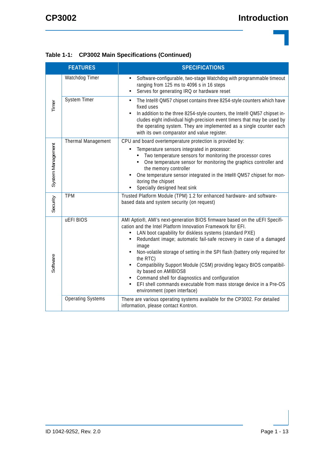

| Table 1-1: CP3002 Main Specifications (Continued) |  |
|---------------------------------------------------|--|
|                                                   |  |

| <b>FEATURES</b>   |                           | <b>SPECIFICATIONS</b>                                                                                                                                                                                                                                                                                                                                                                                                                                                                                                                                                                                                                                      |  |
|-------------------|---------------------------|------------------------------------------------------------------------------------------------------------------------------------------------------------------------------------------------------------------------------------------------------------------------------------------------------------------------------------------------------------------------------------------------------------------------------------------------------------------------------------------------------------------------------------------------------------------------------------------------------------------------------------------------------------|--|
|                   | Watchdog Timer            | Software-configurable, two-stage Watchdog with programmable timeout<br>ranging from 125 ms to 4096 s in 16 steps<br>Serves for generating IRQ or hardware reset                                                                                                                                                                                                                                                                                                                                                                                                                                                                                            |  |
| Timer             | <b>System Timer</b>       | The Intel® QM57 chipset contains three 8254-style counters which have<br>$\bullet$<br>fixed uses<br>In addition to the three 8254-style counters, the Intel® QM57 chipset in-<br>cludes eight individual high-precision event timers that may be used by<br>the operating system. They are implemented as a single counter each<br>with its own comparator and value register.                                                                                                                                                                                                                                                                             |  |
| System Management | <b>Thermal Management</b> | CPU and board overtemperature protection is provided by:<br>Temperature sensors integrated in processor:<br>Two temperature sensors for monitoring the processor cores<br>One temperature sensor for monitoring the graphics controller and<br>the memory controller<br>One temperature sensor integrated in the Intel® QM57 chipset for mon-<br>itoring the chipset<br>Specially designed heat sink                                                                                                                                                                                                                                                       |  |
| Security          | <b>TPM</b>                | Trusted Platform Module (TPM) 1.2 for enhanced hardware- and software-<br>based data and system security (on request)                                                                                                                                                                                                                                                                                                                                                                                                                                                                                                                                      |  |
| Software          | <b>uEFI BIOS</b>          | AMI Aptio®, AMI's next-generation BIOS firmware based on the uEFI Specifi-<br>cation and the Intel Platform Innovation Framework for EFI.<br>LAN boot capability for diskless systems (standard PXE)<br>$\bullet$<br>Redundant image; automatic fail-safe recovery in case of a damaged<br>٠<br>image<br>Non-volatile storage of setting in the SPI flash (battery only required for<br>the RTC)<br>Compatibility Support Module (CSM) providing legacy BIOS compatibil-<br>ity based on AMIBIOS8<br>Command shell for diagnostics and configuration<br>EFI shell commands executable from mass storage device in a Pre-OS<br>environment (open interface) |  |
|                   | <b>Operating Systems</b>  | There are various operating systems available for the CP3002. For detailed<br>information, please contact Kontron.                                                                                                                                                                                                                                                                                                                                                                                                                                                                                                                                         |  |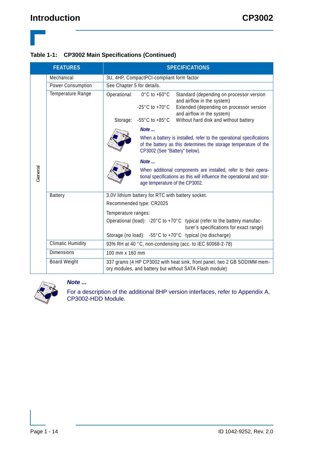## **Table 1-1: CP3002 Main Specifications (Continued)**

| <b>FEATURES</b> |                          | <b>SPECIFICATIONS</b>                                                                                                                                                       |  |  |
|-----------------|--------------------------|-----------------------------------------------------------------------------------------------------------------------------------------------------------------------------|--|--|
|                 | Mechanical               | 3U, 4HP, CompactPCI-compliant form factor                                                                                                                                   |  |  |
| General         | Power Consumption        | See Chapter 5 for details.                                                                                                                                                  |  |  |
|                 | Temperature Range        | $0^{\circ}$ C to +60 $^{\circ}$ C<br>Operational:<br>Standard (depending on processor version<br>and airflow in the system)                                                 |  |  |
|                 |                          | -25 $\degree$ C to +70 $\degree$ C<br>Extended (depending on processor version<br>and airflow in the system)                                                                |  |  |
|                 |                          | Without hard disk and without battery<br>$-55^{\circ}$ C to $+85^{\circ}$ C<br>Storage:                                                                                     |  |  |
|                 |                          | Note                                                                                                                                                                        |  |  |
|                 |                          | When a battery is installed, refer to the operational specifications<br>of the battery as this determines the storage temperature of the<br>CP3002 (See "Battery" below).   |  |  |
|                 |                          | Note                                                                                                                                                                        |  |  |
|                 |                          | When additional components are installed, refer to their opera-<br>tional specifications as this will influence the operational and stor-<br>age temperature of the CP3002. |  |  |
|                 | <b>Battery</b>           | 3.0V lithium battery for RTC with battery socket.<br>Recommended type: CR2025                                                                                               |  |  |
|                 |                          |                                                                                                                                                                             |  |  |
|                 |                          | Temperature ranges:                                                                                                                                                         |  |  |
|                 |                          | Operational (load): -20 $^{\circ}$ C to +70 $^{\circ}$ C typical (refer to the battery manufac-<br>turer's specifications for exact range)                                  |  |  |
|                 |                          | Storage (no load): -55°C to +70°C typical (no discharge)                                                                                                                    |  |  |
|                 | <b>Climatic Humidity</b> | 93% RH at 40 °C, non-condensing (acc. to IEC 60068-2-78)                                                                                                                    |  |  |
|                 | <b>Dimensions</b>        | 100 mm x 160 mm                                                                                                                                                             |  |  |
|                 | <b>Board Weight</b>      | 337 grams (4 HP CP3002 with heat sink, front panel, two 2 GB SODIMM mem-<br>ory modules, and battery but without SATA Flash module)                                         |  |  |



### *Note ...*

For a description of the additional 8HP version interfaces, refer to Appendix A, CP3002-HDD Module.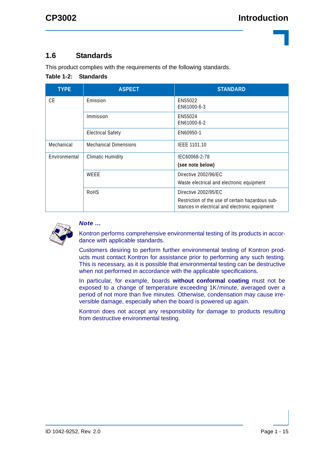

# <span id="page-34-0"></span>**1.6 Standards**

This product complies with the requirements of the following standards.

#### <span id="page-34-1"></span>**Table 1-2: Standards**

| <b>TYPE</b>   | <b>ASPECT</b>                | <b>STANDARD</b>                                                                                    |
|---------------|------------------------------|----------------------------------------------------------------------------------------------------|
| СE            | Emission                     | EN55022<br>EN61000-6-3                                                                             |
|               | Immission                    | EN55024<br>EN61000-6-2                                                                             |
|               | <b>Electrical Safety</b>     | EN60950-1                                                                                          |
| Mechanical    | <b>Mechanical Dimensions</b> | IEEE 1101.10                                                                                       |
| Environmental | <b>Climatic Humidity</b>     | IEC60068-2-78                                                                                      |
|               |                              | (see note below)                                                                                   |
|               | WEEE                         | Directive 2002/96/EC                                                                               |
|               |                              | Waste electrical and electronic equipment                                                          |
|               | <b>RoHS</b>                  | Directive 2002/95/EC                                                                               |
|               |                              | Restriction of the use of certain hazardous sub-<br>stances in electrical and electronic equipment |



# *Note ...*

Kontron performs comprehensive environmental testing of its products in accordance with applicable standards.

Customers desiring to perform further environmental testing of Kontron products must contact Kontron for assistance prior to performing any such testing. This is necessary, as it is possible that environmental testing can be destructive when not performed in accordance with the applicable specifications.

In particular, for example, boards **without conformal coating** must not be exposed to a change of temperature exceeding 1K/minute, averaged over a period of not more than five minutes. Otherwise, condensation may cause irreversible damage, especially when the board is powered up again.

Kontron does not accept any responsibility for damage to products resulting from destructive environmental testing.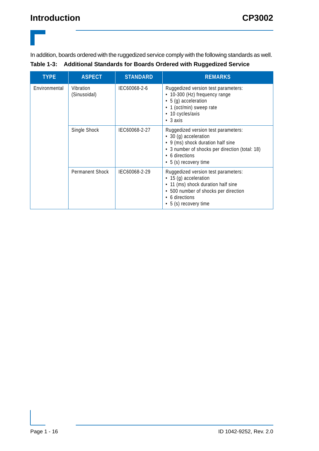# **Introduction CP3002**

In addition, boards ordered with the ruggedized service comply with the following standards as well.

<span id="page-35-0"></span>**Table 1-3: Additional Standards for Boards Ordered with Ruggedized Service**

| <b>TYPE</b>   | <b>ASPECT</b>             | <b>STANDARD</b> | <b>REMARKS</b>                                                                                                                                                                                             |
|---------------|---------------------------|-----------------|------------------------------------------------------------------------------------------------------------------------------------------------------------------------------------------------------------|
| Environmental | Vibration<br>(Sinusoidal) | IEC60068-2-6    | Ruggedized version test parameters:<br>• 10-300 (Hz) frequency range<br>$\cdot$ 5 (g) acceleration<br>• 1 (oct/min) sweep rate<br>• 10 cycles/axis<br>$\cdot$ 3 axis                                       |
|               | Single Shock              | IEC60068-2-27   | Ruggedized version test parameters:<br>$\cdot$ 30 (g) acceleration<br>• 9 (ms) shock duration half sine<br>• 3 number of shocks per direction (total: 18)<br>• 6 directions<br>$\cdot$ 5 (s) recovery time |
|               | <b>Permanent Shock</b>    | IEC60068-2-29   | Ruggedized version test parameters:<br>$\cdot$ 15 (g) acceleration<br>• 11 (ms) shock duration half sine<br>500 number of shocks per direction<br>$\bullet$<br>• 6 directions<br>5 (s) recovery time       |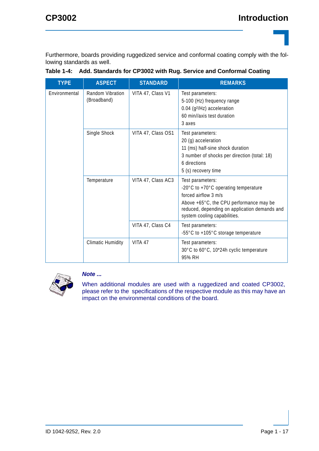Furthermore, boards providing ruggedized service and conformal coating comply with the following standards as well.

|  | Table 1-4: Add. Standards for CP3002 with Rug. Service and Conformal Coating |
|--|------------------------------------------------------------------------------|
|--|------------------------------------------------------------------------------|

| <b>TYPE</b>   | <b>ASPECT</b>                   | <b>STANDARD</b>    | <b>REMARKS</b>                                                                                                                                                                                               |
|---------------|---------------------------------|--------------------|--------------------------------------------------------------------------------------------------------------------------------------------------------------------------------------------------------------|
| Environmental | Random Vibration<br>(Broadband) | VITA 47, Class V1  | Test parameters:<br>5-100 (Hz) frequency range<br>0.04 (g <sup>2</sup> /Hz) acceleration<br>60 min//axis test duration<br>3 axes                                                                             |
|               | Single Shock                    | VITA 47, Class OS1 | Test parameters:<br>20 (g) acceleration<br>11 (ms) half-sine shock duration<br>3 number of shocks per direction (total: 18)<br>6 directions<br>5 (s) recovery time                                           |
|               | Temperature                     | VITA 47, Class AC3 | Test parameters:<br>-20°C to +70°C operating temperature<br>forced airflow 3 m/s<br>Above +65°C, the CPU performance may be<br>reduced, depending on application demands and<br>system cooling capabilities. |
|               |                                 | VITA 47, Class C4  | Test parameters:<br>-55°C to +105°C storage temperature                                                                                                                                                      |
|               | <b>Climatic Humidity</b>        | VITA 47            | Test parameters:<br>30°C to 60°C, 10*24h cyclic temperature<br>95% RH                                                                                                                                        |



#### *Note ...*

When additional modules are used with a ruggedized and coated CP3002, please refer to the specifications of the respective module as this may have an impact on the environmental conditions of the board.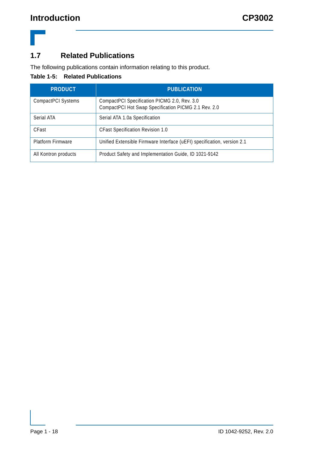

# **1.7 Related Publications**

The following publications contain information relating to this product.

#### **Table 1-5: Related Publications**

| <b>PRODUCT</b>           | <b>PUBLICATION</b>                                                                                   |
|--------------------------|------------------------------------------------------------------------------------------------------|
| CompactPCI Systems       | CompactPCI Specification PICMG 2.0, Rev. 3.0<br>CompactPCI Hot Swap Specification PICMG 2.1 Rev. 2.0 |
| Serial ATA               | Serial ATA 1.0a Specification                                                                        |
| CFast                    | <b>CFast Specification Revision 1.0</b>                                                              |
| <b>Platform Firmware</b> | Unified Extensible Firmware Interface (uEFI) specification, version 2.1                              |
| All Kontron products     | Product Safety and Implementation Guide, ID 1021-9142                                                |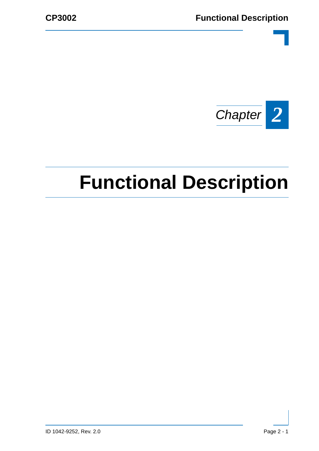

# **Functional Description**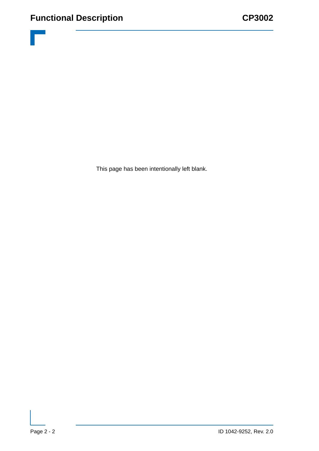

This page has been intentionally left blank.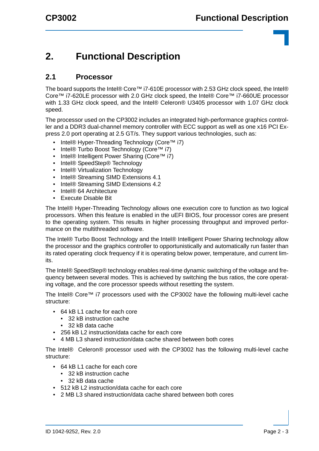# **2. Functional Description**

# **2.1 Processor**

The board supports the Intel® Core™ i7-610E processor with 2.53 GHz clock speed, the Intel® Core™ i7-620LE processor with 2.0 GHz clock speed, the Intel® Core™ i7-660UE processor with 1.33 GHz clock speed, and the Intel® Celeron® U3405 processor with 1.07 GHz clock speed.

The processor used on the CP3002 includes an integrated high-performance graphics controller and a DDR3 dual-channel memory controller with ECC support as well as one x16 PCI Express 2.0 port operating at 2.5 GT/s. They support various technologies, such as:

- Intel® Hyper-Threading Technology (Core™ i7)
- Intel® Turbo Boost Technology (Core™ i7)
- Intel® Intelligent Power Sharing (Core™ i7)
- Intel® SpeedStep® Technology
- Intel® Virtualization Technology
- Intel® Streaming SIMD Extensions 4.1
- Intel® Streaming SIMD Extensions 4.2
- Intel® 64 Architecture
- Execute Disable Bit

The Intel® Hyper-Threading Technology allows one execution core to function as two logical processors. When this feature is enabled in the uEFI BIOS, four processor cores are present to the operating system. This results in higher processing throughput and improved performance on the multithreaded software.

The Intel® Turbo Boost Technology and the Intel® Intelligent Power Sharing technology allow the processor and the graphics controller to opportunistically and automatically run faster than its rated operating clock frequency if it is operating below power, temperature, and current limits.

The Intel® SpeedStep® technology enables real-time dynamic switching of the voltage and frequency between several modes. This is achieved by switching the bus ratios, the core operating voltage, and the core processor speeds without resetting the system.

The Intel® Core™ i7 processors used with the CP3002 have the following multi-level cache structure:

- 64 kB L1 cache for each core
	- 32 kB instruction cache
	- 32 kB data cache
- 256 kB L2 instruction/data cache for each core
- 4 MB L3 shared instruction/data cache shared between both cores

The Intel® Celeron® processor used with the CP3002 has the following multi-level cache structure:

- 64 kB L1 cache for each core
	- 32 kB instruction cache
	- 32 kB data cache
- 512 kB L2 instruction/data cache for each core
- 2 MB L3 shared instruction/data cache shared between both cores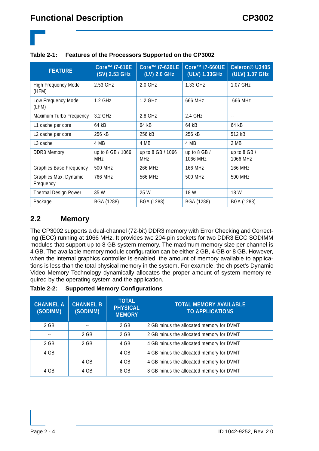| <b>FEATURE</b>                      | Core™ i7-610E<br>(SV) 2.53 GHz  | Core™ i7-620LE<br>(LV) 2.0 GHz  | Core™ i7-660UE<br>(ULV) 1.33GHz | Celeron <sup>®</sup> U3405<br>(ULV) 1.07 GHz |
|-------------------------------------|---------------------------------|---------------------------------|---------------------------------|----------------------------------------------|
| <b>High Frequency Mode</b><br>(HFM) | 2.53 GHz                        | $2.0$ GHz                       | 1.33 GHz                        | 1.07 GHz                                     |
| Low Frequency Mode<br>(LFM)         | 1.2 GHz                         | 1.2 GHz                         | 666 MHz                         | 666 MHz                                      |
| Maximum Turbo Frequency             | 3.2 GHz                         | 2.8 GHz                         | 2.4 GHz                         | $\overline{\phantom{a}}$ .                   |
| L1 cache per core                   | 64 kB                           | 64 kB                           | 64 kB                           | 64 kB                                        |
| L2 cache per core                   | 256 kB                          | 256 kB                          | 256 kB                          | 512 kB                                       |
| L <sub>3</sub> cache                | 4 MB                            | 4 MB                            | 4 MB                            | 2 MB                                         |
| <b>DDR3 Memory</b>                  | up to 8 GB / 1066<br><b>MHz</b> | up to 8 GB / 1066<br><b>MHz</b> | up to 8 GB /<br>1066 MHz        | up to 8 GB /<br>1066 MHz                     |
| <b>Graphics Base Frequency</b>      | 500 MHz                         | 266 MHz                         | 166 MHz                         | <b>166 MHz</b>                               |
| Graphics Max. Dynamic<br>Frequency  | 766 MHz                         | 566 MHz                         | 500 MHz                         | 500 MHz                                      |
| Thermal Design Power                | 35 W                            | 25 W                            | 18 W                            | 18 W                                         |
| Package                             | BGA (1288)                      | BGA (1288)                      | BGA (1288)                      | BGA (1288)                                   |

#### **Table 2-1: Features of the Processors Supported on the CP3002**

Graphics Base Frequency<br>
Graphics Max. Dynamic<br>
Frequency<br>
Thermal Design Power<br>
Package<br> **2.2 Memory**<br>
The CP3002 supports a<br>
ing (ECC) running at 1<br>
modules that support u<br>
4 GB. The available me<br>
when the internal grap<br> The CP3002 supports a dual-channel (72-bit) DDR3 memory with Error Checking and Correcting (ECC) running at 1066 MHz. It provides two 204-pin sockets for two DDR3 ECC SODIMM modules that support up to 8 GB system memory. The maximum memory size per channel is 4 GB. The available memory module configuration can be either 2 GB, 4 GB or 8 GB. However, when the internal graphics controller is enabled, the amount of memory available to applications is less than the total physical memory in the system. For example, the chipset's Dynamic Video Memory Technology dynamically allocates the proper amount of system memory required by the operating system and the application.

#### **Table 2-2: Supported Memory Configurations**

| <b>CHANNEL A</b><br>(SODIMM) | <b>CHANNEL B</b><br>(SODIMM) | <b>TOTAL</b><br><b>PHYSICAL</b><br><b>MEMORY</b> | <b>TOTAL MEMORY AVAILABLE</b><br><b>TO APPLICATIONS</b> |
|------------------------------|------------------------------|--------------------------------------------------|---------------------------------------------------------|
| 2 GB                         |                              | 2 GB                                             | 2 GB minus the allocated memory for DVMT                |
|                              | 2 GB                         | 2 GB                                             | 2 GB minus the allocated memory for DVMT                |
| 2 GB                         | $2$ GB                       | 4 GB                                             | 4 GB minus the allocated memory for DVMT                |
| 4 GB                         |                              | 4 GB                                             | 4 GB minus the allocated memory for DVMT                |
|                              | 4 GB                         | 4 GB                                             | 4 GB minus the allocated memory for DVMT                |
| 4 GB                         | 4 GB                         | 8 GB                                             | 8 GB minus the allocated memory for DVMT                |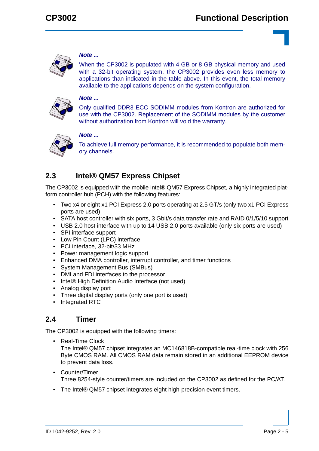

#### *Note ...*

When the CP3002 is populated with 4 GB or 8 GB physical memory and used with a 32-bit operating system, the CP3002 provides even less memory to applications than indicated in the table above. In this event, the total memory available to the applications depends on the system configuration.



#### *Note ...*

Only qualified DDR3 ECC SODIMM modules from Kontron are authorized for use with the CP3002. Replacement of the SODIMM modules by the customer without authorization from Kontron will void the warranty.



#### *Note ...*

To achieve full memory performance, it is recommended to populate both memory channels.

# **2.3 Intel® QM57 Express Chipset**

The CP3002 is equipped with the mobile Intel® QM57 Express Chipset, a highly integrated platform controller hub (PCH) with the following features:

- Two x4 or eight x1 PCI Express 2.0 ports operating at 2.5 GT/s (only two x1 PCI Express ports are used)
- SATA host controller with six ports, 3 Gbit/s data transfer rate and RAID 0/1/5/10 support
- USB 2.0 host interface with up to 14 USB 2.0 ports available (only six ports are used)
- SPI interface support
- Low Pin Count (LPC) interface
- PCI interface, 32-bit/33 MHz
- Power management logic support
- Enhanced DMA controller, interrupt controller, and timer functions
- System Management Bus (SMBus)
- DMI and FDI interfaces to the processor
- Intel® High Definition Audio Interface (not used)
- Analog display port
- Three digital display ports (only one port is used)
- Integrated RTC

# **2.4 Timer**

The CP3002 is equipped with the following timers:

• Real-Time Clock

The Intel® QM57 chipset integrates an MC146818B-compatible real-time clock with 256 Byte CMOS RAM. All CMOS RAM data remain stored in an additional EEPROM device to prevent data loss.

- Counter/Timer Three 8254-style counter/timers are included on the CP3002 as defined for the PC/AT.
- The Intel® QM57 chipset integrates eight high-precision event timers.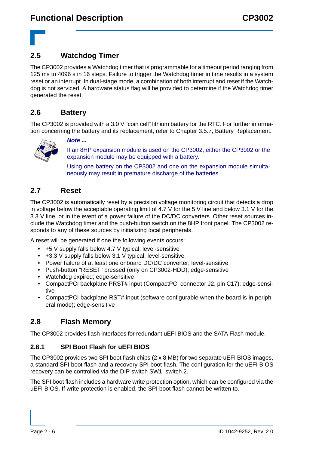

# **2.5 Watchdog Timer**

The CP3002 provides a Watchdog timer that is programmable for a timeout period ranging from 125 ms to 4096 s in 16 steps. Failure to trigger the Watchdog timer in time results in a system reset or an interrupt. In dual-stage mode, a combination of both interrupt and reset if the Watchdog is not serviced. A hardware status flag will be provided to determine if the Watchdog timer generated the reset.

# **2.6 Battery**

The CP3002 is provided with a 3.0 V "coin cell" lithium battery for the RTC. For further information concerning the battery and its replacement, refer to Chapter 3.5.7, Battery Replacement.



#### *Note ...*

If an 8HP expansion module is used on the CP3002, either the CP3002 or the expansion module may be equipped with a battery.

Using one battery on the CP3002 and one on the expansion module simultaneously may result in premature discharge of the batteries.

# **2.7 Reset**

The CP3002 is automatically reset by a precision voltage monitoring circuit that detects a drop in voltage below the acceptable operating limit of 4.7 V for the 5 V line and below 3.1 V for the 3.3 V line, or in the event of a power failure of the DC/DC converters. Other reset sources include the Watchdog timer and the push-button switch on the 8HP front panel. The CP3002 responds to any of these sources by initializing local peripherals.

A reset will be generated if one the following events occurs:

- +5 V supply falls below 4.7 V typical; level-sensitive
- +3.3 V supply falls below 3.1 V typical; level-sensitive
- Power failure of at least one onboard DC/DC converter; level-sensitive
- Push-button "RESET" pressed (only on CP3002-HDD); edge-sensitive
- Watchdog expired; edge-sensitive
- CompactPCI backplane PRST# input (CompactPCI connector J2, pin C17); edge-sensitive
- CompactPCI backplane RST# input (software configurable when the board is in peripheral mode); edge-sensitive

# **2.8 Flash Memory**

The CP3002 provides flash interfaces for redundant uEFI BIOS and the SATA Flash module.

#### **2.8.1 SPI Boot Flash for uEFI BIOS**

The CP3002 provides two SPI boot flash chips (2 x 8 MB) for two separate uEFI BIOS images, a standard SPI boot flash and a recovery SPI boot flash. The configuration for the uEFI BIOS recovery can be controlled via the DIP switch SW1, switch 2.

The SPI boot flash includes a hardware write protection option, which can be configured via the uEFI BIOS. If write protection is enabled, the SPI boot flash cannot be written to.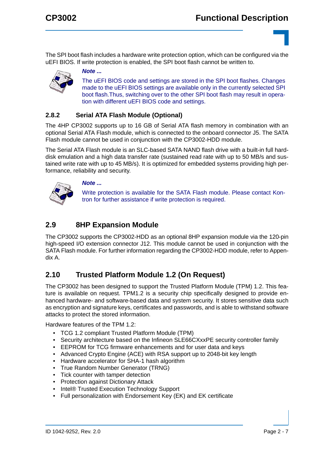The SPI boot flash includes a hardware write protection option, which can be configured via the uEFI BIOS. If write protection is enabled, the SPI boot flash cannot be written to.



#### *Note ...*

The uEFI BIOS code and settings are stored in the SPI boot flashes. Changes made to the uEFI BIOS settings are available only in the currently selected SPI boot flash.Thus, switching over to the other SPI boot flash may result in operation with different uEFI BIOS code and settings.

#### **2.8.2 Serial ATA Flash Module (Optional)**

The 4HP CP3002 supports up to 16 GB of Serial ATA flash memory in combination with an optional Serial ATA Flash module, which is connected to the onboard connector J5. The SATA Flash module cannot be used in conjunction with the CP3002-HDD module.

The Serial ATA Flash module is an SLC-based SATA NAND flash drive with a built-in full harddisk emulation and a high data transfer rate (sustained read rate with up to 50 MB/s and sustained write rate with up to 45 MB/s). It is optimized for embedded systems providing high performance, reliability and security.



#### *Note ...*

Write protection is available for the SATA Flash module. Please contact Kontron for further assistance if write protection is required.

# **2.9 8HP Expansion Module**

The CP3002 supports the CP3002-HDD as an optional 8HP expansion module via the 120-pin high-speed I/O extension connector J12. This module cannot be used in conjunction with the SATA Flash module. For further information regarding the CP3002-HDD module, refer to Appendix A.

# **2.10 Trusted Platform Module 1.2 (On Request)**

The CP3002 has been designed to support the Trusted Platform Module (TPM) 1.2. This feature is available on request. TPM1.2 is a security chip specifically designed to provide enhanced hardware- and software-based data and system security. It stores sensitive data such as encryption and signature keys, certificates and passwords, and is able to withstand software attacks to protect the stored information.

Hardware features of the TPM 1.2:

- TCG 1.2 compliant Trusted Platform Module (TPM)
- Security architecture based on the Infineon SLE66CXxxPE security controller family
- EEPROM for TCG firmware enhancements and for user data and keys
- Advanced Crypto Engine (ACE) with RSA support up to 2048-bit key length
- Hardware accelerator for SHA-1 hash algorithm
- True Random Number Generator (TRNG)
- Tick counter with tamper detection
- Protection against Dictionary Attack
- Intel® Trusted Execution Technology Support
- Full personalization with Endorsement Key (EK) and EK certificate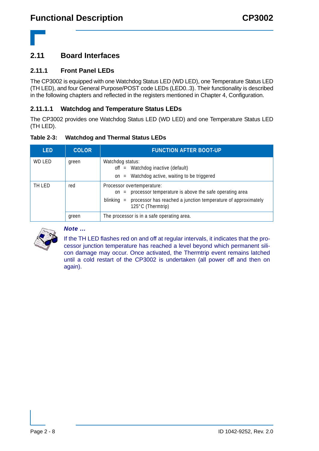

# **2.11 Board Interfaces**

#### **2.11.1 Front Panel LEDs**

The CP3002 is equipped with one Watchdog Status LED (WD LED), one Temperature Status LED (TH LED), and four General Purpose/POST code LEDs (LED0..3). Their functionality is described in the following chapters and reflected in the registers mentioned in Chapter 4, Configuration.

#### **2.11.1.1 Watchdog and Temperature Status LEDs**

The CP3002 provides one Watchdog Status LED (WD LED) and one Temperature Status LED (TH LED).

#### **Table 2-3: Watchdog and Thermal Status LEDs**

| <b>LED</b> | <b>COLOR</b> | <b>FUNCTION AFTER BOOT-UP</b>                                                                                                                                                                                |
|------------|--------------|--------------------------------------------------------------------------------------------------------------------------------------------------------------------------------------------------------------|
| WD LED     | green        | Watchdog status:<br>off = Watchdog inactive (default)<br>on = Watchdog active, waiting to be triggered                                                                                                       |
| TH LED     | red          | Processor overtemperature:<br>processor temperature is above the safe operating area<br>$on =$<br>processor has reached a junction temperature of approximately<br>blinking<br>$\equiv$<br>125°C (Thermtrip) |
|            | green        | The processor is in a safe operating area.                                                                                                                                                                   |



#### *Note ...*

If the TH LED flashes red on and off at regular intervals, it indicates that the processor junction temperature has reached a level beyond which permanent silicon damage may occur. Once activated, the Thermtrip event remains latched until a cold restart of the CP3002 is undertaken (all power off and then on again).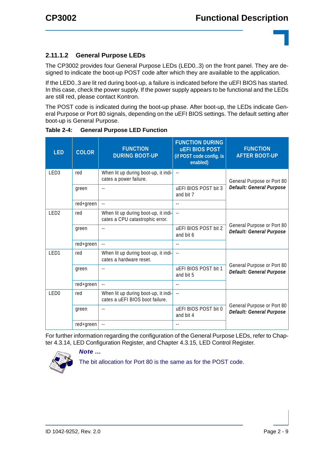

# **2.11.1.2 General Purpose LEDs**

The CP3002 provides four General Purpose LEDs (LED0..3) on the front panel. They are designed to indicate the boot-up POST code after which they are available to the application.

If the LED0..3 are lit red during boot-up, a failure is indicated before the uEFI BIOS has started. In this case, check the power supply. If the power supply appears to be functional and the LEDs are still red, please contact Kontron.

The POST code is indicated during the boot-up phase. After boot-up, the LEDs indicate General Purpose or Port 80 signals, depending on the uEFI BIOS settings. The default setting after boot-up is General Purpose.

| <b>LED</b>       | <b>COLOR</b> | <b>FUNCTION</b><br><b>DURING BOOT-UP</b>                                | <b>FUNCTION DURING</b><br><b>UEFI BIOS POST</b><br>(if POST code config. is<br>enabled) | <b>FUNCTION</b><br><b>AFTER BOOT-UP</b>                |  |
|------------------|--------------|-------------------------------------------------------------------------|-----------------------------------------------------------------------------------------|--------------------------------------------------------|--|
| LED3             | red          | When lit up during boot-up, it indi-<br>cates a power failure.          | $\sim$ $\sim$                                                                           | General Purpose or Port 80                             |  |
|                  | green        | $-$                                                                     | uEFI BIOS POST bit 3<br>and bit 7                                                       | Default: General Purpose                               |  |
|                  | red+green    |                                                                         | $- -$                                                                                   |                                                        |  |
| LED <sub>2</sub> | red          | When lit up during boot-up, it indi-<br>cates a CPU catastrophic error. | $\sim$ $\sim$                                                                           |                                                        |  |
|                  | green        |                                                                         | uEFI BIOS POST bit 2<br>and bit 6                                                       | General Purpose or Port 80<br>Default: General Purpose |  |
|                  | red+green    |                                                                         |                                                                                         |                                                        |  |
| LED <sub>1</sub> | red          | When lit up during boot-up, it indi-<br>cates a hardware reset.         | $\sim$ $-$                                                                              |                                                        |  |
|                  | green        | $- -$                                                                   | uEFI BIOS POST bit 1<br>and bit 5                                                       | General Purpose or Port 80<br>Default: General Purpose |  |
|                  | red+green    | $\overline{\phantom{a}}$ .                                              |                                                                                         |                                                        |  |
| LED <sub>0</sub> | red          | When lit up during boot-up, it indi-<br>cates a uEFI BIOS boot failure. | $\mathbb{L}$ .                                                                          |                                                        |  |
|                  | green        | $\sim$ $\sim$                                                           | uEFI BIOS POST bit 0<br>and bit 4                                                       | General Purpose or Port 80<br>Default: General Purpose |  |
|                  | red+green    | $- -$                                                                   | $-$                                                                                     |                                                        |  |

**Table 2-4: General Purpose LED Function**

For further information regarding the configuration of the General Purpose LEDs, refer to Chapter 4.3.14, LED Configuration Register, and Chapter 4.3.15, LED Control Register.



*Note ...*

The bit allocation for Port 80 is the same as for the POST code.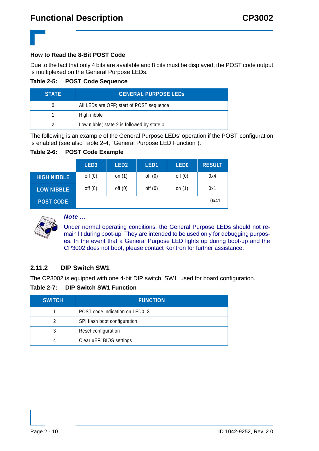#### **How to Read the 8-Bit POST Code**

Due to the fact that only 4 bits are available and 8 bits must be displayed, the POST code output is multiplexed on the General Purpose LEDs.

```
Table 2-5: POST Code Sequence
```

| <b>STATE</b> | <b>GENERAL PURPOSE LEDS</b>                |
|--------------|--------------------------------------------|
|              | All LEDs are OFF; start of POST sequence   |
|              | High nibble                                |
|              | Low nibble; state 2 is followed by state 0 |

The following is an example of the General Purpose LEDs' operation if the POST configuration is enabled (see also Table 2-4, "General Purpose LED Function").

## **Table 2-6: POST Code Example**

|                    | LED <sub>3</sub> | LED <sub>2</sub> | LED <sub>1</sub> | LED <sub>0</sub> | <b>RESULT</b> |
|--------------------|------------------|------------------|------------------|------------------|---------------|
| <b>HIGH NIBBLE</b> | off(0)           | on $(1)$         | off $(0)$        | off $(0)$        | 0x4           |
| <b>LOW NIBBLE</b>  | off(0)           | off(0)           | off(0)           | on $(1)$         | 0x1           |
| <b>POST CODE</b>   |                  |                  |                  |                  | 0x41          |



# *Note ...*

Under normal operating conditions, the General Purpose LEDs should not remain lit during boot-up. They are intended to be used only for debugging purposes. In the event that a General Purpose LED lights up during boot-up and the CP3002 does not boot, please contact Kontron for further assistance.

# **2.11.2 DIP Switch SW1**

The CP3002 is equipped with one 4-bit DIP switch, SW1, used for board configuration.

#### **Table 2-7: DIP Switch SW1 Function**

| <b>SWITCH</b> | <b>FUNCTION</b>               |
|---------------|-------------------------------|
|               | POST code indication on LED03 |
|               | SPI flash boot configuration  |
|               | Reset configuration           |
|               | Clear uEFI BIOS settings      |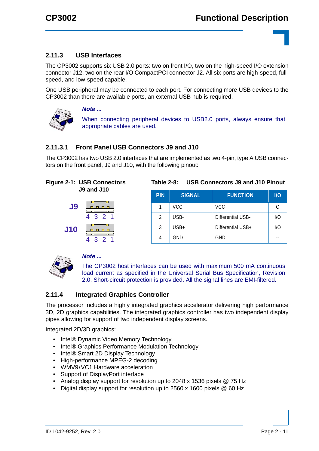

### **2.11.3 USB Interfaces**

The CP3002 supports six USB 2.0 ports: two on front I/O, two on the high-speed I/O extension connector J12, two on the rear I/O CompactPCI connector J2. All six ports are high-speed, fullspeed, and low-speed capable.

One USB peripheral may be connected to each port. For connecting more USB devices to the CP3002 than there are available ports, an external USB hub is required.



*Note ...*

When connecting peripheral devices to USB2.0 ports, always ensure that appropriate cables are used.

#### **2.11.3.1 Front Panel USB Connectors J9 and J10**

The CP3002 has two USB 2.0 interfaces that are implemented as two 4-pin, type A USB connectors on the front panel, J9 and J10, with the following pinout:

**Figure 2-1: USB Connectors J9 and J10**



#### **Table 2-8: USB Connectors J9 and J10 Pinout**

| <b>PIN</b>    | <b>SIGNAL</b> | <b>FUNCTION</b>   | 1/O |
|---------------|---------------|-------------------|-----|
|               | <b>VCC</b>    | <b>VCC</b>        |     |
| $\mathcal{P}$ | USB-          | Differential USB- | 1/O |
| 3             | $USB+$        | Differential USB+ | 1/O |
|               | GND           | GND               |     |



#### *Note ...*

The CP3002 host interfaces can be used with maximum 500 mA continuous load current as specified in the Universal Serial Bus Specification, Revision 2.0. Short-circuit protection is provided. All the signal lines are EMI-filtered.

#### **2.11.4 Integrated Graphics Controller**

The processor includes a highly integrated graphics accelerator delivering high performance 3D, 2D graphics capabilities. The integrated graphics controller has two independent display pipes allowing for support of two independent display screens.

Integrated 2D/3D graphics:

- Intel® Dynamic Video Memory Technology
- Intel® Graphics Performance Modulation Technology
- Intel® Smart 2D Display Technology
- High-performance MPEG-2 decoding
- WMV9/VC1 Hardware acceleration
- Support of DisplayPort interface
- Analog display support for resolution up to 2048 x 1536 pixels @ 75 Hz
- Digital display support for resolution up to 2560 x 1600 pixels @ 60 Hz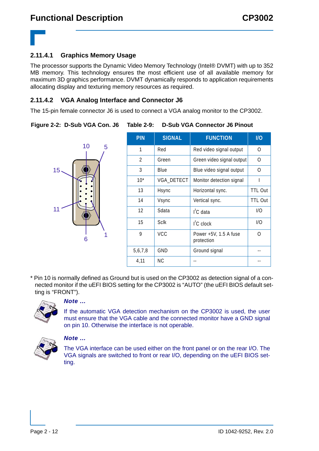# **2.11.4.1 Graphics Memory Usage**

The processor supports the Dynamic Video Memory Technology (Intel® DVMT) with up to 352 MB memory. This technology ensures the most efficient use of all available memory for maximum 3D graphics performance. DVMT dynamically responds to application requirements allocating display and texturing memory resources as required.

#### **2.11.4.2 VGA Analog Interface and Connector J6**

The 15-pin female connector J6 is used to connect a VGA analog monitor to the CP3002.

#### **Figure 2-2: D-Sub VGA Con. J6 Table 2-9: D-Sub VGA Connector J6 Pinout**

|                 | <b>PIN</b>     | <b>SIGNAL</b> | <b>FUNCTION</b>                     | I/O      |
|-----------------|----------------|---------------|-------------------------------------|----------|
| 10<br>5         | 1              | Red           | Red video signal output             | $\Omega$ |
|                 | $\overline{2}$ | Green         | Green video signal output           | $\Omega$ |
| 15 <sub>1</sub> | 3              | Blue          | Blue video signal output            | $\Omega$ |
|                 | $10*$          | VGA_DETECT    | Monitor detection signal            |          |
|                 | 13             | Hsync         | Horizontal sync.                    | TTL Out  |
|                 | 14             | Vsync         | Vertical sync.                      | TTL Out  |
|                 | 12             | Sdata         | $I^2C$ data                         | 1/O      |
|                 | 15             | Sclk          | $I^2C$ clock                        | I/O      |
| 6               | 9              | <b>VCC</b>    | Power +5V, 1.5 A fuse<br>protection | $\Omega$ |
|                 | 5,6,7,8        | GND           | Ground signal                       |          |
|                 | 4,11           | <b>NC</b>     |                                     |          |

\* Pin 10 is normally defined as Ground but is used on the CP3002 as detection signal of a connected monitor if the uEFI BIOS setting for the CP3002 is "AUTO" (the uEFI BIOS default setting is "FRONT").



#### *Note ...*

If the automatic VGA detection mechanism on the CP3002 is used, the user must ensure that the VGA cable and the connected monitor have a GND signal on pin 10. Otherwise the interface is not operable.



#### *Note ...*

The VGA interface can be used either on the front panel or on the rear I/O. The VGA signals are switched to front or rear I/O, depending on the uEFI BIOS setting.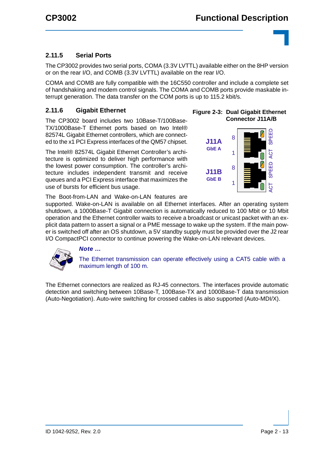

# **2.11.5 Serial Ports**

The CP3002 provides two serial ports, COMA (3.3V LVTTL) available either on the 8HP version or on the rear I/O, and COMB (3.3V LVTTL) available on the rear I/O.

COMA and COMB are fully compatible with the 16C550 controller and include a complete set of handshaking and modem control signals. The COMA and COMB ports provide maskable interrupt generation. The data transfer on the COM ports is up to 115.2 kbit/s.

#### **2.11.6 Gigabit Ethernet**

The CP3002 board includes two 10Base-T/100Base-TX/1000Base-T Ethernet ports based on two Intel® 82574L Gigabit Ethernet controllers, which are connected to the x1 PCI Express interfaces of the QM57 chipset.

The Intel® 82574L Gigabit Ethernet Controller's architecture is optimized to deliver high performance with the lowest power consumption. The controller's architecture includes independent transmit and receive queues and a PCI Express interface that maximizes the use of bursts for efficient bus usage.

**Figure 2-3: Dual Gigabit Ethernet Connector J11A/B**



The Boot-from-LAN and Wake-on-LAN features are

supported. Wake-on-LAN is available on all Ethernet interfaces. After an operating system shutdown, a 1000Base-T Gigabit connection is automatically reduced to 100 Mbit or 10 Mbit operation and the Ethernet controller waits to receive a broadcast or unicast packet with an explicit data pattern to assert a signal or a PME message to wake up the system. If the main power is switched off after an OS shutdown, a 5V standby supply must be provided over the J2 rear I/O CompactPCI connector to continue powering the Wake-on-LAN relevant devices.



#### *Note ...*

The Ethernet transmission can operate effectively using a CAT5 cable with a maximum length of 100 m.

The Ethernet connectors are realized as RJ-45 connectors. The interfaces provide automatic detection and switching between 10Base-T, 100Base-TX and 1000Base-T data transmission (Auto-Negotiation). Auto-wire switching for crossed cables is also supported (Auto-MDI/X).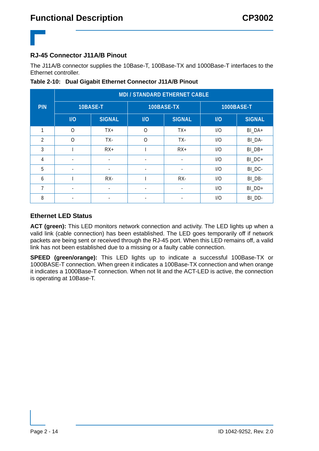

#### **RJ-45 Connector J11A/B Pinout**

The J11A/B connector supplies the 10Base-T, 100Base-TX and 1000Base-T interfaces to the Ethernet controller.

|                | <b>MDI / STANDARD ETHERNET CABLE</b> |                          |                          |                          |            |                      |  |  |
|----------------|--------------------------------------|--------------------------|--------------------------|--------------------------|------------|----------------------|--|--|
| <b>PIN</b>     | 10BASE-T                             |                          |                          | 100BASE-TX               | 1000BASE-T |                      |  |  |
|                | 1/O                                  | <b>SIGNAL</b>            | 1/0                      | <b>SIGNAL</b>            | I/O        | <b>SIGNAL</b>        |  |  |
| 1              | $\Omega$                             | $TX+$                    | $\Omega$                 | $TX+$                    | I/O        | BI_DA+               |  |  |
| $\overline{2}$ | $\Omega$                             | TX-                      | $\overline{O}$           | TX-                      | I/O        | BI_DA-               |  |  |
| 3              |                                      | $RX+$                    |                          | $RX+$                    | I/O        | $BI$ <sub>-DB+</sub> |  |  |
| 4              | $\blacksquare$                       | $\overline{\phantom{a}}$ | $\overline{\phantom{a}}$ | $\overline{\phantom{a}}$ | I/O        | BI_DC+               |  |  |
| 5              | $\blacksquare$                       |                          | $\overline{\phantom{a}}$ |                          | I/O        | BI_DC-               |  |  |
| 6              |                                      | RX-                      |                          | RX-                      | 1/O        | BI_DB-               |  |  |
| $\overline{7}$ | $\overline{\phantom{a}}$             | $\overline{\phantom{a}}$ | $\overline{\phantom{a}}$ | $\overline{\phantom{a}}$ | I/O        | $BI_DD+$             |  |  |
| 8              |                                      |                          |                          |                          | I/O        | BI_DD-               |  |  |

**Table 2-10: Dual Gigabit Ethernet Connector J11A/B Pinout**

#### **Ethernet LED Status**

**ACT (green):** This LED monitors network connection and activity. The LED lights up when a valid link (cable connection) has been established. The LED goes temporarily off if network packets are being sent or received through the RJ-45 port. When this LED remains off, a valid link has not been established due to a missing or a faulty cable connection.

**SPEED (green/orange):** This LED lights up to indicate a successful 100Base-TX or 1000BASE-T connection. When green it indicates a 100Base-TX connection and when orange it indicates a 1000Base-T connection. When not lit and the ACT-LED is active, the connection is operating at 10Base-T.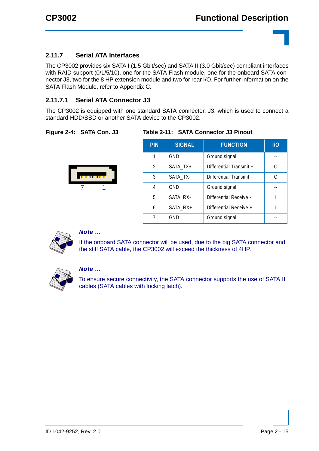

### **2.11.7 Serial ATA Interfaces**

The CP3002 provides six SATA I (1.5 Gbit/sec) and SATA II (3.0 Gbit/sec) compliant interfaces with RAID support (0/1/5/10), one for the SATA Flash module, one for the onboard SATA connector J3, two for the 8 HP extension module and two for rear I/O. For further information on the SATA Flash Module, refer to Appendix C.

#### **2.11.7.1 Serial ATA Connector J3**

The CP3002 is equipped with one standard SATA connector, J3, which is used to connect a standard HDD/SSD or another SATA device to the CP3002.

#### **Figure 2-4: SATA Con. J3**



#### **Table 2-11: SATA Connector J3 Pinout**

| <b>PIN</b> | <b>SIGNAL</b> | <b>FUNCTION</b>         | I/O |
|------------|---------------|-------------------------|-----|
|            | <b>GND</b>    | Ground signal           |     |
| 2          | SATA_TX+      | Differential Transmit + |     |
| 3          | SATA_TX-      | Differential Transmit - |     |
| 4          | GND           | Ground signal           |     |
| 5          | SATA_RX-      | Differential Receive -  |     |
| 6          | SATA_RX+      | Differential Receive +  |     |
|            | GND           | Ground signal           |     |



# *Note ...*

If the onboard SATA connector will be used, due to the big SATA connector and the stiff SATA cable, the CP3002 will exceed the thickness of 4HP.



#### *Note ...*

To ensure secure connectivity, the SATA connector supports the use of SATA II cables (SATA cables with locking latch).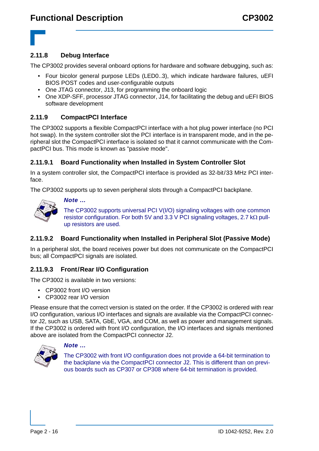# **2.11.8 Debug Interface**

The CP3002 provides several onboard options for hardware and software debugging, such as:

- Four bicolor general purpose LEDs (LED0..3), which indicate hardware failures, uEFI BIOS POST codes and user-configurable outputs
- One JTAG connector, J13, for programming the onboard logic
- One XDP-SFF, processor JTAG connector, J14, for facilitating the debug and uEFI BIOS software development

# **2.11.9 CompactPCI Interface**

The CP3002 supports a flexible CompactPCI interface with a hot plug power interface (no PCI hot swap). In the system controller slot the PCI interface is in transparent mode, and in the peripheral slot the CompactPCI interface is isolated so that it cannot communicate with the CompactPCI bus. This mode is known as "passive mode".

#### **2.11.9.1 Board Functionality when Installed in System Controller Slot**

In a system controller slot, the CompactPCI interface is provided as 32-bit/33 MHz PCI interface.

The CP3002 supports up to seven peripheral slots through a CompactPCI backplane.



#### *Note ...*

The CP3002 supports universal PCI V(I/O) signaling voltages with one common resistor configuration. For both 5V and 3.3 V PCI signaling voltages, 2.7  $k\Omega$  pullup resistors are used.

#### **2.11.9.2 Board Functionality when Installed in Peripheral Slot (Passive Mode)**

In a peripheral slot, the board receives power but does not communicate on the CompactPCI bus; all CompactPCI signals are isolated.

#### **2.11.9.3 Front/Rear I/O Configuration**

The CP3002 is available in two versions:

- CP3002 front I/O version
- CP3002 rear I/O version

Please ensure that the correct version is stated on the order. If the CP3002 is ordered with rear I/O configuration, various I/O interfaces and signals are available via the CompactPCI connector J2, such as USB, SATA, GbE, VGA, and COM, as well as power and management signals. If the CP3002 is ordered with front I/O configuration, the I/O interfaces and signals mentioned above are isolated from the CompactPCI connector J2.



### *Note ...*

The CP3002 with front I/O configuration does not provide a 64-bit termination to the backplane via the CompactPCI connector J2. This is different than on previous boards such as CP307 or CP308 where 64-bit termination is provided.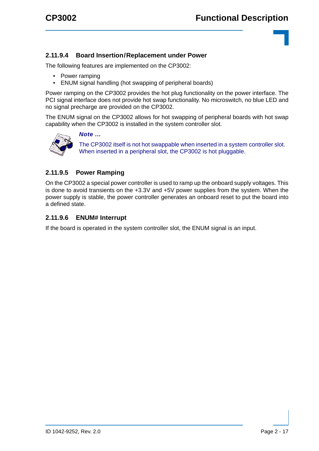#### **2.11.9.4 Board Insertion/Replacement under Power**

The following features are implemented on the CP3002:

- Power ramping
- ENUM signal handling (hot swapping of peripheral boards)

Power ramping on the CP3002 provides the hot plug functionality on the power interface. The PCI signal interface does not provide hot swap functionality. No microswitch, no blue LED and no signal precharge are provided on the CP3002.

The ENUM signal on the CP3002 allows for hot swapping of peripheral boards with hot swap capability when the CP3002 is installed in the system controller slot.



#### *Note ...*

The CP3002 itself is not hot swappable when inserted in a system controller slot. When inserted in a peripheral slot, the CP3002 is hot pluggable.

#### **2.11.9.5 Power Ramping**

On the CP3002 a special power controller is used to ramp up the onboard supply voltages. This is done to avoid transients on the +3.3V and +5V power supplies from the system. When the power supply is stable, the power controller generates an onboard reset to put the board into a defined state.

#### **2.11.9.6 ENUM# Interrupt**

If the board is operated in the system controller slot, the ENUM signal is an input.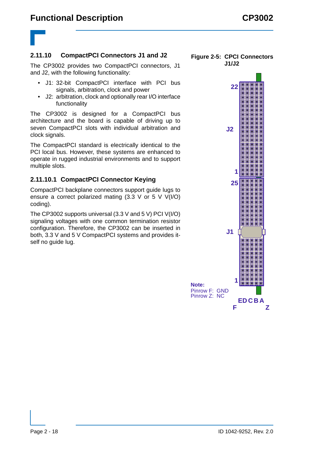

# **2.11.10 CompactPCI Connectors J1 and J2**

The CP3002 provides two CompactPCI connectors, J1 and J2, with the following functionality:

- J1: 32-bit CompactPCI interface with PCI bus signals, arbitration, clock and power
- J2: arbitration, clock and optionally rear I/O interface functionality

The CP3002 is designed for a CompactPCI bus architecture and the board is capable of driving up to seven CompactPCI slots with individual arbitration and clock signals.

The CompactPCI standard is electrically identical to the PCI local bus. However, these systems are enhanced to operate in rugged industrial environments and to support multiple slots.

#### **2.11.10.1 CompactPCI Connector Keying**

CompactPCI backplane connectors support guide lugs to ensure a correct polarized mating (3.3 V or 5 V V(I/O) coding).

The CP3002 supports universal (3.3 V and 5 V) PCI V(I/O) signaling voltages with one common termination resistor configuration. Therefore, the CP3002 can be inserted in both, 3.3 V and 5 V CompactPCI systems and provides itself no guide lug.



**Figure 2-5: CPCI Connectors J1/J2**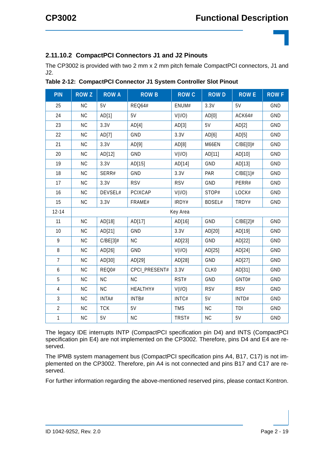

## **2.11.10.2 CompactPCI Connectors J1 and J2 Pinouts**

The CP3002 is provided with two 2 mm x 2 mm pitch female CompactPCI connectors, J1 and J2.

| <b>PIN</b>       | <b>ROW Z</b> | <b>ROWA</b> | <b>ROW B</b>  | <b>ROW C</b> | <b>ROWD</b> | <b>ROWE</b> | <b>ROWF</b> |
|------------------|--------------|-------------|---------------|--------------|-------------|-------------|-------------|
| 25               | NC           | 5V          | <b>REQ64#</b> | ENUM#        | 3.3V        | 5V          | GND         |
| 24               | <b>NC</b>    | AD[1]       | 5V            | V(1/O)       | AD[0]       | ACK64#      | GND         |
| 23               | NC           | 3.3V        | AD[4]         | AD[3]        | 5V          | AD[2]       | GND         |
| 22               | <b>NC</b>    | AD[7]       | <b>GND</b>    | 3.3V         | AD[6]       | AD[5]       | GND         |
| 21               | $\rm NC$     | 3.3V        | AD[9]         | AD[8]        | M66EN       | $C/BE[0]\#$ | GND         |
| 20               | <b>NC</b>    | AD[12]      | <b>GND</b>    | V(1/O)       | AD[11]      | AD[10]      | GND         |
| 19               | NC           | 3.3V        | AD[15]        | AD[14]       | GND         | AD[13]      | GND         |
| 18               | <b>NC</b>    | SERR#       | GND           | 3.3V         | PAR         | $C/BE[1]\#$ | GND         |
| 17               | NC           | 3.3V        | <b>RSV</b>    | <b>RSV</b>   | GND         | PERR#       | GND         |
| 16               | NC           | DEVSEL#     | PCIXCAP       | V(1/O)       | STOP#       | LOCK#       | GND         |
| 15               | NC           | 3.3V        | FRAME#        | IRDY#        | BDSEL#      | TRDY#       | GND         |
| $12 - 14$        |              |             |               | Key Area     |             |             |             |
| 11               | <b>NC</b>    | AD[18]      | AD[17]        | AD[16]       | GND         | $C/BE[2]\#$ | GND         |
| 10               | NC           | AD[21]      | <b>GND</b>    | 3.3V         | AD[20]      | AD[19]      | GND         |
| 9                | <b>NC</b>    | $C/BE[3]$ # | <b>NC</b>     | AD[23]       | GND         | AD[22]      | GND         |
| 8                | NC           | AD[26]      | <b>GND</b>    | V(1/O)       | AD[25]      | AD[24]      | GND         |
| $\overline{7}$   | <b>NC</b>    | AD[30]      | AD[29]        | AD[28]       | GND         | AD[27]      | GND         |
| $\boldsymbol{6}$ | NC           | REQ0#       | CPCI_PRESENT# | 3.3V         | CLK0        | AD[31]      | GND         |
| 5                | <b>NC</b>    | <b>NC</b>   | <b>NC</b>     | RST#         | GND         | GNT0#       | GND         |
| $\overline{4}$   | <b>NC</b>    | <b>NC</b>   | HEALTHY#      | V(1/O)       | <b>RSV</b>  | <b>RSV</b>  | GND         |
| $\overline{3}$   | <b>NC</b>    | INTA#       | INTB#         | INTC#        | 5V          | INTD#       | GND         |
| $\overline{2}$   | <b>NC</b>    | <b>TCK</b>  | 5V            | <b>TMS</b>   | <b>NC</b>   | TDI         | GND         |
| $\mathbf{1}$     | <b>NC</b>    | 5V          | <b>NC</b>     | TRST#        | <b>NC</b>   | 5V          | GND         |

**Table 2-12: CompactPCI Connector J1 System Controller Slot Pinout**

The legacy IDE interrupts INTP (CompactPCI specification pin D4) and INTS (CompactPCI specification pin E4) are not implemented on the CP3002. Therefore, pins D4 and E4 are reserved.

The IPMB system management bus (CompactPCI specification pins A4, B17, C17) is not implemented on the CP3002. Therefore, pin A4 is not connected and pins B17 and C17 are reserved.

For further information regarding the above-mentioned reserved pins, please contact Kontron.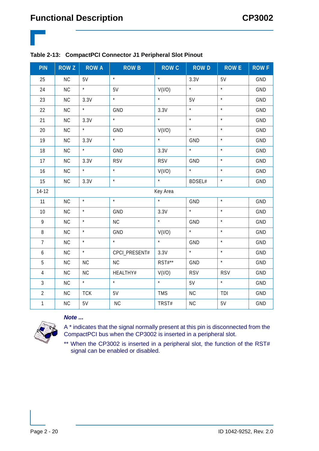

| Table 2-13: CompactPCI Connector J1 Peripheral Slot Pinout |  |
|------------------------------------------------------------|--|
|                                                            |  |

| <b>PIN</b>       | <b>ROW Z</b> | <b>ROWA</b> | <b>ROW B</b>  | <b>ROW C</b> | <b>ROWD</b> | <b>ROW E</b> | <b>ROWF</b> |
|------------------|--------------|-------------|---------------|--------------|-------------|--------------|-------------|
| 25               | NC           | 5V          | $\star$       | $\star$      | 3.3V        | 5V           | GND         |
| 24               | NC           | $^\star$    | 5V            | V(1/O)       | $^\star$    | $\star$      | GND         |
| 23               | NC           | 3.3V        | $\star$       | $\star$      | 5V          | $\star$      | GND         |
| 22               | NC           | $\star$     | GND           | 3.3V         | $\star$     | $\star$      | GND         |
| 21               | NC           | 3.3V        | $\star$       | $\star$      | $\star$     | $\star$      | GND         |
| 20               | NC           | $\star$     | GND           | V(1/O)       | $\star$     | $\star$      | GND         |
| 19               | NC           | 3.3V        | $\star$       | $\star$      | GND         | $\star$      | GND         |
| 18               | NC           | $\star$     | GND           | 3.3V         | $\star$     | $_{\star}$   | GND         |
| 17               | NC           | 3.3V        | <b>RSV</b>    | <b>RSV</b>   | GND         | $\star$      | GND         |
| 16               | NC           | $\star$     | $\star$       | V(1/O)       | $\star$     | $\star$      | GND         |
| 15               | NC           | 3.3V        | $\star$       | $\star$      | BDSEL#      | $\star$      | GND         |
| $14-12$          |              |             |               | Key Area     |             |              |             |
| 11               | NC           | $\star$     | $\star$       | $\star$      | GND         | $\star$      | GND         |
| 10               | NC           | $\star$     | GND           | 3.3V         | $\star$     | $\star$      | GND         |
| 9                | NC           | $\star$     | NC            | $\star$      | GND         | $\star$      | GND         |
| 8                | NC           | $\star$     | GND           | V(1/O)       | $^\star$    | $\star$      | GND         |
| $\overline{7}$   | NC           | $\star$     | $\star$       | $\star$      | GND         | $\star$      | GND         |
| $\boldsymbol{6}$ | $\rm NC$     | $\star$     | CPCI_PRESENT# | 3.3V         | $\star$     | $\star$      | GND         |
| 5                | $\rm NC$     | $\rm NC$    | <b>NC</b>     | $RST#***$    | GND         | $\star$      | GND         |
| $\overline{4}$   | NC           | NC          | HEALTHY#      | V(1/O)       | <b>RSV</b>  | <b>RSV</b>   | GND         |
| $\overline{3}$   | NC           | $\star$     | $\star$       | $\star$      | 5V          | $\star$      | GND         |
| $\overline{2}$   | <b>NC</b>    | <b>TCK</b>  | 5V            | TMS          | NC          | TDI          | GND         |
| $\mathbf{1}$     | NC           | 5V          | NC            | TRST#        | <b>NC</b>   | 5V           | GND         |



#### *Note ...*

A \* indicates that the signal normally present at this pin is disconnected from the CompactPCI bus when the CP3002 is inserted in a peripheral slot.

\*\* When the CP3002 is inserted in a peripheral slot, the function of the RST# signal can be enabled or disabled.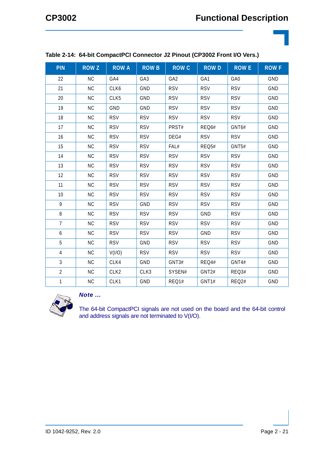

| <b>PIN</b>     | <b>ROW Z</b> | <b>ROW A</b> | <b>ROW B</b>    | <b>ROW C</b>    | <b>ROWD</b> | <b>ROWE</b> | <b>ROWF</b> |
|----------------|--------------|--------------|-----------------|-----------------|-------------|-------------|-------------|
| 22             | NC           | GA4          | GA <sub>3</sub> | GA <sub>2</sub> | GA1         | GA0         | GND         |
| 21             | NC           | CLK6         | GND             | <b>RSV</b>      | <b>RSV</b>  | <b>RSV</b>  | GND         |
| 20             | NC           | CLK5         | GND             | <b>RSV</b>      | <b>RSV</b>  | <b>RSV</b>  | GND         |
| 19             | NC           | GND          | GND             | <b>RSV</b>      | <b>RSV</b>  | <b>RSV</b>  | GND         |
| 18             | <b>NC</b>    | <b>RSV</b>   | <b>RSV</b>      | <b>RSV</b>      | <b>RSV</b>  | <b>RSV</b>  | GND         |
| 17             | NC           | <b>RSV</b>   | <b>RSV</b>      | PRST#           | REQ6#       | GNT6#       | <b>GND</b>  |
| 16             | NC           | <b>RSV</b>   | <b>RSV</b>      | DEG#            | <b>RSV</b>  | <b>RSV</b>  | GND         |
| 15             | <b>NC</b>    | <b>RSV</b>   | <b>RSV</b>      | FAL#            | REQ5#       | GNT5#       | GND         |
| 14             | NC           | <b>RSV</b>   | <b>RSV</b>      | <b>RSV</b>      | <b>RSV</b>  | <b>RSV</b>  | GND         |
| 13             | NC           | <b>RSV</b>   | <b>RSV</b>      | <b>RSV</b>      | <b>RSV</b>  | <b>RSV</b>  | GND         |
| 12             | NC           | <b>RSV</b>   | <b>RSV</b>      | <b>RSV</b>      | <b>RSV</b>  | <b>RSV</b>  | <b>GND</b>  |
| 11             | <b>NC</b>    | <b>RSV</b>   | <b>RSV</b>      | <b>RSV</b>      | <b>RSV</b>  | <b>RSV</b>  | <b>GND</b>  |
| 10             | NC           | <b>RSV</b>   | <b>RSV</b>      | <b>RSV</b>      | <b>RSV</b>  | <b>RSV</b>  | <b>GND</b>  |
| 9              | NC           | <b>RSV</b>   | GND             | <b>RSV</b>      | <b>RSV</b>  | <b>RSV</b>  | GND         |
| 8              | NC           | <b>RSV</b>   | <b>RSV</b>      | <b>RSV</b>      | GND         | <b>RSV</b>  | GND         |
| $\overline{7}$ | NC           | <b>RSV</b>   | <b>RSV</b>      | <b>RSV</b>      | <b>RSV</b>  | <b>RSV</b>  | GND         |
| 6              | NC           | <b>RSV</b>   | <b>RSV</b>      | <b>RSV</b>      | <b>GND</b>  | <b>RSV</b>  | <b>GND</b>  |
| 5              | NC           | <b>RSV</b>   | GND             | <b>RSV</b>      | <b>RSV</b>  | <b>RSV</b>  | GND         |
| $\overline{4}$ | NC           | V(1/O)       | <b>RSV</b>      | <b>RSV</b>      | <b>RSV</b>  | <b>RSV</b>  | GND         |
| $\mathfrak{Z}$ | NC           | CLK4         | GND             | GNT3#           | REQ4#       | GNT4#       | GND         |
| $\overline{2}$ | <b>NC</b>    | CLK2         | CLK3            | SYSEN#          | GNT2#       | REQ3#       | GND         |
| $\mathbf{1}$   | NC           | CLK1         | <b>GND</b>      | REQ1#           | GNT1#       | REQ2#       | GND         |

#### **Table 2-14: 64-bit CompactPCI Connector J2 Pinout (CP3002 Front I/O Vers.)**



#### *Note ...*

The 64-bit CompactPCI signals are not used on the board and the 64-bit control and address signals are not terminated to V(I/O).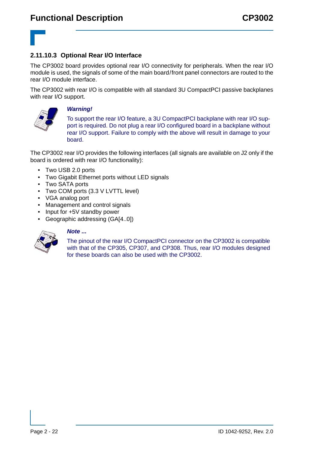

# **2.11.10.3 Optional Rear I/O Interface**

The CP3002 board provides optional rear I/O connectivity for peripherals. When the rear I/O module is used, the signals of some of the main board/front panel connectors are routed to the rear I/O module interface.

The CP3002 with rear I/O is compatible with all standard 3U CompactPCI passive backplanes with rear I/O support.



#### *Warning!*

To support the rear I/O feature, a 3U CompactPCI backplane with rear I/O support is required. Do not plug a rear I/O configured board in a backplane without rear I/O support. Failure to comply with the above will result in damage to your board.

The CP3002 rear I/O provides the following interfaces (all signals are available on J2 only if the board is ordered with rear I/O functionality):

- Two USB 2.0 ports
- Two Gigabit Ethernet ports without LED signals
- Two SATA ports
- Two COM ports (3.3 V LVTTL level)
- VGA analog port
- Management and control signals
- Input for +5V standby power
- Geographic addressing (GA[4..0])



#### *Note ...*

The pinout of the rear I/O CompactPCI connector on the CP3002 is compatible with that of the CP305, CP307, and CP308. Thus, rear I/O modules designed for these boards can also be used with the CP3002.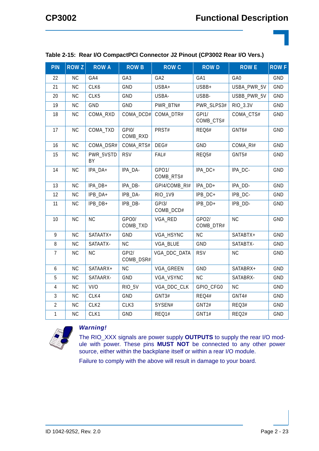

| <b>PIN</b>       | <b>ROW Z</b> | <b>ROWA</b>     | <b>ROW B</b>                    | <b>ROW C</b>       | <b>ROWD</b>                     | <b>ROWE</b> | <b>ROWF</b> |
|------------------|--------------|-----------------|---------------------------------|--------------------|---------------------------------|-------------|-------------|
| 22               | <b>NC</b>    | GA4             | GA <sub>3</sub>                 | GA <sub>2</sub>    | GA1                             | GA0         | GND         |
| 21               | NC           | CLK6            | GND                             | USBA+              | USBB+                           | USBA_PWR_5V | <b>GND</b>  |
| 20               | <b>NC</b>    | CLK5            | GND                             | USBA-              | USBB-                           | USBB_PWR_5V | <b>GND</b>  |
| 19               | <b>NC</b>    | GND             | GND                             | PWR_BTN#           | PWR_SLPS3#                      | RIO_3.3V    | GND         |
| 18               | NC           | COMA_RXD        | $COMA_DCD#$                     | COMA_DTR#          | GP11/<br>COMB_CTS#              | COMA_CTS#   | GND         |
| 17               | NC           | COMA_TXD        | GPI <sub>0</sub> /<br>COMB_RXD  | PRST#              | REQ6#                           | GNT6#       | GND         |
| 16               | <b>NC</b>    | COMA_DSR#       | COMA_RTS#                       | DEG#               | GND                             | COMA_RI#    | GND         |
| 15               | <b>NC</b>    | PWR_5VSTD<br>BY | <b>RSV</b>                      | FAL#               | REQ5#                           | GNT5#       | GND         |
| 14               | <b>NC</b>    | IPA_DA+         | IPA_DA-                         | GPO1/<br>COMB_RTS# | IPA_DC+                         | IPA_DC-     | GND         |
| 13               | <b>NC</b>    | IPA_DB+         | IPA_DB-                         | GPI4/COMB_RI#      | IPA_DD+                         | IPA_DD-     | GND         |
| 12               | NC           | IPB_DA+         | IPB_DA-                         | RIO_1V9            | IPB_DC+                         | IPB_DC-     | GND         |
| 11               | <b>NC</b>    | IPB_DB+         | IPB_DB-                         | GPI3/<br>COMB_DCD# | IPB_DD+                         | IPB_DD-     | GND         |
| 10               | <b>NC</b>    | <b>NC</b>       | GPO0/<br>COMB_TXD               | VGA_RED            | GPO <sub>2</sub> /<br>COMB_DTR# | <b>NC</b>   | GND         |
| 9                | <b>NC</b>    | SATAATX+        | GND                             | VGA_HSYNC          | NC                              | SATABTX+    | GND         |
| 8                | <b>NC</b>    | SATAATX-        | <b>NC</b>                       | VGA_BLUE           | GND                             | SATABTX-    | GND         |
| $\overline{7}$   | NC           | NC              | GPI <sub>2</sub> /<br>COMB_DSR# | VGA_DDC_DATA       | <b>RSV</b>                      | NC          | GND         |
| $\boldsymbol{6}$ | NC           | SATAARX+        | <b>NC</b>                       | VGA_GREEN          | GND                             | SATABRX+    | GND         |
| 5                | <b>NC</b>    | SATAARX-        | GND                             | VGA_VSYNC          | <b>NC</b>                       | SATABRX-    | GND         |
| $\overline{4}$   | NC           | VI/O            | RIO_5V                          | VGA_DDC_CLK        | GPIO_CFG0                       | <b>NC</b>   | GND         |
| 3                | NC           | CLK4            | GND                             | GNT3#              | REQ4#                           | GNT4#       | GND         |
| $\overline{2}$   | NC           | CLK2            | CLK3                            | SYSEN#             | GNT2#                           | REQ3#       | GND         |
| $\mathbf{1}$     | NC           | CLK1            | GND                             | REQ1#              | GNT1#                           | REQ2#       | GND         |

#### **Table 2-15: Rear I/O CompactPCI Connector J2 Pinout (CP3002 Rear I/O Vers.)**



# *Warning!*

The RIO\_XXX signals are power supply **OUTPUTS** to supply the rear I/O module with power. These pins **MUST NOT** be connected to any other power source, either within the backplane itself or within a rear I/O module.

Failure to comply with the above will result in damage to your board.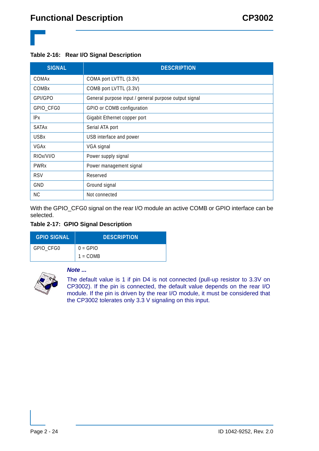

#### **Table 2-16: Rear I/O Signal Description**

| <b>SIGNAL</b>                   | <b>DESCRIPTION</b>                                                                                                                                    |  |  |
|---------------------------------|-------------------------------------------------------------------------------------------------------------------------------------------------------|--|--|
| COMAx                           | COMA port LVTTL (3.3V)                                                                                                                                |  |  |
| COMBx                           | COMB port LVTTL (3.3V)                                                                                                                                |  |  |
| GPI/GPO                         | General purpose input / general purpose output signal                                                                                                 |  |  |
| GPIO_CFG0                       | GPIO or COMB configuration                                                                                                                            |  |  |
| <b>IPx</b>                      | Gigabit Ethernet copper port                                                                                                                          |  |  |
| <b>SATAx</b>                    | Serial ATA port                                                                                                                                       |  |  |
| <b>USBx</b>                     | USB interface and power                                                                                                                               |  |  |
| <b>VGAx</b>                     | VGA signal                                                                                                                                            |  |  |
| RIOx/VI/O                       | Power supply signal                                                                                                                                   |  |  |
| <b>PWR<sub>x</sub></b>          | Power management signal                                                                                                                               |  |  |
| <b>RSV</b>                      | Reserved                                                                                                                                              |  |  |
| <b>GND</b>                      | Ground signal                                                                                                                                         |  |  |
| <b>NC</b>                       | Not connected                                                                                                                                         |  |  |
| selected.<br><b>GPIO SIGNAL</b> | With the GPIO_CFG0 signal on the rear I/O module an active COMB or GPIO interface can be<br>Table 2-17: GPIO Signal Description<br><b>DESCRIPTION</b> |  |  |
| GPIO_CFG0                       | $0 = GPIO$                                                                                                                                            |  |  |
|                                 |                                                                                                                                                       |  |  |
|                                 | $1 = COMB$                                                                                                                                            |  |  |

#### **Table 2-17: GPIO Signal Description**

| GPIO SIGNAL' | 'DESCRIPTION. |
|--------------|---------------|
| GPIO CFG0    | $0 = GPIO$    |
|              | $1 = COMB$    |



#### *Note ...*

The default value is 1 if pin D4 is not connected (pull-up resistor to 3.3V on CP3002). If the pin is connected, the default value depends on the rear I/O module. If the pin is driven by the rear I/O module, it must be considered that the CP3002 tolerates only 3.3 V signaling on this input.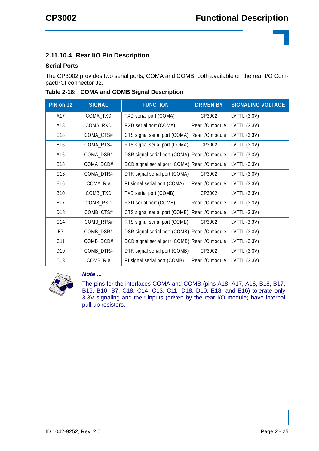

### **2.11.10.4 Rear I/O Pin Description**

#### **Serial Ports**

The CP3002 provides two serial ports, COMA and COMB, both available on the rear I/O CompactPCI connector J2.

| PIN on J2       | <b>SIGNAL</b> | <b>FUNCTION</b>               | <b>DRIVEN BY</b> | <b>SIGNALING VOLTAGE</b> |
|-----------------|---------------|-------------------------------|------------------|--------------------------|
| A17             | COMA_TXD      | TXD serial port (COMA)        | CP3002           | LVTTL (3.3V)             |
| A18             | COMA_RXD      | RXD serial port (COMA)        | Rear I/O module  | LVTTL (3.3V)             |
| E18             | COMA_CTS#     | CTS signal serial port (COMA) | Rear I/O module  | LVTTL (3.3V)             |
| <b>B16</b>      | COMA_RTS#     | RTS signal serial port (COMA) | CP3002           | LVTTL (3.3V)             |
| A16             | COMA_DSR#     | DSR signal serial port (COMA) | Rear I/O module  | LVTTL (3.3V)             |
| <b>B18</b>      | COMA_DCD#     | DCD signal serial port (COMA) | Rear I/O module  | LVTTL (3.3V)             |
| C18             | COMA_DTR#     | DTR signal serial port (COMA) | CP3002           | LVTTL (3.3V)             |
| E16             | COMA_RI#      | RI signal serial port (COMA)  | Rear I/O module  | LVTTL (3.3V)             |
| <b>B10</b>      | COMB_TXD      | TXD serial port (COMB)        | CP3002           | LVTTL (3.3V)             |
| <b>B17</b>      | COMB_RXD      | RXD serial port (COMB)        | Rear I/O module  | LVTTL (3.3V)             |
| D18             | COMB_CTS#     | CTS signal serial port (COMB) | Rear I/O module  | LVTTL (3.3V)             |
| C14             | COMB_RTS#     | RTS signal serial port (COMB) | CP3002           | LVTTL (3.3V)             |
| B7              | COMB_DSR#     | DSR signal serial port (COMB) | Rear I/O module  | LVTTL (3.3V)             |
| C11             | COMB_DCD#     | DCD signal serial port (COMB) | Rear I/O module  | LVTTL (3.3V)             |
| D <sub>10</sub> | COMB_DTR#     | DTR signal serial port (COMB) | CP3002           | LVTTL (3.3V)             |
| C13             | COMB_RI#      | RI signal serial port (COMB)  | Rear I/O module  | LVTTL (3.3V)             |

**Table 2-18: COMA and COMB Signal Description**



#### *Note ...*

The pins for the interfaces COMA and COMB (pins A18, A17, A16, B18, B17, B16, B10, B7, C18, C14, C13, C11, D18, D10, E18, and E16) tolerate only 3.3V signaling and their inputs (driven by the rear I/O module) have internal pull-up resistors.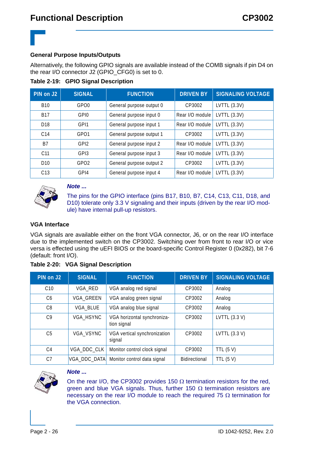

#### **General Purpose Inputs/Outputs**

Alternatively, the following GPIO signals are available instead of the COMB signals if pin D4 on the rear I/O connector J2 (GPIO\_CFG0) is set to 0.

**Table 2-19: GPIO Signal Description**

| PIN on J2       | <b>SIGNAL</b>     | <b>FUNCTION</b>          | <b>DRIVEN BY</b> | <b>SIGNALING VOLTAGE</b> |
|-----------------|-------------------|--------------------------|------------------|--------------------------|
| <b>B10</b>      | GP <sub>O0</sub>  | General purpose output 0 | CP3002           | LVTTL (3.3V)             |
| <b>B17</b>      | GPI <sub>0</sub>  | General purpose input 0  | Rear I/O module  | LVTTL (3.3V)             |
| D <sub>18</sub> | GPI1              | General purpose input 1  | Rear I/O module  | LVTTL (3.3V)             |
| C <sub>14</sub> | GP <sub>O</sub> 1 | General purpose output 1 | CP3002           | LVTTL (3.3V)             |
| <b>B7</b>       | GPI <sub>2</sub>  | General purpose input 2  | Rear I/O module  | LVTTL (3.3V)             |
| C <sub>11</sub> | GPI3              | General purpose input 3  | Rear I/O module  | LVTTL (3.3V)             |
| D <sub>10</sub> | GP <sub>O</sub> 2 | General purpose output 2 | CP3002           | LVTTL (3.3V)             |
| C13             | GP <sub>14</sub>  | General purpose input 4  | Rear I/O module  | LVTTL (3.3V)             |



# *Note ...*

The pins for the GPIO interface (pins B17, B10, B7, C14, C13, C11, D18, and D10) tolerate only 3.3 V signaling and their inputs (driven by the rear I/O module) have internal pull-up resistors.

#### **VGA Interface**

VGA signals are available either on the front VGA connector, J6, or on the rear I/O interface due to the implemented switch on the CP3002. Switching over from front to rear I/O or vice versa is effected using the uEFI BIOS or the board-specific Control Register 0 (0x282), bit 7-6 (default: front I/O).

| PIN on J2      | <b>SIGNAL</b> | <b>FUNCTION</b>                            | <b>DRIVEN BY</b>     | <b>SIGNALING VOLTAGE</b> |
|----------------|---------------|--------------------------------------------|----------------------|--------------------------|
| C10            | VGA_RED       | VGA analog red signal                      | CP3002               | Analog                   |
| C <sub>6</sub> | VGA_GREEN     | VGA analog green signal                    | CP3002               | Analog                   |
| C8             | VGA_BLUE      | VGA analog blue signal                     | CP3002               | Analog                   |
| C <sub>9</sub> | VGA_HSYNC     | VGA horizontal synchroniza-<br>tion signal | CP3002               | LVTTL (3.3 V)            |
| C <sub>5</sub> | VGA_VSYNC     | VGA vertical synchronization<br>signal     | CP3002               | LVTTL (3.3 V)            |
| C <sub>4</sub> | VGA_DDC_CLK   | Monitor control clock signal               | CP3002               | TTL $(5 V)$              |
| C <sub>7</sub> | VGA_DDC_DATA  | Monitor control data signal                | <b>Bidirectional</b> | TTL $(5 V)$              |

#### **Table 2-20: VGA Signal Description**



## *Note ...*

On the rear I/O, the CP3002 provides 150  $\Omega$  termination resistors for the red, green and blue VGA signals. Thus, further 150  $\Omega$  termination resistors are necessary on the rear I/O module to reach the required 75  $\Omega$  termination for the VGA connection.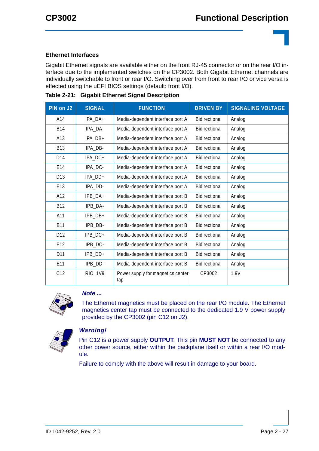#### **Ethernet Interfaces**

Gigabit Ethernet signals are available either on the front RJ-45 connector or on the rear I/O interface due to the implemented switches on the CP3002. Both Gigabit Ethernet channels are individually switchable to front or rear I/O. Switching over from front to rear I/O or vice versa is effected using the uEFI BIOS settings (default: front I/O).

| PIN on J2       | <b>SIGNAL</b> | <b>FUNCTION</b>                          | <b>DRIVEN BY</b>     | <b>SIGNALING VOLTAGE</b> |
|-----------------|---------------|------------------------------------------|----------------------|--------------------------|
| A14             | IPA_DA+       | Media-dependent interface port A         | Bidirectional        | Analog                   |
| <b>B14</b>      | IPA_DA-       | Media-dependent interface port A         | Bidirectional        | Analog                   |
| A13             | IPA_DB+       | Media-dependent interface port A         | Bidirectional        | Analog                   |
| <b>B13</b>      | IPA_DB-       | Media-dependent interface port A         | Bidirectional        | Analog                   |
| D14             | IPA_DC+       | Media-dependent interface port A         | Bidirectional        | Analog                   |
| E14             | IPA_DC-       | Media-dependent interface port A         | Bidirectional        | Analog                   |
| D13             | IPA_DD+       | Media-dependent interface port A         | Bidirectional        | Analog                   |
| E13             | IPA_DD-       | Media-dependent interface port A         | Bidirectional        | Analog                   |
| A12             | IPB_DA+       | Media-dependent interface port B         | Bidirectional        | Analog                   |
| <b>B12</b>      | IPB_DA-       | Media-dependent interface port B         | <b>Bidirectional</b> | Analog                   |
| A11             | IPB_DB+       | Media-dependent interface port B         | Bidirectional        | Analog                   |
| <b>B11</b>      | IPB_DB-       | Media-dependent interface port B         | Bidirectional        | Analog                   |
| D12             | IPB_DC+       | Media-dependent interface port B         | Bidirectional        | Analog                   |
| E12             | IPB_DC-       | Media-dependent interface port B         | Bidirectional        | Analog                   |
| D11             | IPB_DD+       | Media-dependent interface port B         | Bidirectional        | Analog                   |
| E <sub>11</sub> | IPB_DD-       | Media-dependent interface port B         | Bidirectional        | Analog                   |
| C12             | RIO_1V9       | Power supply for magnetics center<br>tap | CP3002               | 1.9V                     |

**Table 2-21: Gigabit Ethernet Signal Description**



#### *Note ...*

The Ethernet magnetics must be placed on the rear I/O module. The Ethernet magnetics center tap must be connected to the dedicated 1.9 V power supply provided by the CP3002 (pin C12 on J2).



#### *Warning!*

Pin C12 is a power supply **OUTPUT**. This pin **MUST NOT** be connected to any other power source, either within the backplane itself or within a rear I/O module.

Failure to comply with the above will result in damage to your board.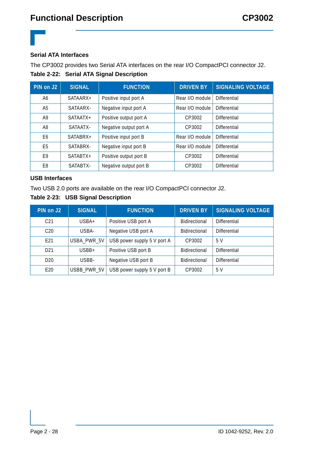

#### **Serial ATA Interfaces**

The CP3002 provides two Serial ATA interfaces on the rear I/O CompactPCI connector J2.

**Table 2-22: Serial ATA Signal Description**

| PIN on J2      | <b>SIGNAL</b> | <b>FUNCTION</b>        | <b>DRIVEN BY</b> | <b>SIGNALING VOLTAGE</b> |
|----------------|---------------|------------------------|------------------|--------------------------|
| A6             | $SATAARY+$    | Positive input port A  | Rear I/O module  | Differential             |
| A <sub>5</sub> | SATAARX-      | Negative input port A  | Rear I/O module  | Differential             |
| A9             | $SATAATX +$   | Positive output port A | CP3002           | Differential             |
| A8             | SATAATX-      | Negative output port A | CP3002           | Differential             |
| E6             | $SATABRX+$    | Positive input port B  | Rear I/O module  | Differential             |
| E <sub>5</sub> | SATABRX-      | Negative input port B  | Rear I/O module  | Differential             |
| E9             | SATABTX+      | Positive output port B | CP3002           | Differential             |
| E8             | SATABTX-      | Negative output port B | CP3002           | <b>Differential</b>      |

#### **USB Interfaces**

Two USB 2.0 ports are available on the rear I/O CompactPCI connector J2.

# **Table 2-23: USB Signal Description**

| PIN on J2       | <b>SIGNAL</b> | <b>FUNCTION</b>             | <b>DRIVEN BY</b>     | <b>SIGNALING VOLTAGE</b> |
|-----------------|---------------|-----------------------------|----------------------|--------------------------|
| C <sub>21</sub> | $USBA+$       | Positive USB port A         | <b>Bidirectional</b> | Differential             |
| C <sub>20</sub> | USBA-         | Negative USB port A         | <b>Bidirectional</b> | Differential             |
| F <sub>21</sub> | USBA_PWR_5V   | USB power supply 5 V port A | CP3002               | 5 V                      |
| D <sub>21</sub> | $USBB+$       | Positive USB port B         | <b>Bidirectional</b> | <b>Differential</b>      |
| D <sub>20</sub> | USBB-         | Negative USB port B         | <b>Bidirectional</b> | <b>Differential</b>      |
| E <sub>20</sub> | USBB_PWR_5V   | USB power supply 5 V port B | CP3002               | 5 V                      |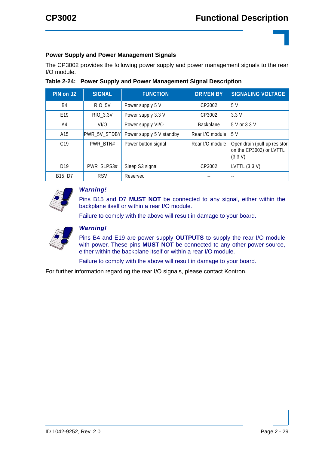

#### **Power Supply and Power Management Signals**

The CP3002 provides the following power supply and power management signals to the rear I/O module.

| Table 2-24: Power Supply and Power Management Signal Description |  |  |  |  |  |  |
|------------------------------------------------------------------|--|--|--|--|--|--|
|------------------------------------------------------------------|--|--|--|--|--|--|

| PIN on J2       | <b>SIGNAL</b>     | <b>FUNCTION</b>          | <b>DRIVEN BY</b> | <b>SIGNALING VOLTAGE</b>                                           |
|-----------------|-------------------|--------------------------|------------------|--------------------------------------------------------------------|
| B <sub>4</sub>  | RIO_5V            | Power supply 5 V         | CP3002           | 5V                                                                 |
| E <sub>19</sub> | RIO_3.3V          | Power supply 3.3 V       | CP3002           | 3.3V                                                               |
| A4              | V <sub>1</sub> /O | Power supply VI/O        | Backplane        | 5 V or 3.3 V                                                       |
| A15             | PWR_5V_STDBY      | Power supply 5 V standby | Rear I/O module  | 5V                                                                 |
| C <sub>19</sub> | PWR_BTN#          | Power button signal      | Rear I/O module  | Open drain (pull-up resistor<br>on the CP3002) or LVTTL<br>(3.3 V) |
| D <sub>19</sub> | PWR_SLPS3#        | Sleep S3 signal          | CP3002           | LVTTL $(3.3 V)$                                                    |
| B15, D7         | <b>RSV</b>        | Reserved                 | --               |                                                                    |



#### *Warning!*

Pins B15 and D7 **MUST NOT** be connected to any signal, either within the backplane itself or within a rear I/O module.

Failure to comply with the above will result in damage to your board.



#### *Warning!*

Pins B4 and E19 are power supply **OUTPUTS** to supply the rear I/O module with power. These pins **MUST NOT** be connected to any other power source, either within the backplane itself or within a rear I/O module.

Failure to comply with the above will result in damage to your board.

For further information regarding the rear I/O signals, please contact Kontron.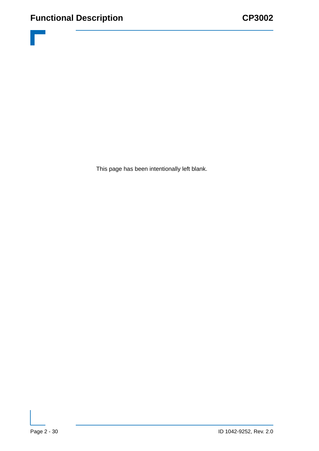

This page has been intentionally left blank.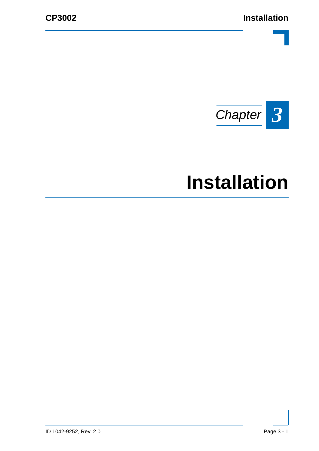

# **Installation**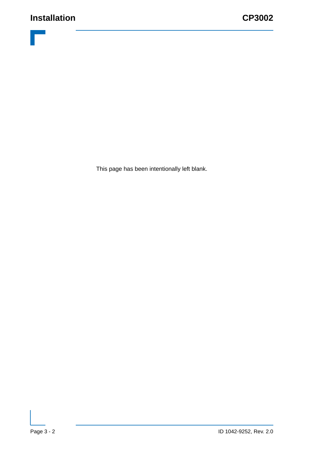# **Installation CP3002**



This page has been intentionally left blank.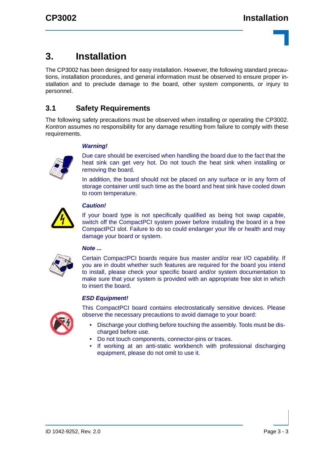# **3. Installation**

The CP3002 has been designed for easy installation. However, the following standard precautions, installation procedures, and general information must be observed to ensure proper installation and to preclude damage to the board, other system components, or injury to personnel.

# **3.1 Safety Requirements**

The following safety precautions must be observed when installing or operating the CP3002. *Kontron* assumes no responsibility for any damage resulting from failure to comply with these requirements.

#### *Warning!*



Due care should be exercised when handling the board due to the fact that the heat sink can get very hot. Do not touch the heat sink when installing or removing the board.

In addition, the board should not be placed on any surface or in any form of storage container until such time as the board and heat sink have cooled down to room temperature.



#### *Caution!*

If your board type is not specifically qualified as being hot swap capable, switch off the CompactPCI system power before installing the board in a free CompactPCI slot. Failure to do so could endanger your life or health and may damage your board or system.

#### *Note ...*



Certain CompactPCI boards require bus master and/or rear I/O capability. If you are in doubt whether such features are required for the board you intend to install, please check your specific board and/or system documentation to make sure that your system is provided with an appropriate free slot in which to insert the board.

#### *ESD Equipment!*



This CompactPCI board contains electrostatically sensitive devices. Please observe the necessary precautions to avoid damage to your board:

- Discharge your clothing before touching the assembly. Tools must be discharged before use.
- Do not touch components, connector-pins or traces.
- If working at an anti-static workbench with professional discharging equipment, please do not omit to use it.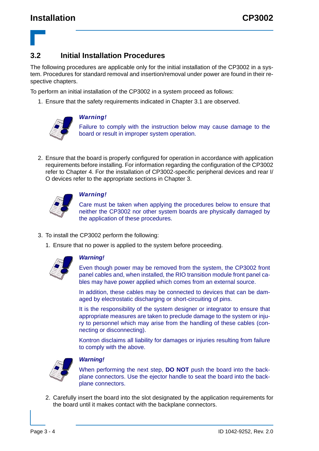

# **3.2 Initial Installation Procedures**

The following procedures are applicable only for the initial installation of the CP3002 in a system. Procedures for standard removal and insertion/removal under power are found in their respective chapters.

To perform an initial installation of the CP3002 in a system proceed as follows:

1. Ensure that the safety requirements indicated in Chapter 3.1 are observed.



#### *Warning!*

Failure to comply with the instruction below may cause damage to the board or result in improper system operation.

2. Ensure that the board is properly configured for operation in accordance with application requirements before installing. For information regarding the configuration of the CP3002 refer to Chapter 4. For the installation of CP3002-specific peripheral devices and rear I/ O devices refer to the appropriate sections in Chapter 3.



#### *Warning!*

Care must be taken when applying the procedures below to ensure that neither the CP3002 nor other system boards are physically damaged by the application of these procedures.

- 3. To install the CP3002 perform the following:
	- 1. Ensure that no power is applied to the system before proceeding.



#### *Warning!*

Even though power may be removed from the system, the CP3002 front panel cables and, when installed, the RIO transition module front panel cables may have power applied which comes from an external source.

In addition, these cables may be connected to devices that can be damaged by electrostatic discharging or short-circuiting of pins.

It is the responsibility of the system designer or integrator to ensure that appropriate measures are taken to preclude damage to the system or injury to personnel which may arise from the handling of these cables (connecting or disconnecting).

Kontron disclaims all liability for damages or injuries resulting from failure to comply with the above.



#### *Warning!*

When performing the next step, **DO NOT** push the board into the backplane connectors. Use the ejector handle to seat the board into the backplane connectors.

2. Carefully insert the board into the slot designated by the application requirements for the board until it makes contact with the backplane connectors.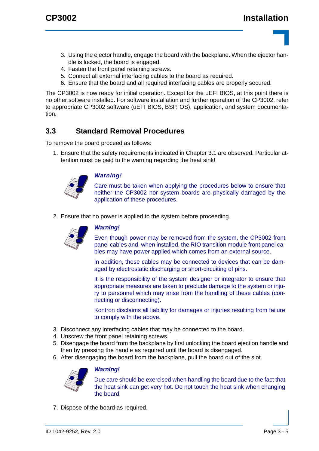- 3. Using the ejector handle, engage the board with the backplane. When the ejector handle is locked, the board is engaged.
- 4. Fasten the front panel retaining screws.
- 5. Connect all external interfacing cables to the board as required.
- 6. Ensure that the board and all required interfacing cables are properly secured.

The CP3002 is now ready for initial operation. Except for the uEFI BIOS, at this point there is no other software installed. For software installation and further operation of the CP3002, refer to appropriate CP3002 software (uEFI BIOS, BSP, OS), application, and system documentation.

# **3.3 Standard Removal Procedures**

To remove the board proceed as follows:

1. Ensure that the safety requirements indicated in Chapter 3.1 are observed. Particular attention must be paid to the warning regarding the heat sink!



#### *Warning!*

Care must be taken when applying the procedures below to ensure that neither the CP3002 nor system boards are physically damaged by the application of these procedures.

2. Ensure that no power is applied to the system before proceeding.



#### *Warning!*

Even though power may be removed from the system, the CP3002 front panel cables and, when installed, the RIO transition module front panel cables may have power applied which comes from an external source.

In addition, these cables may be connected to devices that can be damaged by electrostatic discharging or short-circuiting of pins.

It is the responsibility of the system designer or integrator to ensure that appropriate measures are taken to preclude damage to the system or injury to personnel which may arise from the handling of these cables (connecting or disconnecting).

Kontron disclaims all liability for damages or injuries resulting from failure to comply with the above.

- 3. Disconnect any interfacing cables that may be connected to the board.
- 4. Unscrew the front panel retaining screws.
- 5. Disengage the board from the backplane by first unlocking the board ejection handle and then by pressing the handle as required until the board is disengaged.
- 6. After disengaging the board from the backplane, pull the board out of the slot.



#### *Warning!*

Due care should be exercised when handling the board due to the fact that the heat sink can get very hot. Do not touch the heat sink when changing the board.

7. Dispose of the board as required.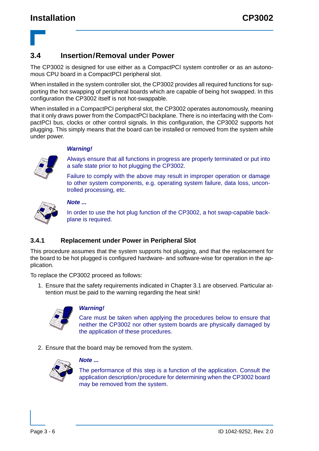# **3.4 Insertion/Removal under Power**

The CP3002 is designed for use either as a CompactPCI system controller or as an autonomous CPU board in a CompactPCI peripheral slot.

When installed in the system controller slot, the CP3002 provides all required functions for supporting the hot swapping of peripheral boards which are capable of being hot swapped. In this configuration the CP3002 itself is not hot-swappable.

When installed in a CompactPCI peripheral slot, the CP3002 operates autonomously, meaning that it only draws power from the CompactPCI backplane. There is no interfacing with the CompactPCI bus, clocks or other control signals. In this configuration, the CP3002 supports hot plugging. This simply means that the board can be installed or removed from the system while under power.



# *Warning!*

Always ensure that all functions in progress are properly terminated or put into a safe state prior to hot plugging the CP3002.

Failure to comply with the above may result in improper operation or damage to other system components, e.g. operating system failure, data loss, uncontrolled processing, etc.



# *Note ...*

In order to use the hot plug function of the CP3002, a hot swap-capable backplane is required.

# **3.4.1 Replacement under Power in Peripheral Slot**

This procedure assumes that the system supports hot plugging, and that the replacement for the board to be hot plugged is configured hardware- and software-wise for operation in the application.

To replace the CP3002 proceed as follows:

1. Ensure that the safety requirements indicated in Chapter 3.1 are observed. Particular attention must be paid to the warning regarding the heat sink!



# *Warning!*

Care must be taken when applying the procedures below to ensure that neither the CP3002 nor other system boards are physically damaged by the application of these procedures.

2. Ensure that the board may be removed from the system.



#### *Note ...*

The performance of this step is a function of the application. Consult the application description/procedure for determining when the CP3002 board may be removed from the system.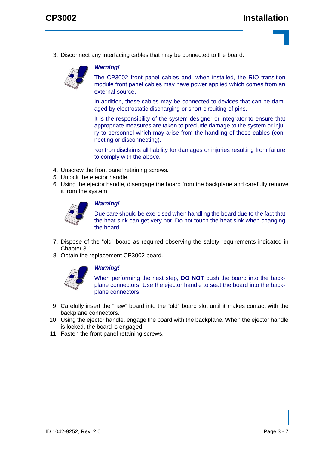3. Disconnect any interfacing cables that may be connected to the board.



#### *Warning!*

The CP3002 front panel cables and, when installed, the RIO transition module front panel cables may have power applied which comes from an external source.

In addition, these cables may be connected to devices that can be damaged by electrostatic discharging or short-circuiting of pins.

It is the responsibility of the system designer or integrator to ensure that appropriate measures are taken to preclude damage to the system or injury to personnel which may arise from the handling of these cables (connecting or disconnecting).

Kontron disclaims all liability for damages or injuries resulting from failure to comply with the above.

- 4. Unscrew the front panel retaining screws.
- 5. Unlock the ejector handle.
- 6. Using the ejector handle, disengage the board from the backplane and carefully remove it from the system.



#### *Warning!*

Due care should be exercised when handling the board due to the fact that the heat sink can get very hot. Do not touch the heat sink when changing the board.

- 7. Dispose of the "old" board as required observing the safety requirements indicated in Chapter 3.1.
- 8. Obtain the replacement CP3002 board.



#### *Warning!*

When performing the next step, **DO NOT** push the board into the backplane connectors. Use the ejector handle to seat the board into the backplane connectors.

- 9. Carefully insert the "new" board into the "old" board slot until it makes contact with the backplane connectors.
- 10. Using the ejector handle, engage the board with the backplane. When the ejector handle is locked, the board is engaged.
- 11. Fasten the front panel retaining screws.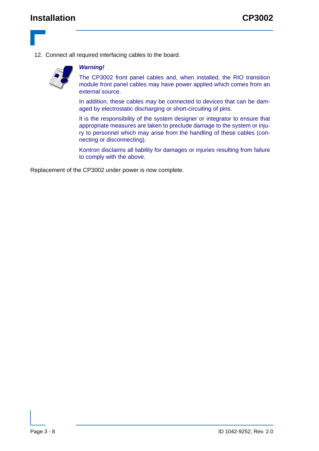

12. Connect all required interfacing cables to the board.



#### *Warning!*

The CP3002 front panel cables and, when installed, the RIO transition module front panel cables may have power applied which comes from an external source.

In addition, these cables may be connected to devices that can be damaged by electrostatic discharging or short-circuiting of pins.

It is the responsibility of the system designer or integrator to ensure that appropriate measures are taken to preclude damage to the system or injury to personnel which may arise from the handling of these cables (connecting or disconnecting).

Kontron disclaims all liability for damages or injuries resulting from failure to comply with the above.

Replacement of the CP3002 under power is now complete.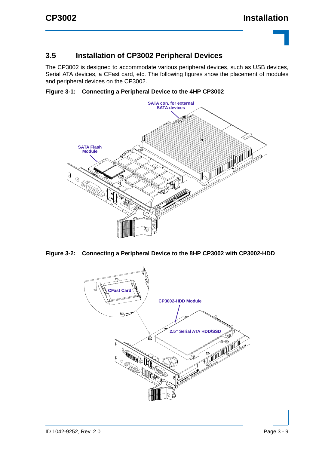# **3.5 Installation of CP3002 Peripheral Devices**

The CP3002 is designed to accommodate various peripheral devices, such as USB devices, Serial ATA devices, a CFast card, etc. The following figures show the placement of modules and peripheral devices on the CP3002.

**Figure 3-1: Connecting a Peripheral Device to the 4HP CP3002**



**Figure 3-2: Connecting a Peripheral Device to the 8HP CP3002 with CP3002-HDD**

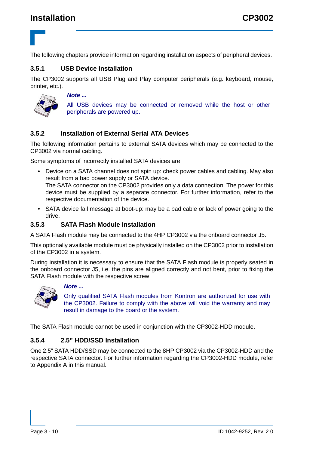# **Installation CP3002**

The following chapters provide information regarding installation aspects of peripheral devices.

# **3.5.1 USB Device Installation**

The CP3002 supports all USB Plug and Play computer peripherals (e.g. keyboard, mouse, printer, etc.).



# *Note ...*

All USB devices may be connected or removed while the host or other peripherals are powered up.

# **3.5.2 Installation of External Serial ATA Devices**

The following information pertains to external SATA devices which may be connected to the CP3002 via normal cabling.

Some symptoms of incorrectly installed SATA devices are:

- Device on a SATA channel does not spin up: check power cables and cabling. May also result from a bad power supply or SATA device. The SATA connector on the CP3002 provides only a data connection. The power for this device must be supplied by a separate connector. For further information, refer to the respective documentation of the device.
- SATA device fail message at boot-up: may be a bad cable or lack of power going to the drive.

# **3.5.3 SATA Flash Module Installation**

A SATA Flash module may be connected to the 4HP CP3002 via the onboard connector J5.

This optionally available module must be physically installed on the CP3002 prior to installation of the CP3002 in a system.

During installation it is necessary to ensure that the SATA Flash module is properly seated in the onboard connector J5, i.e. the pins are aligned correctly and not bent, prior to fixing the SATA Flash module with the respective screw



#### *Note ...*

Only qualified SATA Flash modules from Kontron are authorized for use with the CP3002. Failure to comply with the above will void the warranty and may result in damage to the board or the system.

The SATA Flash module cannot be used in conjunction with the CP3002-HDD module.

# **3.5.4 2.5" HDD/SSD Installation**

One 2.5" SATA HDD/SSD may be connected to the 8HP CP3002 via the CP3002-HDD and the respective SATA connector. For further information regarding the CP3002-HDD module, refer to Appendix A in this manual.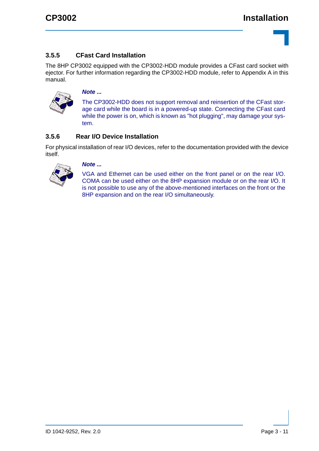

# **3.5.5 CFast Card Installation**

The 8HP CP3002 equipped with the CP3002-HDD module provides a CFast card socket with ejector. For further information regarding the CP3002-HDD module, refer to Appendix A in this manual.



# *Note ...*

The CP3002-HDD does not support removal and reinsertion of the CFast storage card while the board is in a powered-up state. Connecting the CFast card while the power is on, which is known as "hot plugging", may damage your system.

# **3.5.6 Rear I/O Device Installation**

For physical installation of rear I/O devices, refer to the documentation provided with the device itself.



# *Note ...*

VGA and Ethernet can be used either on the front panel or on the rear I/O. COMA can be used either on the 8HP expansion module or on the rear I/O. It is not possible to use any of the above-mentioned interfaces on the front or the 8HP expansion and on the rear I/O simultaneously.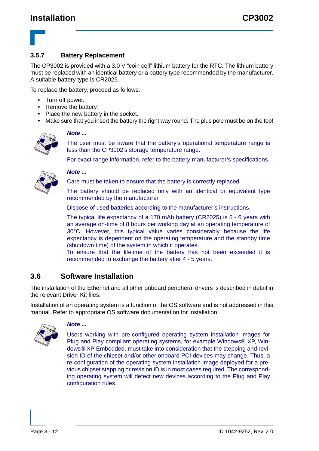

# **3.5.7 Battery Replacement**

The CP3002 is provided with a 3.0 V "coin cell" lithium battery for the RTC. The lithium battery must be replaced with an identical battery or a battery type recommended by the manufacturer. A suitable battery type is CR2025.

To replace the battery, proceed as follows:

- Turn off power.
- Remove the battery.
- Place the new battery in the socket.
- Make sure that you insert the battery the right way round. The plus pole must be on the top!



#### *Note ...*

The user must be aware that the battery's operational temperature range is less than the CP3002's storage temperature range.

For exact range information, refer to the battery manufacturer's specifications.



# *Note ...*

Care must be taken to ensure that the battery is correctly replaced.

The battery should be replaced only with an identical or equivalent type recommended by the manufacturer.

Dispose of used batteries according to the manufacturer's instructions.

The typical life expectancy of a 170 mAh battery (CR2025) is 5 - 6 years with an average on-time of 8 hours per working day at an operating temperature of 30°C. However, this typical value varies considerably because the life expectancy is dependent on the operating temperature and the standby time (shutdown time) of the system in which it operates.

To ensure that the lifetime of the battery has not been exceeded it is recommended to exchange the battery after 4 - 5 years.

# **3.6 Software Installation**

The installation of the Ethernet and all other onboard peripheral drivers is described in detail in the relevant Driver Kit files.

Installation of an operating system is a function of the OS software and is not addressed in this manual. Refer to appropriate OS software documentation for installation.



#### *Note ...*

Users working with pre-configured operating system installation images for Plug and Play compliant operating systems, for example Windows® XP, Windows® XP Embedded, must take into consideration that the stepping and revision ID of the chipset and/or other onboard PCI devices may change. Thus, a re-configuration of the operating system installation image deployed for a previous chipset stepping or revision ID is in most cases required. The corresponding operating system will detect new devices according to the Plug and Play configuration rules.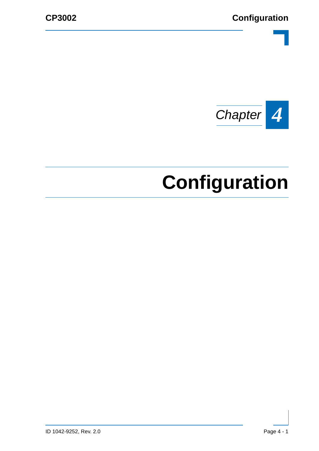

# **Configuration**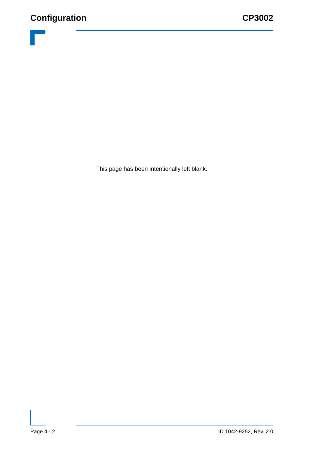# **Configuration CP3002**



This page has been intentionally left blank.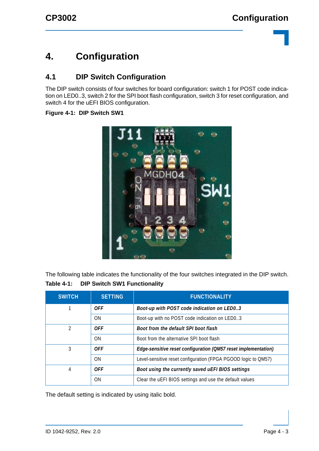

# **4. Configuration**

# **4.1 DIP Switch Configuration**

The DIP switch consists of four switches for board configuration: switch 1 for POST code indication on LED0..3, switch 2 for the SPI boot flash configuration, switch 3 for reset configuration, and switch 4 for the uEFI BIOS configuration.

# **Figure 4-1: DIP Switch SW1**



The following table indicates the functionality of the four switches integrated in the DIP switch. **Table 4-1: DIP Switch SW1 Functionality**

| <b>SWITCH</b>                                                 | <b>SETTING</b> | <b>FUNCTIONALITY</b>                                           |  |
|---------------------------------------------------------------|----------------|----------------------------------------------------------------|--|
|                                                               | 0FF            | Boot-up with POST code indication on LED03                     |  |
|                                                               | 0 <sub>N</sub> | Boot-up with no POST code indication on LED03                  |  |
| $\mathfrak{D}$                                                | 0FF            | Boot from the default SPI boot flash                           |  |
|                                                               | 0 <sub>N</sub> | Boot from the alternative SPI boot flash                       |  |
| 3                                                             | 0FF            | Edge-sensitive reset configuration (QM57 reset implementation) |  |
|                                                               | 0 <sub>N</sub> | Level-sensitive reset configuration (FPGA PGOOD logic to QM57) |  |
| 0FF<br>Boot using the currently saved uEFI BIOS settings<br>4 |                |                                                                |  |
|                                                               | <b>ON</b>      | Clear the uEFI BIOS settings and use the default values        |  |

The default setting is indicated by using italic bold.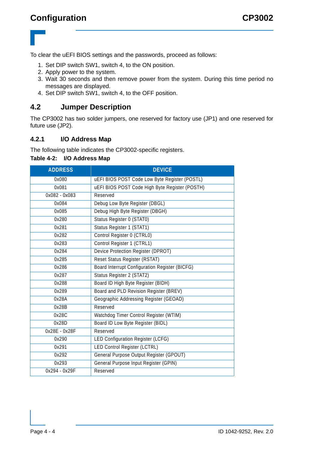# **Configuration CP3002**

To clear the uEFI BIOS settings and the passwords, proceed as follows:

- 1. Set DIP switch SW1, switch 4, to the ON position.
- 2. Apply power to the system.
- 3. Wait 30 seconds and then remove power from the system. During this time period no messages are displayed.
- 4. Set DIP switch SW1, switch 4, to the OFF position.

# **4.2 Jumper Description**

The CP3002 has two solder jumpers, one reserved for factory use (JP1) and one reserved for future use (JP2).

# **4.2.1 I/O Address Map**

The following table indicates the CP3002-specific registers.

#### **Table 4-2: I/O Address Map**

| <b>ADDRESS</b> | <b>DEVICE</b>                                         |
|----------------|-------------------------------------------------------|
| 0x080          | uEFI BIOS POST Code Low Byte Register (POSTL)         |
| 0x081          | uEFI BIOS POST Code High Byte Register (POSTH)        |
| 0x082 - 0x083  | Reserved                                              |
| 0x084          | Debug Low Byte Register (DBGL)                        |
| 0x085          | Debug High Byte Register (DBGH)                       |
| 0x280          | Status Register 0 (STAT0)                             |
| 0x281          | Status Register 1 (STAT1)                             |
| 0x282          | Control Register 0 (CTRL0)                            |
| 0x283          | Control Register 1 (CTRL1)                            |
| 0x284          | <b>Device Protection Register (DPROT)</b>             |
| 0x285          | Reset Status Register (RSTAT)                         |
| 0x286          | <b>Board Interrupt Configuration Register (BICFG)</b> |
| 0x287          | Status Register 2 (STAT2)                             |
| 0x288          | Board ID High Byte Register (BIDH)                    |
| 0x289          | Board and PLD Revision Register (BREV)                |
| 0x28A          | Geographic Addressing Register (GEOAD)                |
| 0x28B          | Reserved                                              |
| 0x28C          | Watchdog Timer Control Register (WTIM)                |
| 0x28D          | Board ID Low Byte Register (BIDL)                     |
| 0x28E - 0x28F  | Reserved                                              |
| 0x290          | <b>LED Configuration Register (LCFG)</b>              |
| 0x291          | <b>LED Control Register (LCTRL)</b>                   |
| 0x292          | General Purpose Output Register (GPOUT)               |
| 0x293          | General Purpose Input Register (GPIN)                 |
| 0x294 - 0x29F  | Reserved                                              |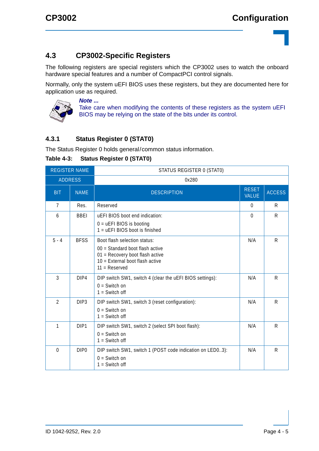

The following registers are special registers which the CP3002 uses to watch the onboard hardware special features and a number of CompactPCI control signals.

Normally, only the system uEFI BIOS uses these registers, but they are documented here for application use as required.



*Note ...* Take care when modifying the contents of these registers as the system uEFI BIOS may be relying on the state of the bits under its control.

# **4.3.1 Status Register 0 (STAT0)**

The Status Register 0 holds general/common status information.

# **Table 4-3: Status Register 0 (STAT0)**

| <b>REGISTER NAME</b> |                  | STATUS REGISTER 0 (STAT0)                                                                                                                                |                              |               |
|----------------------|------------------|----------------------------------------------------------------------------------------------------------------------------------------------------------|------------------------------|---------------|
|                      | <b>ADDRESS</b>   | 0x280                                                                                                                                                    |                              |               |
| <b>BIT</b>           | <b>NAME</b>      | <b>DESCRIPTION</b>                                                                                                                                       | <b>RESET</b><br><b>VALUE</b> | <b>ACCESS</b> |
| 7                    | Res.             | Reserved                                                                                                                                                 | $\Omega$                     | R             |
| 6                    | <b>BBEI</b>      | uEFI BIOS boot end indication:<br>$0 = uEFI$ BIOS is booting<br>1 = uEFI BIOS boot is finished                                                           | $\mathbf{0}$                 | R             |
| $5 - 4$              | <b>BFSS</b>      | Boot flash selection status:<br>00 = Standard boot flash active<br>01 = Recovery boot flash active<br>10 = External boot flash active<br>$11 =$ Reserved | N/A                          | R             |
| $\overline{3}$       | DIP4             | DIP switch SW1, switch 4 (clear the uEFI BIOS settings):<br>$0 =$ Switch on<br>$1 =$ Switch off                                                          | N/A                          | R             |
| $\overline{2}$       | DIP <sub>3</sub> | DIP switch SW1, switch 3 (reset configuration):<br>$0 =$ Switch on<br>$1 =$ Switch off                                                                   | N/A                          | R             |
| $\mathbf{1}$         | DIP1             | DIP switch SW1, switch 2 (select SPI boot flash):<br>$0 =$ Switch on<br>$1 =$ Switch off                                                                 | N/A                          | R             |
| $\Omega$             | DIP <sub>0</sub> | DIP switch SW1, switch 1 (POST code indication on LED03):<br>$0 =$ Switch on<br>$1 =$ Switch off                                                         | N/A                          | R             |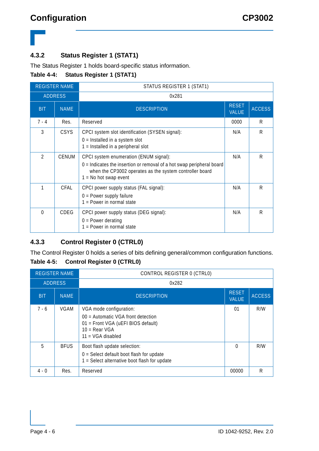

# **4.3.2 Status Register 1 (STAT1)**

The Status Register 1 holds board-specific status information.

# **Table 4-4: Status Register 1 (STAT1)**

| <b>REGISTER NAME</b> |                | STATUS REGISTER 1 (STAT1)                                                                                                                                                                             |                              |               |  |  |
|----------------------|----------------|-------------------------------------------------------------------------------------------------------------------------------------------------------------------------------------------------------|------------------------------|---------------|--|--|
|                      | <b>ADDRESS</b> | 0x281                                                                                                                                                                                                 |                              |               |  |  |
| <b>BIT</b>           | <b>NAME</b>    | <b>DESCRIPTION</b>                                                                                                                                                                                    | <b>RESET</b><br><b>VALUE</b> | <b>ACCESS</b> |  |  |
| $7 - 4$              | Res.           | Reserved                                                                                                                                                                                              | 0000                         | R             |  |  |
| 3                    | <b>CSYS</b>    | CPCI system slot identification (SYSEN signal):<br>$0 =$ Installed in a system slot<br>1 = Installed in a peripheral slot                                                                             | N/A                          | R             |  |  |
| $\overline{2}$       | CENUM          | CPCI system enumeration (ENUM signal):<br>0 = Indicates the insertion or removal of a hot swap peripheral board<br>when the CP3002 operates as the system controller board<br>$1 = No hot swap event$ | N/A                          | R             |  |  |
| 1                    | CFAL           | CPCI power supply status (FAL signal):<br>$0 = Power$ supply failure<br>$1 = Power$ in normal state                                                                                                   | N/A                          | R             |  |  |
| $\Omega$             | CDEG           | CPCI power supply status (DEG signal):<br>$0 = Power$ derating<br>$1 = Power$ in normal state                                                                                                         | N/A                          | R             |  |  |

# **4.3.3 Control Register 0 (CTRL0)**

The Control Register 0 holds a series of bits defining general/common configuration functions. **Table 4-5: Control Register 0 (CTRL0)**

| <b>REGISTER NAME</b> |                | CONTROL REGISTER 0 (CTRL0)                                                                                                                    |                              |               |
|----------------------|----------------|-----------------------------------------------------------------------------------------------------------------------------------------------|------------------------------|---------------|
|                      | <b>ADDRESS</b> | 0x282                                                                                                                                         |                              |               |
| <b>BIT</b>           | <b>NAME</b>    | <b>DESCRIPTION</b>                                                                                                                            | <b>RESET</b><br><b>VALUE</b> | <b>ACCESS</b> |
| $7 - 6$              | <b>VGAM</b>    | VGA mode configuration:<br>00 = Automatic VGA front detection<br>01 = Front VGA (uEFI BIOS default)<br>$10 =$ Rear VGA<br>$11 = VGA$ disabled | 01                           | R/W           |
| 5                    | <b>BFUS</b>    | Boot flash update selection:<br>$0 =$ Select default boot flash for update<br>$1 =$ Select alternative boot flash for update                  | $\Omega$                     | R/W           |
| $4 - 0$              | Res.           | Reserved                                                                                                                                      | 00000                        | R             |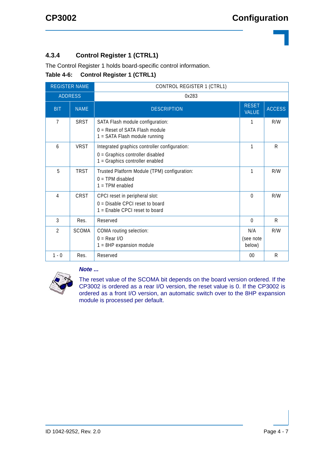# **4.3.4 Control Register 1 (CTRL1)**

The Control Register 1 holds board-specific control information.

# **Table 4-6: Control Register 1 (CTRL1)**

|                | <b>REGISTER NAME</b><br>CONTROL REGISTER 1 (CTRL1) |                                                                                                                          |                              |               |  |  |
|----------------|----------------------------------------------------|--------------------------------------------------------------------------------------------------------------------------|------------------------------|---------------|--|--|
|                | <b>ADDRESS</b>                                     | 0x283                                                                                                                    |                              |               |  |  |
| <b>BIT</b>     | <b>NAME</b>                                        | <b>DESCRIPTION</b>                                                                                                       | <b>RESET</b><br><b>VALUE</b> | <b>ACCESS</b> |  |  |
| 7              | SRST                                               | SATA Flash module configuration:<br>0 = Reset of SATA Flash module<br>$1 = \text{SATA}$ Flash module running             | 1                            | R/W           |  |  |
| 6              | <b>VRST</b>                                        | Integrated graphics controller configuration:<br>$0 =$ Graphics controller disabled<br>$1 =$ Graphics controller enabled | 1                            | $\mathsf{R}$  |  |  |
| 5              | <b>TRST</b>                                        | Trusted Platform Module (TPM) configuration:<br>$0 = TPM$ disabled<br>$1 = TPM$ enabled                                  |                              | R/W           |  |  |
| $\overline{4}$ | CRST                                               | CPCI reset in peripheral slot:<br>$0 = Disable$ CPCI reset to board<br>1 = Enable CPCI reset to board                    | $\Omega$                     | R/W           |  |  |
| 3              | Res.                                               | Reserved                                                                                                                 | $\Omega$                     | R             |  |  |
| $\overline{2}$ | <b>SCOMA</b>                                       | COMA routing selection:<br>$0 =$ Rear I/O<br>$1 = 8HP$ expansion module                                                  | N/A<br>(see note<br>below)   | R/W           |  |  |
| $1 - 0$        | Res.                                               | Reserved                                                                                                                 | 0 <sub>0</sub>               | R             |  |  |



# *Note ...*

The reset value of the SCOMA bit depends on the board version ordered. If the CP3002 is ordered as a rear I/O version, the reset value is 0. If the CP3002 is ordered as a front I/O version, an automatic switch over to the 8HP expansion module is processed per default.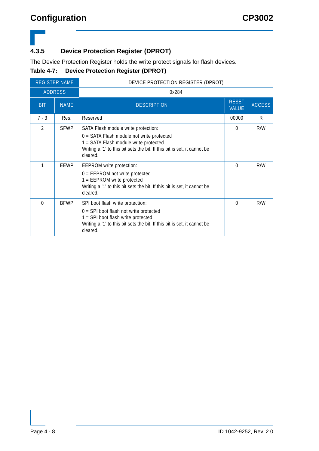# **4.3.5 Device Protection Register (DPROT)**

The Device Protection Register holds the write protect signals for flash devices.

# **Table 4-7: Device Protection Register (DPROT)**

| <b>REGISTER NAME</b> |             | DEVICE PROTECTION REGISTER (DPROT)                                                                                                                                                                                         |                              |               |  |  |
|----------------------|-------------|----------------------------------------------------------------------------------------------------------------------------------------------------------------------------------------------------------------------------|------------------------------|---------------|--|--|
| <b>ADDRESS</b>       |             | 0x284                                                                                                                                                                                                                      |                              |               |  |  |
| <b>BIT</b>           | <b>NAME</b> | <b>DESCRIPTION</b>                                                                                                                                                                                                         | <b>RESET</b><br><b>VALUE</b> | <b>ACCESS</b> |  |  |
| $7 - 3$              | Res.        | Reserved                                                                                                                                                                                                                   | 00000                        | R             |  |  |
| $\mathfrak{D}$       | <b>SFWP</b> | SATA Flash module write protection:<br>$0 = \text{SATA}$ Flash module not write protected<br>1 = SATA Flash module write protected<br>Writing a '1' to this bit sets the bit. If this bit is set, it cannot be<br>cleared. | $\Omega$                     | R/W           |  |  |
|                      | EEWP        | <b>EEPROM</b> write protection:<br>$0 = EEPROM$ not write protected<br>1 = EEPROM write protected<br>Writing a '1' to this bit sets the bit. If this bit is set, it cannot be<br>cleared.                                  | $\Omega$                     | R/W           |  |  |
| $\Omega$             | <b>BFWP</b> | SPI boot flash write protection:<br>$0 =$ SPI boot flash not write protected<br>1 = SPI boot flash write protected<br>Writing a '1' to this bit sets the bit. If this bit is set, it cannot be<br>cleared.                 | $\Omega$                     | R/W           |  |  |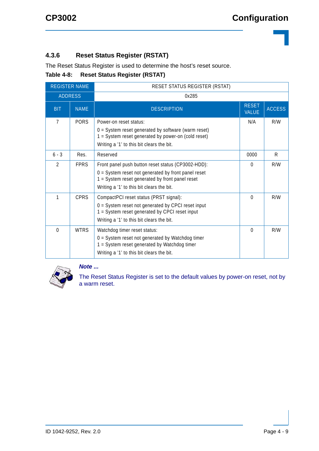

# **4.3.6 Reset Status Register (RSTAT)**

The Reset Status Register is used to determine the host's reset source.

# **Table 4-8: Reset Status Register (RSTAT)**

| <b>REGISTER NAME</b> |                | RESET STATUS REGISTER (RSTAT)                                                                                                                                                                               |                              |               |  |  |
|----------------------|----------------|-------------------------------------------------------------------------------------------------------------------------------------------------------------------------------------------------------------|------------------------------|---------------|--|--|
|                      | <b>ADDRESS</b> | 0x285                                                                                                                                                                                                       |                              |               |  |  |
| <b>BIT</b>           | <b>NAME</b>    | <b>DESCRIPTION</b>                                                                                                                                                                                          | <b>RESET</b><br><b>VALUE</b> | <b>ACCESS</b> |  |  |
| 7                    | <b>PORS</b>    | Power-on reset status:<br>$0 = System$ reset generated by software (warm reset)<br>1 = System reset generated by power-on (cold reset)<br>Writing a '1' to this bit clears the bit.                         | N/A                          | R/W           |  |  |
| $6 - 3$              | Res.           | Reserved                                                                                                                                                                                                    | 0000                         | R             |  |  |
| $\mathfrak{D}$       | <b>FPRS</b>    | Front panel push button reset status (CP3002-HDD):<br>$0 = System$ reset not generated by front panel reset<br>1 = System reset generated by front panel reset<br>Writing a '1' to this bit clears the bit. | $\Omega$                     | R/W           |  |  |
|                      | <b>CPRS</b>    | CompactPCI reset status (PRST signal):<br>0 = System reset not generated by CPCI reset input<br>1 = System reset generated by CPCI reset input<br>Writing a '1' to this bit clears the bit.                 | $\Omega$                     | R/W           |  |  |
| $\Omega$             | <b>WTRS</b>    | Watchdog timer reset status:<br>$0 =$ System reset not generated by Watchdog timer<br>1 = System reset generated by Watchdog timer<br>Writing a '1' to this bit clears the bit.                             | $\Omega$                     | R/W           |  |  |



# *Note ...*

The Reset Status Register is set to the default values by power-on reset, not by a warm reset.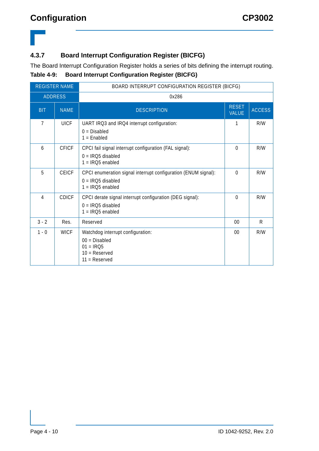# **4.3.7 Board Interrupt Configuration Register (BICFG)**

The Board Interrupt Configuration Register holds a series of bits defining the interrupt routing. **Table 4-9: Board Interrupt Configuration Register (BICFG)**

|                | <b>REGISTER NAME</b> | BOARD INTERRUPT CONFIGURATION REGISTER (BICFG)                                                              |                              |               |
|----------------|----------------------|-------------------------------------------------------------------------------------------------------------|------------------------------|---------------|
|                | <b>ADDRESS</b>       | 0x286                                                                                                       |                              |               |
| <b>BIT</b>     | <b>NAME</b>          | <b>DESCRIPTION</b>                                                                                          | <b>RESET</b><br><b>VALUE</b> | <b>ACCESS</b> |
| $\overline{7}$ | <b>UICF</b>          | UART IRQ3 and IRQ4 interrupt configuration:<br>$0 = Disabled$<br>$1 =$ Enabled                              | 1                            | R/W           |
| 6              | <b>CFICF</b>         | CPCI fail signal interrupt configuration (FAL signal):<br>$0 = IRQ5$ disabled<br>$1 = IRQ5$ enabled         | $\Omega$                     | R/W           |
| 5              | <b>CEICF</b>         | CPCI enumeration signal interrupt configuration (ENUM signal):<br>$0 = IRQ5$ disabled<br>$1 = IRQ5$ enabled | $\overline{0}$               | R/W           |
| 4              | <b>CDICF</b>         | CPCI derate signal interrupt configuration (DEG signal):<br>$0 = IRQ5$ disabled<br>$1 = IRQ5$ enabled       | $\overline{0}$               | R/W           |
| $3 - 2$        | Res.                 | Reserved                                                                                                    | $00\,$                       | R             |
| $1 - 0$        | <b>WICF</b>          | Watchdog interrupt configuration:<br>$00 = Disabled$<br>$01 = IRQ5$<br>$10 =$ Reserved<br>$11 =$ Reserved   | $00\,$                       | R/W           |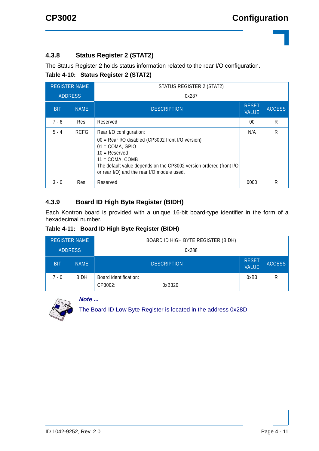

# **4.3.8 Status Register 2 (STAT2)**

The Status Register 2 holds status information related to the rear I/O configuration.

# **Table 4-10: Status Register 2 (STAT2)**

| <b>REGISTER NAME</b><br>STATUS REGISTER 2 (STAT2) |             |                                                                                                                                                                                                                                                                |                              |               |  |  |  |
|---------------------------------------------------|-------------|----------------------------------------------------------------------------------------------------------------------------------------------------------------------------------------------------------------------------------------------------------------|------------------------------|---------------|--|--|--|
|                                                   | ADDRESS     | 0x287                                                                                                                                                                                                                                                          |                              |               |  |  |  |
| <b>BIT</b>                                        | <b>NAME</b> | <b>DESCRIPTION</b>                                                                                                                                                                                                                                             | <b>RESET</b><br><b>VALUE</b> | <b>ACCESS</b> |  |  |  |
| $7 - 6$                                           | Res.        | Reserved                                                                                                                                                                                                                                                       | $00\,$                       | R             |  |  |  |
| $5 - 4$                                           | <b>RCFG</b> | Rear I/O configuration:<br>00 = Rear I/O disabled (CP3002 front I/O version)<br>$01 = COMA$ , GPIO<br>$10 =$ Reserved<br>$11 = COMA, COMB$<br>The default value depends on the CP3002 version ordered (front I/O<br>or rear I/O) and the rear I/O module used. | N/A                          | R             |  |  |  |
| $3 - 0$                                           | Res.        | Reserved                                                                                                                                                                                                                                                       | 0000                         | R             |  |  |  |

# **4.3.9 Board ID High Byte Register (BIDH)**

Each Kontron board is provided with a unique 16-bit board-type identifier in the form of a hexadecimal number.

# **Table 4-11: Board ID High Byte Register (BIDH)**

| <b>REGISTER NAME</b><br>BOARD ID HIGH BYTE REGISTER (BIDH) |             |                                            |                              |               |
|------------------------------------------------------------|-------------|--------------------------------------------|------------------------------|---------------|
|                                                            | ADDRESS     | 0x288                                      |                              |               |
| <b>BIT</b>                                                 | <b>NAME</b> | <b>DESCRIPTION</b>                         | <b>RESET</b><br><b>VALUE</b> | <b>ACCESS</b> |
| $^{\prime}$ - 0                                            | <b>BIDH</b> | Board identification:<br>CP3002:<br>0xB320 | 0xB3                         | R             |



# *Note ...*

The Board ID Low Byte Register is located in the address 0x28D.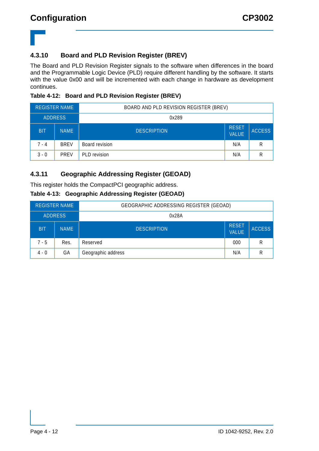

# **4.3.10 Board and PLD Revision Register (BREV)**

The Board and PLD Revision Register signals to the software when differences in the board and the Programmable Logic Device (PLD) require different handling by the software. It starts with the value 0x00 and will be incremented with each change in hardware as development continues.

| Table 4-12: Board and PLD Revision Register (BREV) |  |
|----------------------------------------------------|--|
|                                                    |  |

|                | <b>REGISTER NAME</b><br>BOARD AND PLD REVISION REGISTER (BREV) |                    |     |               |
|----------------|----------------------------------------------------------------|--------------------|-----|---------------|
| <b>ADDRESS</b> |                                                                | 0x289              |     |               |
| <b>BIT</b>     | <b>NAME</b>                                                    | <b>DESCRIPTION</b> |     | <b>ACCESS</b> |
| 1 - 4          | <b>BRFV</b>                                                    | Board revision     | N/A | R             |
| $3 - 0$        | <b>PREV</b>                                                    | PLD revision       | N/A |               |

# **4.3.11 Geographic Addressing Register (GEOAD)**

This register holds the CompactPCI geographic address.

#### **Table 4-13: Geographic Addressing Register (GEOAD)**

| <b>REGISTER NAME</b><br>GEOGRAPHIC ADDRESSING REGISTER (GEOAD) |             |                    |     |               |  |
|----------------------------------------------------------------|-------------|--------------------|-----|---------------|--|
| <b>ADDRESS</b>                                                 |             | 0x28A              |     |               |  |
| <b>BIT</b>                                                     | <b>NAME</b> | <b>DESCRIPTION</b> |     | <b>ACCESS</b> |  |
| 7 - 5                                                          | Res.        | Reserved           | 000 | R             |  |
| $4 - 0$                                                        | GА          | Geographic address |     |               |  |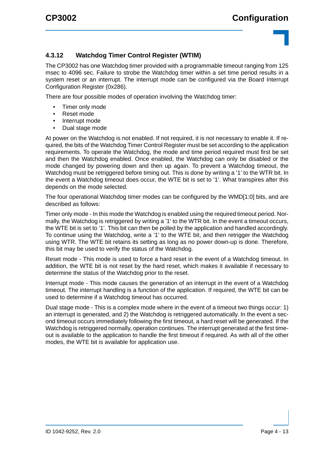# **4.3.12 Watchdog Timer Control Register (WTIM)**

The CP3002 has one Watchdog timer provided with a programmable timeout ranging from 125 msec to 4096 sec. Failure to strobe the Watchdog timer within a set time period results in a system reset or an interrupt. The interrupt mode can be configured via the Board Interrupt Configuration Register (0x286).

There are four possible modes of operation involving the Watchdog timer:

- Timer only mode
- Reset mode
- Interrupt mode
- Dual stage mode

At power on the Watchdog is not enabled. If not required, it is not necessary to enable it. If required, the bits of the Watchdog Timer Control Register must be set according to the application requirements. To operate the Watchdog, the mode and time period required must first be set and then the Watchdog enabled. Once enabled, the Watchdog can only be disabled or the mode changed by powering down and then up again. To prevent a Watchdog timeout, the Watchdog must be retriggered before timing out. This is done by writing a '1' to the WTR bit. In the event a Watchdog timeout does occur, the WTE bit is set to '1'. What transpires after this depends on the mode selected.

The four operational Watchdog timer modes can be configured by the WMD[1:0] bits, and are described as follows:

Timer only mode - In this mode the Watchdog is enabled using the required timeout period. Normally, the Watchdog is retriggered by writing a '1' to the WTR bit. In the event a timeout occurs, the WTE bit is set to '1'. This bit can then be polled by the application and handled accordingly. To continue using the Watchdog, write a '1' to the WTE bit, and then retrigger the Watchdog using WTR. The WTE bit retains its setting as long as no power down-up is done. Therefore, this bit may be used to verify the status of the Watchdog.

Reset mode - This mode is used to force a hard reset in the event of a Watchdog timeout. In addition, the WTE bit is not reset by the hard reset, which makes it available if necessary to determine the status of the Watchdog prior to the reset.

Interrupt mode - This mode causes the generation of an interrupt in the event of a Watchdog timeout. The interrupt handling is a function of the application. If required, the WTE bit can be used to determine if a Watchdog timeout has occurred.

Dual stage mode - This is a complex mode where in the event of a timeout two things occur: 1) an interrupt is generated, and 2) the Watchdog is retriggered automatically. In the event a second timeout occurs immediately following the first timeout, a hard reset will be generated. If the Watchdog is retriggered normally, operation continues. The interrupt generated at the first timeout is available to the application to handle the first timeout if required. As with all of the other modes, the WTE bit is available for application use.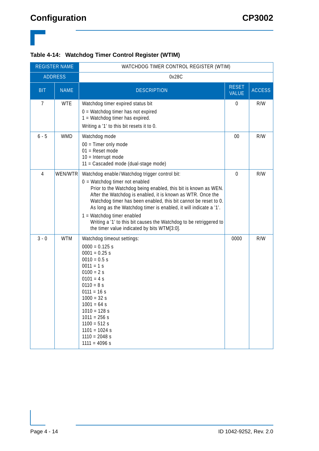#### REGISTER NAME WATCHDOG TIMER CONTROL REGISTER (WTIM) ADDRESS 0x28C BIT NAME NAME DESCRIPTION RESET **ACCESS** 7 | WTE | Watchdog timer expired status bit 0 = Watchdog timer has not expired 1 = Watchdog timer has expired. Writing a '1' to this bit resets it to 0.  $0$  R/W 6 - 5 WMD Watchdog mode  $00 =$  Timer only mode 01 = Reset mode 10 = Interrupt mode 11 = Cascaded mode (dual-stage mode) 00 | R/W 4 WEN/WTR Watchdog enable / Watchdog trigger control bit: 0 = Watchdog timer not enabled Prior to the Watchdog being enabled, this bit is known as WEN. After the Watchdog is enabled, it is known as WTR. Once the Watchdog timer has been enabled, this bit cannot be reset to 0. As long as the Watchdog timer is enabled, it will indicate a '1'. 1 = Watchdog timer enabled Writing a '1' to this bit causes the Watchdog to be retriggered to the timer value indicated by bits WTM[3:0].  $0$  R/W 3 - 0 | WTM | Watchdog timeout settings:  $0000 = 0.125$  s  $0001 = 0.25$  s  $0010 = 0.5$  s  $0011 = 1 s$  $0100 = 2 s$  $0101 = 4 s$  $0110 = 8 s$  $0111 = 16 s$  $1000 = 32 s$  $1001 = 64 s$  $1010 = 128 s$  $1011 = 256$  s  $1100 = 512$  s  $1101 = 1024 s$  $1110 = 2048 s$  $1111 = 4096 s$ 0000 R/W

# **Table 4-14: Watchdog Timer Control Register (WTIM)**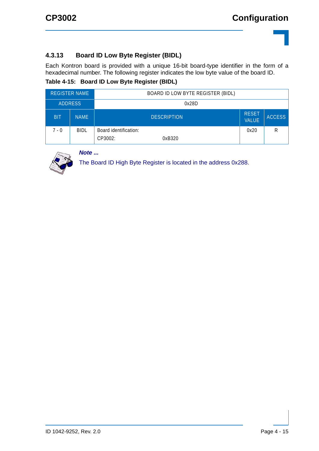# **4.3.13 Board ID Low Byte Register (BIDL)**

Each Kontron board is provided with a unique 16-bit board-type identifier in the form of a hexadecimal number. The following register indicates the low byte value of the board ID.

**Table 4-15: Board ID Low Byte Register (BIDL)**

| BOARD ID LOW BYTE REGISTER (BIDL)<br><b>REGISTER NAME</b> |             |                                            |      |               |
|-----------------------------------------------------------|-------------|--------------------------------------------|------|---------------|
| <b>ADDRESS</b>                                            |             | 0x28D                                      |      |               |
| <b>BIT</b>                                                | <b>NAME</b> | <b>DESCRIPTION</b>                         |      | <b>ACCESS</b> |
| $7 - 0$                                                   | <b>BIDL</b> | Board identification:<br>CP3002:<br>0xB320 | 0x20 |               |



# *Note ...*

The Board ID High Byte Register is located in the address 0x288.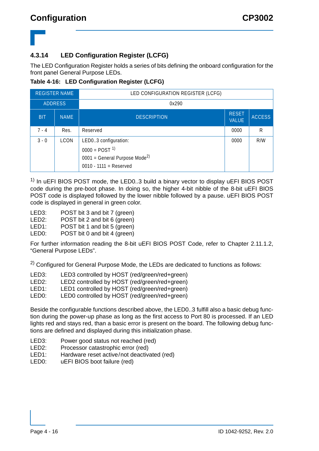

# **4.3.14 LED Configuration Register (LCFG)**

The LED Configuration Register holds a series of bits defining the onboard configuration for the front panel General Purpose LEDs.

**Table 4-16: LED Configuration Register (LCFG)**

| <b>REGISTER NAME</b><br>LED CONFIGURATION REGISTER (LCFG) |             |                                                                                                                              |                              |               |
|-----------------------------------------------------------|-------------|------------------------------------------------------------------------------------------------------------------------------|------------------------------|---------------|
| <b>ADDRESS</b>                                            |             | 0x290                                                                                                                        |                              |               |
| <b>BIT</b>                                                | <b>NAME</b> | <b>DESCRIPTION</b>                                                                                                           | <b>RESET</b><br><b>VALUE</b> | <b>ACCESS</b> |
| $7 - 4$                                                   | Res.        | Reserved                                                                                                                     |                              | R             |
| $3 - 0$                                                   | LCON        | LED03 configuration:<br>$0000 = POST$ <sup>1)</sup><br>0001 = General Purpose Mode <sup>2)</sup><br>$0010 - 1111 =$ Reserved | 0000                         | R/W           |

 $1)$  In uEFI BIOS POST mode, the LED0..3 build a binary vector to display uEFI BIOS POST code during the pre-boot phase. In doing so, the higher 4-bit nibble of the 8-bit uEFI BIOS POST code is displayed followed by the lower nibble followed by a pause. uEFI BIOS POST code is displayed in general in green color.

- LED3: POST bit 3 and bit 7 (green) LED2: POST bit 2 and bit 6 (green) LED1: POST bit 1 and bit 5 (green)
- 
- LED0: POST bit 0 and bit 4 (green)

For further information reading the 8-bit uEFI BIOS POST Code, refer to Chapter 2.11.1.2, "General Purpose LEDs".

 $2)$  Configured for General Purpose Mode, the LEDs are dedicated to functions as follows:

- LED3: LED3 controlled by HOST (red/green/red+green)
- LED2: LED2 controlled by HOST (red/green/red+green)
- LED1: LED1 controlled by HOST (red/green/red+green)

LED0: LED0 controlled by HOST (red/green/red+green)

Beside the configurable functions described above, the LED0..3 fulfill also a basic debug function during the power-up phase as long as the first access to Port 80 is processed. If an LED lights red and stays red, than a basic error is present on the board. The following debug functions are defined and displayed during this initialization phase.

- LED3: Power good status not reached (red)
- LED2: Processor catastrophic error (red)
- LED1: Hardware reset active/not deactivated (red)
- LED0: uEFI BIOS boot failure (red)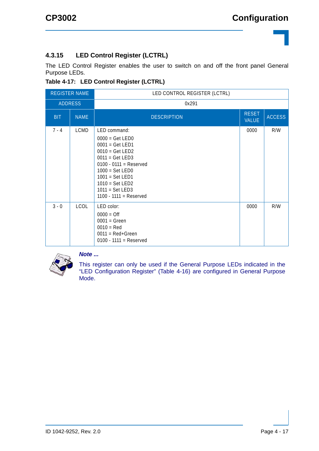

# **4.3.15 LED Control Register (LCTRL)**

The LED Control Register enables the user to switch on and off the front panel General Purpose LEDs.

**Table 4-17: LED Control Register (LCTRL)**

| <b>REGISTER NAME</b> |                | LED CONTROL REGISTER (LCTRL)                                                                                                                                                                                                               |      |               |  |
|----------------------|----------------|--------------------------------------------------------------------------------------------------------------------------------------------------------------------------------------------------------------------------------------------|------|---------------|--|
|                      | <b>ADDRESS</b> | 0x291                                                                                                                                                                                                                                      |      |               |  |
| <b>BIT</b>           | <b>NAME</b>    | <b>DESCRIPTION</b>                                                                                                                                                                                                                         |      | <b>ACCESS</b> |  |
| $7 - 4$              | <b>LCMD</b>    | LED command:<br>$0000 = Get LED0$<br>$0001 = Get LED1$<br>$0010 = Get LED2$<br>$0011 = Get LED3$<br>$0100 - 0111 =$ Reserved<br>$1000 = Set LED0$<br>$1001 = Set LED1$<br>$1010 = Set LED2$<br>$1011 = Set LED3$<br>1100 - 1111 = Reserved | 0000 | R/W           |  |
| $3 - 0$              | <b>LCOL</b>    | LED color:<br>$0000 = \text{Off}$<br>$0001 = Green$<br>$0010 = Red$<br>$0011 = Red+Green$<br>$0100 - 1111 =$ Reserved                                                                                                                      | 0000 | R/W           |  |



#### *Note ...*

This register can only be used if the General Purpose LEDs indicated in the "LED Configuration Register" (Table 4-16) are configured in General Purpose Mode.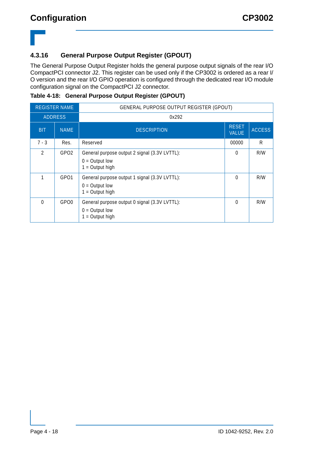

# **4.3.16 General Purpose Output Register (GPOUT)**

The General Purpose Output Register holds the general purpose output signals of the rear I/O CompactPCI connector J2. This register can be used only if the CP3002 is ordered as a rear I/ O version and the rear I/O GPIO operation is configured through the dedicated rear I/O module configuration signal on the CompactPCI J2 connector.

|               | <b>REGISTER NAME</b> | GENERAL PURPOSE OUTPUT REGISTER (GPOUT)                                                |          |               |
|---------------|----------------------|----------------------------------------------------------------------------------------|----------|---------------|
|               | ADDRESS              | 0x292                                                                                  |          |               |
| <b>BIT</b>    | <b>NAME</b>          | <b>DESCRIPTION</b>                                                                     |          | <b>ACCESS</b> |
| $7 - 3$       | Res.                 | Reserved                                                                               | 00000    | R             |
| $\mathcal{P}$ | GPO <sub>2</sub>     | General purpose output 2 signal (3.3V LVTTL):<br>$0 =$ Output low<br>$1 =$ Output high | $\Omega$ | R/W           |
|               | GPO1                 | General purpose output 1 signal (3.3V LVTTL):<br>$0 =$ Output low<br>= Output high     | $\Omega$ | R/W           |
| $\Omega$      | GPO <sub>0</sub>     | General purpose output 0 signal (3.3V LVTTL):<br>$0 = Output$ low<br>$1 =$ Output high | $\Omega$ | R/W           |

**Table 4-18: General Purpose Output Register (GPOUT)**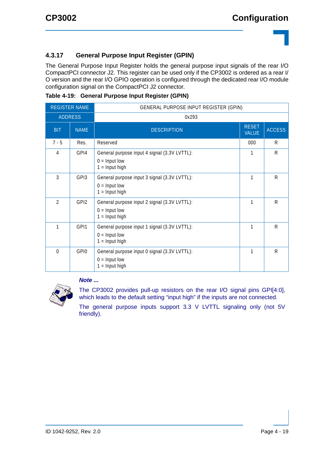# **4.3.17 General Purpose Input Register (GPIN)**

The General Purpose Input Register holds the general purpose input signals of the rear I/O CompactPCI connector J2. This register can be used only if the CP3002 is ordered as a rear I/ O version and the rear I/O GPIO operation is configured through the dedicated rear I/O module configuration signal on the CompactPCI J2 connector.

|                | <b>REGISTER NAME</b><br>GENERAL PURPOSE INPUT REGISTER (GPIN) |                                                                                     |     |               |
|----------------|---------------------------------------------------------------|-------------------------------------------------------------------------------------|-----|---------------|
|                | <b>ADDRESS</b><br>0x293                                       |                                                                                     |     |               |
| <b>BIT</b>     | <b>NAME</b>                                                   | <b>DESCRIPTION</b>                                                                  |     | <b>ACCESS</b> |
| $7 - 5$        | Res.                                                          | Reserved                                                                            | 000 | R             |
| $\overline{4}$ | GPI4                                                          | General purpose input 4 signal (3.3V LVTTL):<br>$0 =$ Input low<br>$1 =$ Input high | 1   | R             |
| 3              | GPI3                                                          | General purpose input 3 signal (3.3V LVTTL):<br>$0 =$ Input low<br>$1 =$ Input high |     | R             |
| $\overline{2}$ | GPI2                                                          | General purpose input 2 signal (3.3V LVTTL):<br>$0 =$ Input low<br>$1 =$ Input high |     | R             |
| $\mathbf{1}$   | GPI1                                                          | General purpose input 1 signal (3.3V LVTTL):<br>$0 =$ Input low<br>$1 =$ Input high |     | R             |
| $\Omega$       | GPI0                                                          | General purpose input 0 signal (3.3V LVTTL):<br>$0 =$ Input low<br>$1 =$ Input high | 1   | R             |

#### **Table 4-19: General Purpose Input Register (GPIN)**

*Note ...*

The CP3002 provides pull-up resistors on the rear I/O signal pins GPI[4:0], which leads to the default setting "input high" if the inputs are not connected. The general purpose inputs support 3.3 V LVTTL signaling only (not 5V friendly).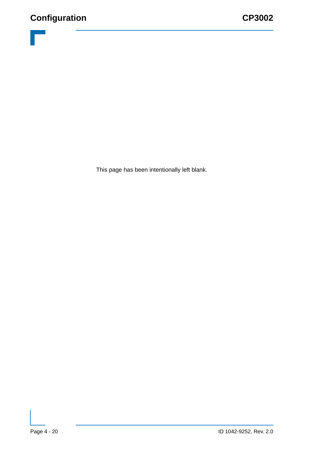

This page has been intentionally left blank.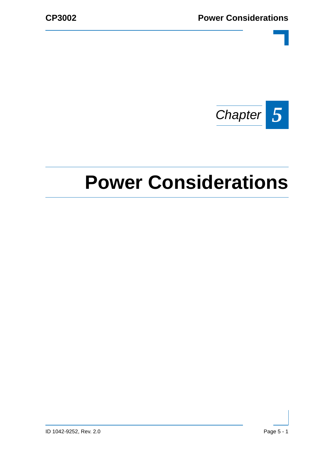

# **Power Considerations**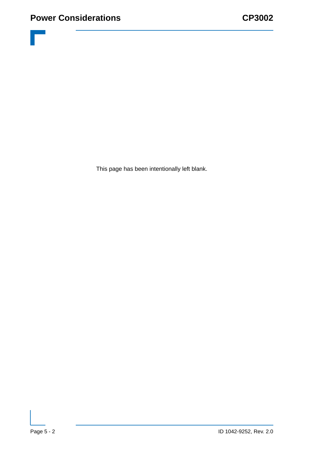

This page has been intentionally left blank.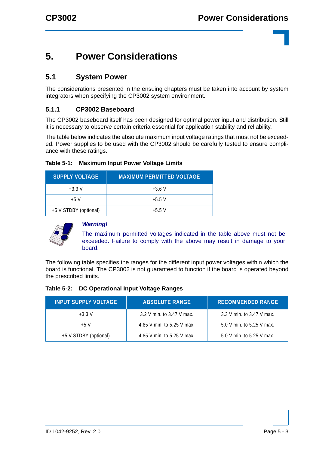# **5. Power Considerations**

# **5.1 System Power**

The considerations presented in the ensuing chapters must be taken into account by system integrators when specifying the CP3002 system environment.

# **5.1.1 CP3002 Baseboard**

The CP3002 baseboard itself has been designed for optimal power input and distribution. Still it is necessary to observe certain criteria essential for application stability and reliability.

The table below indicates the absolute maximum input voltage ratings that must not be exceeded. Power supplies to be used with the CP3002 should be carefully tested to ensure compliance with these ratings.

#### **Table 5-1: Maximum Input Power Voltage Limits**

| <b>SUPPLY VOLTAGE</b> | <b>MAXIMUM PERMITTED VOLTAGE</b> |
|-----------------------|----------------------------------|
| $+3.3 \text{ V}$      | $+3.6$ V                         |
| $+5V$                 | $+5.5$ V                         |
| +5 V STDBY (optional) | $+5.5$ V                         |



# *Warning!*

The maximum permitted voltages indicated in the table above must not be exceeded. Failure to comply with the above may result in damage to your board.

The following table specifies the ranges for the different input power voltages within which the board is functional. The CP3002 is not guaranteed to function if the board is operated beyond the prescribed limits.

#### **Table 5-2: DC Operational Input Voltage Ranges**

| <b>INPUT SUPPLY VOLTAGE</b> | <b>ABSOLUTE RANGE</b>      | <b>RECOMMENDED RANGE</b>  |
|-----------------------------|----------------------------|---------------------------|
| $+3.3$ V                    | 3.2 V min. to 3.47 V max.  | 3.3 V min. to 3.47 V max. |
| $+5V$                       | 4.85 V min. to 5.25 V max. | 5.0 V min. to 5.25 V max. |
| +5 V STDBY (optional)       | 4.85 V min. to 5.25 V max. | 5.0 V min. to 5.25 V max. |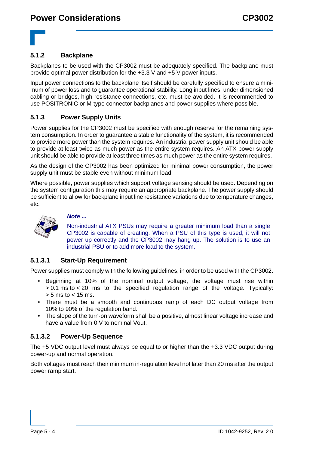

# **5.1.2 Backplane**

Backplanes to be used with the CP3002 must be adequately specified. The backplane must provide optimal power distribution for the +3.3 V and +5 V power inputs.

Input power connections to the backplane itself should be carefully specified to ensure a minimum of power loss and to guarantee operational stability. Long input lines, under dimensioned cabling or bridges, high resistance connections, etc. must be avoided. It is recommended to use POSITRONIC or M-type connector backplanes and power supplies where possible.

# **5.1.3 Power Supply Units**

Power supplies for the CP3002 must be specified with enough reserve for the remaining system consumption. In order to guarantee a stable functionality of the system, it is recommended to provide more power than the system requires. An industrial power supply unit should be able to provide at least twice as much power as the entire system requires. An ATX power supply unit should be able to provide at least three times as much power as the entire system requires.

As the design of the CP3002 has been optimized for minimal power consumption, the power supply unit must be stable even without minimum load.

Where possible, power supplies which support voltage sensing should be used. Depending on the system configuration this may require an appropriate backplane. The power supply should be sufficient to allow for backplane input line resistance variations due to temperature changes, etc.



# *Note ...*

Non-industrial ATX PSUs may require a greater minimum load than a single CP3002 is capable of creating. When a PSU of this type is used, it will not power up correctly and the CP3002 may hang up. The solution is to use an industrial PSU or to add more load to the system.

# **5.1.3.1 Start-Up Requirement**

Power supplies must comply with the following guidelines, in order to be used with the CP3002.

- Beginning at 10% of the nominal output voltage, the voltage must rise within  $> 0.1$  ms to  $< 20$  ms to the specified regulation range of the voltage. Typically:  $> 5$  ms to  $< 15$  ms.
- There must be a smooth and continuous ramp of each DC output voltage from 10% to 90% of the regulation band.
- The slope of the turn-on waveform shall be a positive, almost linear voltage increase and have a value from 0 V to nominal Vout.

# **5.1.3.2 Power-Up Sequence**

The +5 VDC output level must always be equal to or higher than the +3.3 VDC output during power-up and normal operation.

Both voltages must reach their minimum in-regulation level not later than 20 ms after the output power ramp start.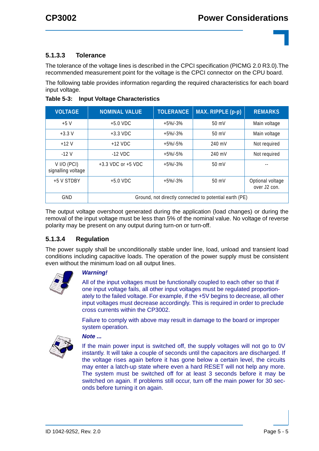

The tolerance of the voltage lines is described in the CPCI specification (PICMG 2.0 R3.0).The recommended measurement point for the voltage is the CPCI connector on the CPU board.

The following table provides information regarding the required characteristics for each board input voltage.

| <b>VOLTAGE</b>                    | <b>NOMINAL VALUE</b>                                   | <b>TOLERANCE</b> | MAX. RIPPLE (p-p) | <b>REMARKS</b>                   |
|-----------------------------------|--------------------------------------------------------|------------------|-------------------|----------------------------------|
| $+5V$                             | $+5.0$ VDC                                             | $+5\%/3\%$       | $50 \text{ mV}$   | Main voltage                     |
| $+3.3$ V                          | $+3.3$ VDC                                             | $+5\%/3\%$       | $50 \text{ mV}$   | Main voltage                     |
| $+12V$                            | $+12$ VDC                                              | $+5\%/-5\%$      | 240 mV            | Not required                     |
| $-12V$                            | $-12$ VDC                                              | $+5\%/-5\%$      | 240 mV            | Not required                     |
| V I/O (PCI)<br>signalling voltage | $+3.3$ VDC or $+5$ VDC                                 | $+5\%/3\%$       | $50 \text{ mV}$   |                                  |
| +5 V STDBY                        | $+5.0$ VDC                                             | $+5\%/3\%$       | $50 \text{ mV}$   | Optional voltage<br>over J2 con. |
| <b>GND</b>                        | Ground, not directly connected to potential earth (PE) |                  |                   |                                  |

**Table 5-3: Input Voltage Characteristics**

The output voltage overshoot generated during the application (load changes) or during the removal of the input voltage must be less than 5% of the nominal value. No voltage of reverse polarity may be present on any output during turn-on or turn-off.

# **5.1.3.4 Regulation**

The power supply shall be unconditionally stable under line, load, unload and transient load conditions including capacitive loads. The operation of the power supply must be consistent even without the minimum load on all output lines.



# *Warning!*

All of the input voltages must be functionally coupled to each other so that if one input voltage fails, all other input voltages must be regulated proportionately to the failed voltage. For example, if the +5V begins to decrease, all other input voltages must decrease accordingly. This is required in order to preclude cross currents within the CP3002.

Failure to comply with above may result in damage to the board or improper system operation.



#### *Note ...*

If the main power input is switched off, the supply voltages will not go to 0V instantly. It will take a couple of seconds until the capacitors are discharged. If the voltage rises again before it has gone below a certain level, the circuits may enter a latch-up state where even a hard RESET will not help any more. The system must be switched off for at least 3 seconds before it may be switched on again. If problems still occur, turn off the main power for 30 seconds before turning it on again.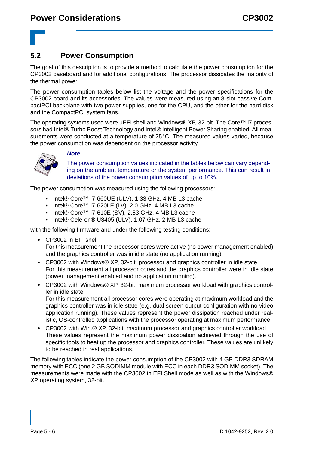

# **5.2 Power Consumption**

The goal of this description is to provide a method to calculate the power consumption for the CP3002 baseboard and for additional configurations. The processor dissipates the majority of the thermal power.

The power consumption tables below list the voltage and the power specifications for the CP3002 board and its accessories. The values were measured using an 8-slot passive CompactPCI backplane with two power supplies, one for the CPU, and the other for the hard disk and the CompactPCI system fans.

The operating systems used were uEFI shell and Windows® XP, 32-bit. The Core™ i7 processors had Intel® Turbo Boost Technology and Intel® Intelligent Power Sharing enabled. All measurements were conducted at a temperature of 25°C. The measured values varied, because the power consumption was dependent on the processor activity.



#### *Note ...*

The power consumption values indicated in the tables below can vary depending on the ambient temperature or the system performance. This can result in deviations of the power consumption values of up to 10%.

The power consumption was measured using the following processors:

- Intel® Core™ i7-660UE (ULV), 1.33 GHz, 4 MB L3 cache
- Intel® Core™ i7-620LE (LV), 2.0 GHz, 4 MB L3 cache
- Intel® Core™ i7-610E (SV), 2.53 GHz, 4 MB L3 cache
- Intel® Celeron® U3405 (ULV), 1.07 GHz, 2 MB L3 cache

with the following firmware and under the following testing conditions:

• CP3002 in EFI shell

For this measurement the processor cores were active (no power management enabled) and the graphics controller was in idle state (no application running).

- CP3002 with Windows® XP, 32-bit, processor and graphics controller in idle state For this measurement all processor cores and the graphics controller were in idle state (power management enabled and no application running).
- CP3002 with Windows® XP, 32-bit, maximum processor workload with graphics controller in idle state

For this measurement all processor cores were operating at maximum workload and the graphics controller was in idle state (e.g. dual screen output configuration with no video application running). These values represent the power dissipation reached under realistic, OS-controlled applications with the processor operating at maximum performance.

• CP3002 with Win.® XP, 32-bit, maximum processor and graphics controller workload These values represent the maximum power dissipation achieved through the use of specific tools to heat up the processor and graphics controller. These values are unlikely to be reached in real applications.

The following tables indicate the power consumption of the CP3002 with 4 GB DDR3 SDRAM memory with ECC (one 2 GB SODIMM module with ECC in each DDR3 SODIMM socket). The measurements were made with the CP3002 in EFI Shell mode as well as with the Windows® XP operating system, 32-bit.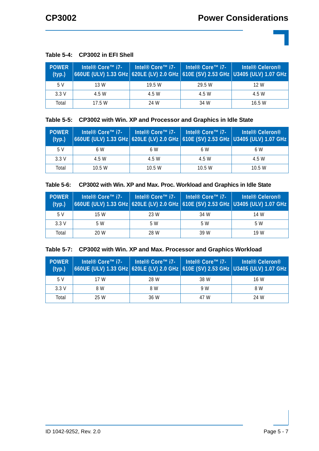

#### **Table 5-4: CP3002 in EFI Shell**

| <b>POWER</b><br>(typ.) | Intel <sup>®</sup> Core <sup>™</sup> i7- | $\blacksquare$ Intel® Core™ i7- $\blacksquare$ Intel® Core™ i7- |        | ' Intel® Celeron®.<br>660UE (ULV) 1.33 GHz 620LE (LV) 2.0 GHz 610E (SV) 2.53 GHz U3405 (ULV) 1.07 GHz |
|------------------------|------------------------------------------|-----------------------------------------------------------------|--------|-------------------------------------------------------------------------------------------------------|
| 5 V                    | 13 W                                     | 19.5 W                                                          | 29.5 W | 12 W                                                                                                  |
| 3.3V                   | 4.5 W                                    | 4.5 W                                                           | 4.5 W  | 4 5 W                                                                                                 |
| Total                  | 17.5 W                                   | 24 W                                                            | 34 W   | 16.5 W                                                                                                |

#### **Table 5-5: CP3002 with Win. XP and Processor and Graphics in Idle State**

| <b>POWER</b><br>(typ.) | Intel® Core™ i7- | <b>Intel<sup>®</sup> Core™ i7-</b> Intel® Core™ i7- |        | <b>Intel® Celeron®</b><br>660UE (ULV) 1.33 GHz 620LE (LV) 2.0 GHz 610E (SV) 2.53 GHz U3405 (ULV) 1.07 GHz |
|------------------------|------------------|-----------------------------------------------------|--------|-----------------------------------------------------------------------------------------------------------|
| 5 V                    | 6 W              | 6 W                                                 | 6 W    | 6 W                                                                                                       |
| 3.3V                   | 4.5 W            | 4.5 W                                               | 4.5 W  | 4.5 W                                                                                                     |
| Total                  | 10.5 W           | 10.5 W                                              | 10.5 W | 10.5 W                                                                                                    |

#### **Table 5-6: CP3002 with Win. XP and Max. Proc. Workload and Graphics in Idle State**

| <b>POWER</b><br>(typ.) | Intel® Core™ i7-<br>660UE (ULV) 1.33 GHz 620LE (LV) 2.0 GHz 610E (SV) 2.53 GHz U3405 (ULV) 1.07 GHz |      | - Intel® Core™ i7-   Intel® Core™ i7- | <b>Intel® Celeron®</b> |
|------------------------|-----------------------------------------------------------------------------------------------------|------|---------------------------------------|------------------------|
| 5 V                    | 15 W                                                                                                | 23 W | 34 W                                  | 14 W                   |
| 3.3V                   | 5 W                                                                                                 | 5 W  | 5 W                                   | 5 W                    |
| Total                  | 20 W                                                                                                | 28 W | 39 W                                  | 19 W                   |

# **Table 5-7: CP3002 with Win. XP and Max. Processor and Graphics Workload**

| <b>POWER</b><br>(typ.) | Intel® Core™ i7-<br>660UE (ULV) 1.33 GHz 620LE (LV) 2.0 GHz 610E (SV) 2.53 GHz U3405 (ULV) 1.07 GHz | $\parallel$ Intel® Core™ i7- $\parallel$ Intel® Core™ i7- $\parallel$ |      | Intel <sup>®</sup> Celeron <sup>®</sup> |
|------------------------|-----------------------------------------------------------------------------------------------------|-----------------------------------------------------------------------|------|-----------------------------------------|
| .5 V                   | 17 W                                                                                                | 28 W                                                                  | 38 W | 16 W                                    |
| 3.3V                   | 8 W                                                                                                 | 8 W                                                                   | 9 W  | 8 W                                     |
| Total                  | 25 W                                                                                                | 36 W                                                                  | 47 W | 24 W                                    |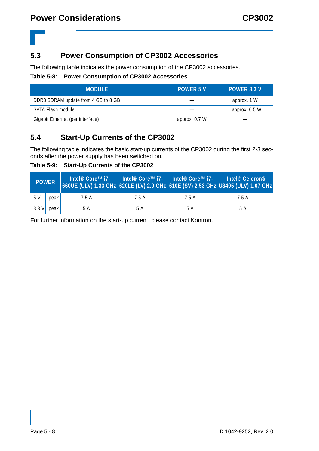

# **5.3 Power Consumption of CP3002 Accessories**

The following table indicates the power consumption of the CP3002 accessories.

# **Table 5-8: Power Consumption of CP3002 Accessories**

| <b>MODULE</b>                       | POWER 5 V     | POWER 3.3 V   |
|-------------------------------------|---------------|---------------|
| DDR3 SDRAM update from 4 GB to 8 GB |               | approx. 1 W   |
| SATA Flash module                   |               | approx. 0.5 W |
| Gigabit Ethernet (per interface)    | approx. 0.7 W |               |

# **5.4 Start-Up Currents of the CP3002**

The following table indicates the basic start-up currents of the CP3002 during the first 2-3 seconds after the power supply has been switched on.

# **Table 5-9: Start-Up Currents of the CP3002**

|                        | <b>POWER</b> | 660UE (ULV) 1.33 GHZ 620LE (LV) 2.0 GHz 610E (SV) 2.53 GHz U3405 (ULV) 1.07 GHz | $\lceil \text{Intel}^{\otimes} \text{Core}^{\mathbb{M}} \rceil$ 7-   Intel® Core™ i7-   Intel® Core™ i7-   Intel® Celeron® |       |       |
|------------------------|--------------|---------------------------------------------------------------------------------|----------------------------------------------------------------------------------------------------------------------------|-------|-------|
| 5 V                    | peak l       | 7.5 A                                                                           | 7.5 A                                                                                                                      | 7.5 A | 7.5 A |
| $ 3.3 \text{ V} $ peak |              | 5 A                                                                             | 5 A                                                                                                                        | 5 A   | 5 A   |

For further information on the start-up current, please contact Kontron.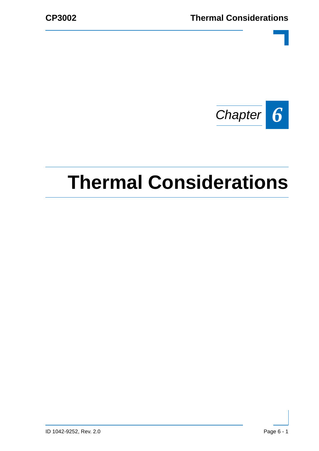

# **Thermal Considerations**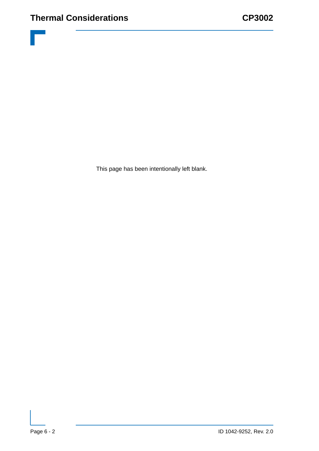

This page has been intentionally left blank.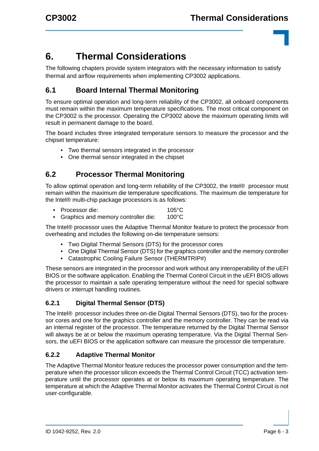# **6. Thermal Considerations**

The following chapters provide system integrators with the necessary information to satisfy thermal and airflow requirements when implementing CP3002 applications.

# **6.1 Board Internal Thermal Monitoring**

To ensure optimal operation and long-term reliability of the CP3002, all onboard components must remain within the maximum temperature specifications. The most critical component on the CP3002 is the processor. Operating the CP3002 above the maximum operating limits will result in permanent damage to the board.

The board includes three integrated temperature sensors to measure the processor and the chipset temperature:

- Two thermal sensors integrated in the processor
- One thermal sensor integrated in the chipset

# **6.2 Processor Thermal Monitoring**

To allow optimal operation and long-term reliability of the CP3002, the Intel® processor must remain within the maximum die temperature specifications. The maximum die temperature for the Intel® multi-chip package processors is as follows:

- Processor die: 105°C
- Graphics and memory controller die: 100°C

The Intel® processor uses the Adaptive Thermal Monitor feature to protect the processor from overheating and includes the following on-die temperature sensors:

- Two Digital Thermal Sensors (DTS) for the processor cores
- One Digital Thermal Sensor (DTS) for the graphics controller and the memory controller
- Catastrophic Cooling Failure Sensor (THERMTRIP#)

These sensors are integrated in the processor and work without any interoperability of the uEFI BIOS or the software application. Enabling the Thermal Control Circuit in the uEFI BIOS allows the processor to maintain a safe operating temperature without the need for special software drivers or interrupt handling routines.

# **6.2.1 Digital Thermal Sensor (DTS)**

The Intel® processor includes three on-die Digital Thermal Sensors (DTS), two for the processor cores and one for the graphics controller and the memory controller. They can be read via an internal register of the processor. The temperature returned by the Digital Thermal Sensor will always be at or below the maximum operating temperature. Via the Digital Thermal Sensors, the uEFI BIOS or the application software can measure the processor die temperature.

# **6.2.2 Adaptive Thermal Monitor**

The Adaptive Thermal Monitor feature reduces the processor power consumption and the temperature when the processor silicon exceeds the Thermal Control Circuit (TCC) activation temperature until the processor operates at or below its maximum operating temperature. The temperature at which the Adaptive Thermal Monitor activates the Thermal Control Circuit is not user-configurable.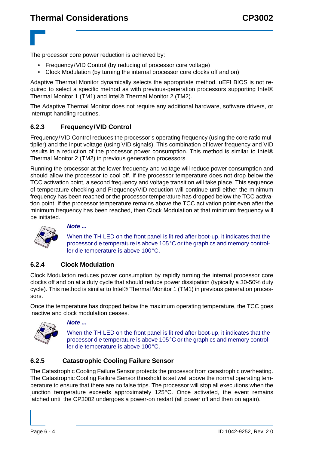The processor core power reduction is achieved by:

- Frequency/VID Control (by reducing of processor core voltage)
- Clock Modulation (by turning the internal processor core clocks off and on)

Adaptive Thermal Monitor dynamically selects the appropriate method. uEFI BIOS is not required to select a specific method as with previous-generation processors supporting Intel® Thermal Monitor 1 (TM1) and Intel® Thermal Monitor 2 (TM2).

The Adaptive Thermal Monitor does not require any additional hardware, software drivers, or interrupt handling routines.

# **6.2.3 Frequency/VID Control**

Frequency/VID Control reduces the processor's operating frequency (using the core ratio multiplier) and the input voltage (using VID signals). This combination of lower frequency and VID results in a reduction of the processor power consumption. This method is similar to Intel® Thermal Monitor 2 (TM2) in previous generation processors.

Running the processor at the lower frequency and voltage will reduce power consumption and should allow the processor to cool off. If the processor temperature does not drop below the TCC activation point, a second frequency and voltage transition will take place. This sequence of temperature checking and Frequency/VID reduction will continue until either the minimum frequency has been reached or the processor temperature has dropped below the TCC activation point. If the processor temperature remains above the TCC activation point even after the minimum frequency has been reached, then Clock Modulation at that minimum frequency will be initiated.



### *Note ...*

When the TH LED on the front panel is lit red after boot-up, it indicates that the processor die temperature is above 105°C or the graphics and memory controller die temperature is above 100°C.

# **6.2.4 Clock Modulation**

Clock Modulation reduces power consumption by rapidly turning the internal processor core clocks off and on at a duty cycle that should reduce power dissipation (typically a 30-50% duty cycle). This method is similar to Intel® Thermal Monitor 1 (TM1) in previous generation processors.

Once the temperature has dropped below the maximum operating temperature, the TCC goes inactive and clock modulation ceases.



#### *Note ...*

When the TH LED on the front panel is lit red after boot-up, it indicates that the processor die temperature is above 105°C or the graphics and memory controller die temperature is above 100°C.

# **6.2.5 Catastrophic Cooling Failure Sensor**

The Catastrophic Cooling Failure Sensor protects the processor from catastrophic overheating. The Catastrophic Cooling Failure Sensor threshold is set well above the normal operating temperature to ensure that there are no false trips. The processor will stop all executions when the junction temperature exceeds approximately 125°C. Once activated, the event remains latched until the CP3002 undergoes a power-on restart (all power off and then on again).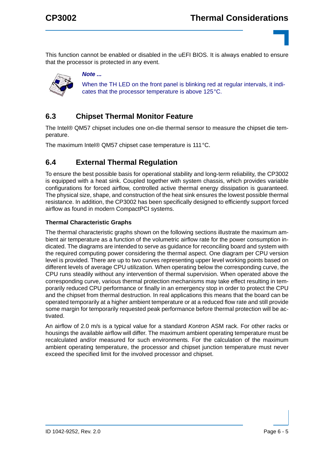This function cannot be enabled or disabled in the uEFI BIOS. It is always enabled to ensure that the processor is protected in any event.



# *Note ...*

When the TH LED on the front panel is blinking red at regular intervals, it indicates that the processor temperature is above 125°C.

# **6.3 Chipset Thermal Monitor Feature**

The Intel® QM57 chipset includes one on-die thermal sensor to measure the chipset die temperature.

The maximum Intel® QM57 chipset case temperature is 111°C.

# **6.4 External Thermal Regulation**

To ensure the best possible basis for operational stability and long-term reliability, the CP3002 is equipped with a heat sink. Coupled together with system chassis, which provides variable configurations for forced airflow, controlled active thermal energy dissipation is guaranteed. The physical size, shape, and construction of the heat sink ensures the lowest possible thermal resistance. In addition, the CP3002 has been specifically designed to efficiently support forced airflow as found in modern CompactPCI systems.

### **Thermal Characteristic Graphs**

The thermal characteristic graphs shown on the following sections illustrate the maximum ambient air temperature as a function of the volumetric airflow rate for the power consumption indicated. The diagrams are intended to serve as guidance for reconciling board and system with the required computing power considering the thermal aspect. One diagram per CPU version level is provided. There are up to two curves representing upper level working points based on different levels of average CPU utilization. When operating below the corresponding curve, the CPU runs steadily without any intervention of thermal supervision. When operated above the corresponding curve, various thermal protection mechanisms may take effect resulting in temporarily reduced CPU performance or finally in an emergency stop in order to protect the CPU and the chipset from thermal destruction. In real applications this means that the board can be operated temporarily at a higher ambient temperature or at a reduced flow rate and still provide some margin for temporarily requested peak performance before thermal protection will be activated.

An airflow of 2.0 m/s is a typical value for a standard *Kontron* ASM rack. For other racks or housings the available airflow will differ. The maximum ambient operating temperature must be recalculated and/or measured for such environments. For the calculation of the maximum ambient operating temperature, the processor and chipset junction temperature must never exceed the specified limit for the involved processor and chipset.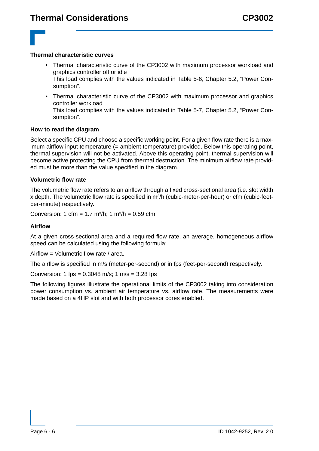#### **Thermal characteristic curves**

• Thermal characteristic curve of the CP3002 with maximum processor workload and graphics controller off or idle

This load complies with the values indicated in Table 5-6, Chapter 5.2, "Power Consumption".

• Thermal characteristic curve of the CP3002 with maximum processor and graphics controller workload

This load complies with the values indicated in Table 5-7, Chapter 5.2, "Power Consumption".

#### **How to read the diagram**

Select a specific CPU and choose a specific working point. For a given flow rate there is a maximum airflow input temperature (= ambient temperature) provided. Below this operating point, thermal supervision will not be activated. Above this operating point, thermal supervision will become active protecting the CPU from thermal destruction. The minimum airflow rate provided must be more than the value specified in the diagram.

#### **Volumetric flow rate**

The volumetric flow rate refers to an airflow through a fixed cross-sectional area (i.e. slot width x depth. The volumetric flow rate is specified in m<sup>3</sup>/h (cubic-meter-per-hour) or cfm (cubic-feetper-minute) respectively.

Conversion: 1 cfm =  $1.7 \text{ m}^3$ /h; 1 m<sup>3</sup>/h =  $0.59 \text{ cfm}$ 

#### **Airflow**

At a given cross-sectional area and a required flow rate, an average, homogeneous airflow speed can be calculated using the following formula:

Airflow = Volumetric flow rate / area.

The airflow is specified in m/s (meter-per-second) or in fps (feet-per-second) respectively.

Conversion:  $1$  fps = 0.3048 m/s;  $1$  m/s = 3.28 fps

The following figures illustrate the operational limits of the CP3002 taking into consideration power consumption vs. ambient air temperature vs. airflow rate. The measurements were made based on a 4HP slot and with both processor cores enabled.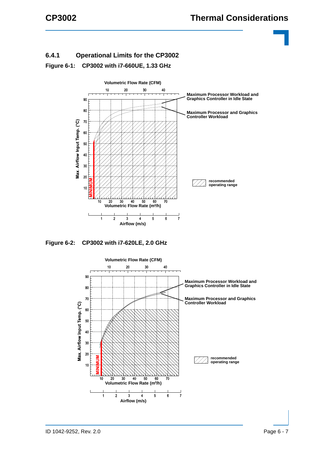

# **6.4.1 Operational Limits for the CP3002**

**Figure 6-1: CP3002 with i7-660UE, 1.33 GHz**



**Figure 6-2: CP3002 with i7-620LE, 2.0 GHz**

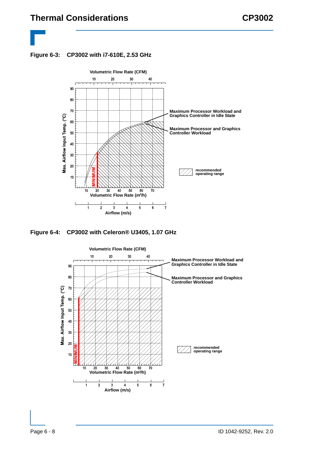# **Thermal Considerations CP3002**



# **Figure 6-3: CP3002 with i7-610E, 2.53 GHz**



**Figure 6-4: CP3002 with Celeron® U3405, 1.07 GHz**

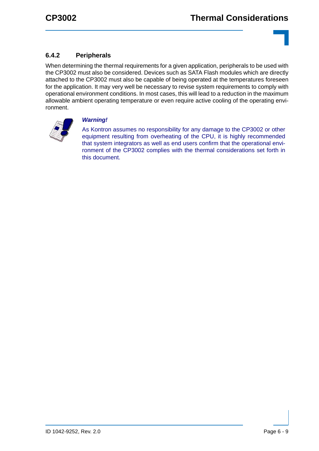

# **6.4.2 Peripherals**

When determining the thermal requirements for a given application, peripherals to be used with the CP3002 must also be considered. Devices such as SATA Flash modules which are directly attached to the CP3002 must also be capable of being operated at the temperatures foreseen for the application. It may very well be necessary to revise system requirements to comply with operational environment conditions. In most cases, this will lead to a reduction in the maximum allowable ambient operating temperature or even require active cooling of the operating environment.



### *Warning!*

As Kontron assumes no responsibility for any damage to the CP3002 or other equipment resulting from overheating of the CPU, it is highly recommended that system integrators as well as end users confirm that the operational environment of the CP3002 complies with the thermal considerations set forth in this document.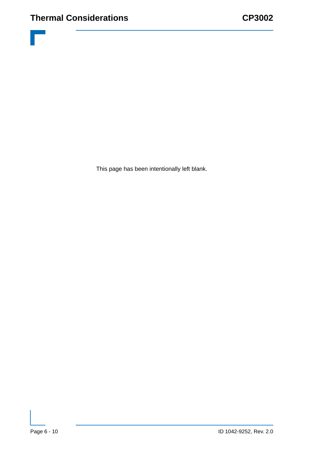

This page has been intentionally left blank.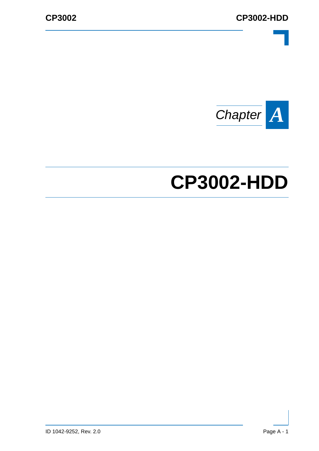

# **CP3002-HDD**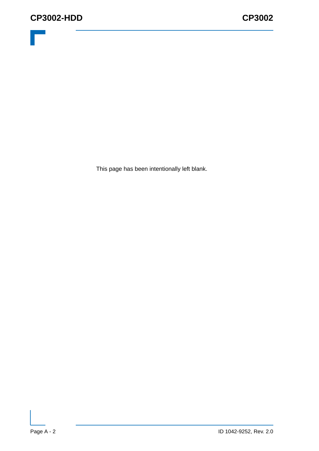This page has been intentionally left blank.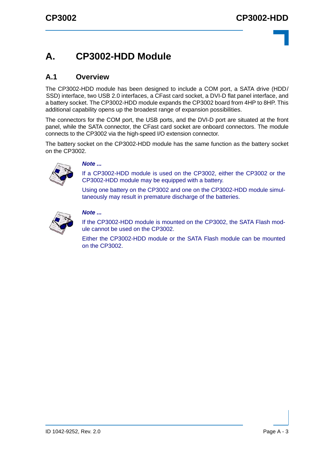# **A. CP3002-HDD Module**

# **A.1 Overview**

The CP3002-HDD module has been designed to include a COM port, a SATA drive (HDD/ SSD) interface, two USB 2.0 interfaces, a CFast card socket, a DVI-D flat panel interface, and a battery socket. The CP3002-HDD module expands the CP3002 board from 4HP to 8HP. This additional capability opens up the broadest range of expansion possibilities.

The connectors for the COM port, the USB ports, and the DVI-D port are situated at the front panel, while the SATA connector, the CFast card socket are onboard connectors. The module connects to the CP3002 via the high-speed I/O extension connector.

The battery socket on the CP3002-HDD module has the same function as the battery socket on the CP3002.



### *Note ...*

If a CP3002-HDD module is used on the CP3002, either the CP3002 or the CP3002-HDD module may be equipped with a battery.

Using one battery on the CP3002 and one on the CP3002-HDD module simultaneously may result in premature discharge of the batteries.



# *Note ...*

If the CP3002-HDD module is mounted on the CP3002, the SATA Flash module cannot be used on the CP3002.

Either the CP3002-HDD module or the SATA Flash module can be mounted on the CP3002.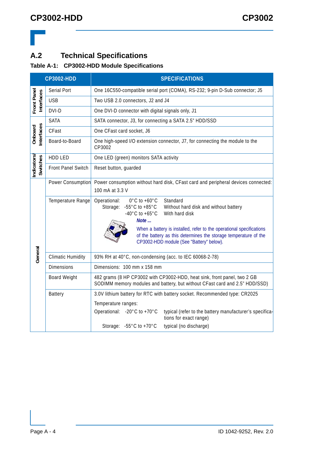

# **A.2 Technical Specifications**

# **Table A-1: CP3002-HDD Module Specifications**

|                                  | <b>CP3002-HDD</b>        | <b>SPECIFICATIONS</b>                                                                                                                                                                                                                                                                                                                                                                                                |  |  |  |
|----------------------------------|--------------------------|----------------------------------------------------------------------------------------------------------------------------------------------------------------------------------------------------------------------------------------------------------------------------------------------------------------------------------------------------------------------------------------------------------------------|--|--|--|
|                                  | Serial Port              | One 16C550-compatible serial port (COMA), RS-232; 9-pin D-Sub connector; J5                                                                                                                                                                                                                                                                                                                                          |  |  |  |
| Front Panel<br><b>Interfaces</b> | <b>USB</b>               | Two USB 2.0 connectors, J2 and J4                                                                                                                                                                                                                                                                                                                                                                                    |  |  |  |
|                                  | DVI-D                    | One DVI-D connector with digital signals only, J1                                                                                                                                                                                                                                                                                                                                                                    |  |  |  |
|                                  | <b>SATA</b>              | SATA connector, J3, for connecting a SATA 2.5" HDD/SSD                                                                                                                                                                                                                                                                                                                                                               |  |  |  |
| Interfaces<br>Onboard            | CFast                    | One CFast card socket, J6                                                                                                                                                                                                                                                                                                                                                                                            |  |  |  |
|                                  | Board-to-Board           | One high-speed I/O extension connector, J7, for connecting the module to the<br>CP3002                                                                                                                                                                                                                                                                                                                               |  |  |  |
|                                  | HDD LED                  | One LED (green) monitors SATA activity                                                                                                                                                                                                                                                                                                                                                                               |  |  |  |
| Indicators/<br>Switches          | Front Panel Switch       | Reset button, guarded                                                                                                                                                                                                                                                                                                                                                                                                |  |  |  |
|                                  | Power Consumption        | Power consumption without hard disk, CFast card and peripheral devices connected:<br>100 mA at 3.3 V                                                                                                                                                                                                                                                                                                                 |  |  |  |
|                                  | Temperature Range        | $0^{\circ}$ C to +60 $^{\circ}$ C<br>Standard<br>Operational:<br>-55 $^{\circ}$ C to +85 $^{\circ}$ C<br>Storage:<br>Without hard disk and without battery<br>-40 $^{\circ}$ C to +65 $^{\circ}$ C<br>With hard disk<br>Note<br>When a battery is installed, refer to the operational specifications<br>of the battery as this determines the storage temperature of the<br>CP3002-HDD module (See "Battery" below). |  |  |  |
| General                          | <b>Climatic Humidity</b> | 93% RH at 40°C, non-condensing (acc. to IEC 60068-2-78)                                                                                                                                                                                                                                                                                                                                                              |  |  |  |
|                                  | <b>Dimensions</b>        | Dimensions: 100 mm x 158 mm                                                                                                                                                                                                                                                                                                                                                                                          |  |  |  |
|                                  | <b>Board Weight</b>      | 482 grams (8 HP CP3002 with CP3002-HDD, heat sink, front panel, two 2 GB<br>SODIMM memory modules and battery, but without CFast card and 2.5" HDD/SSD)                                                                                                                                                                                                                                                              |  |  |  |
|                                  | <b>Battery</b>           | 3.0V lithium battery for RTC with battery socket. Recommended type: CR2025                                                                                                                                                                                                                                                                                                                                           |  |  |  |
|                                  |                          | Temperature ranges:                                                                                                                                                                                                                                                                                                                                                                                                  |  |  |  |
|                                  |                          | Operational: -20°C to +70°C<br>typical (refer to the battery manufacturer's specifica-<br>tions for exact range)                                                                                                                                                                                                                                                                                                     |  |  |  |
|                                  |                          | Storage: -55°C to +70°C<br>typical (no discharge)                                                                                                                                                                                                                                                                                                                                                                    |  |  |  |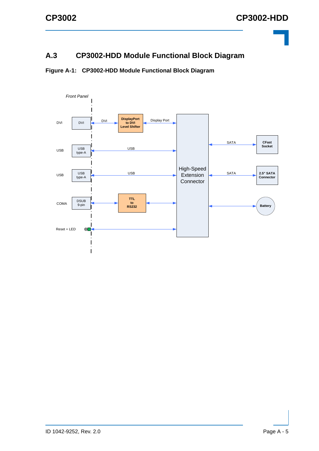# **A.3 CP3002-HDD Module Functional Block Diagram**

**Figure A-1: CP3002-HDD Module Functional Block Diagram**

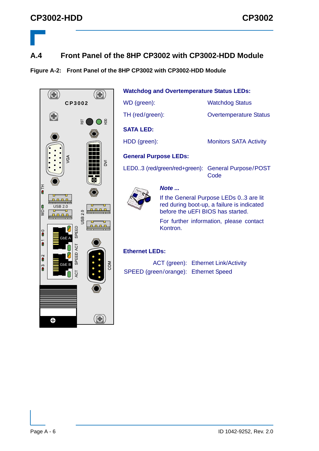

# **A.4 Front Panel of the 8HP CP3002 with CP3002-HDD Module**

### **Figure A-2: Front Panel of the 8HP CP3002 with CP3002-HDD Module**

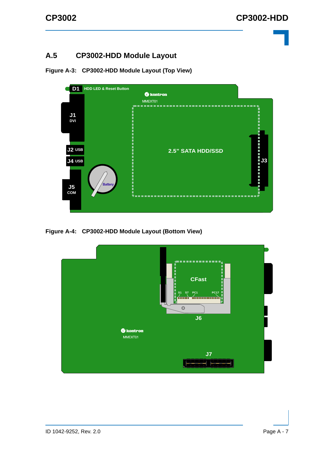# **A.5 CP3002-HDD Module Layout**

**Figure A-3: CP3002-HDD Module Layout (Top View)**



**Figure A-4: CP3002-HDD Module Layout (Bottom View)**

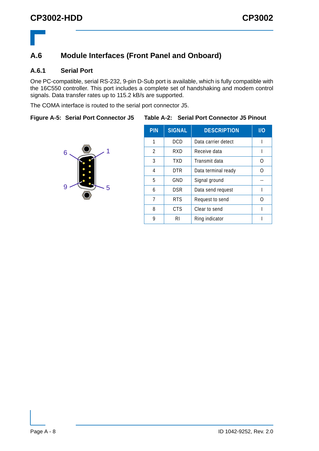# **A.6 Module Interfaces (Front Panel and Onboard)**

# **A.6.1 Serial Port**

One PC-compatible, serial RS-232, 9-pin D-Sub port is available, which is fully compatible with the 16C550 controller. This port includes a complete set of handshaking and modem control signals. Data transfer rates up to 115.2 kB/s are supported.

The COMA interface is routed to the serial port connector J5.

#### **Figure A-5: Serial Port Connector J5 Table A-2: Serial Port Connector J5 Pinout**



| <b>SIGNAL</b> | <b>DESCRIPTION</b>  | 1/O |
|---------------|---------------------|-----|
| <b>DCD</b>    | Data carrier detect |     |
| RXD           | Receive data        |     |
| TXD           | Transmit data       | Ω   |
| <b>DTR</b>    | Data terminal ready |     |
| GND           | Signal ground       |     |
| DSR           | Data send request   |     |
| <b>RTS</b>    | Request to send     |     |
| CTS           | Clear to send       |     |
| RI            | Ring indicator      |     |
|               |                     |     |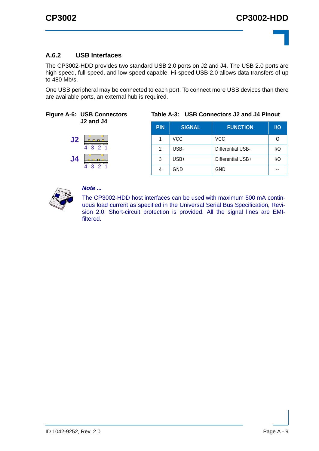

# **A.6.2 USB Interfaces**

The CP3002-HDD provides two standard USB 2.0 ports on J2 and J4. The USB 2.0 ports are high-speed, full-speed, and low-speed capable. Hi-speed USB 2.0 allows data transfers of up to 480 Mb/s.

One USB peripheral may be connected to each port. To connect more USB devices than there are available ports, an external hub is required.

**Figure A-6: USB Connectors J2 and J4**



| <b>PIN</b> | <b>SIGNAL</b> | <b>FUNCTION</b>   | 1/O |
|------------|---------------|-------------------|-----|
|            | <b>VCC</b>    | <b>VCC</b>        |     |
| 2          | USB-          | Differential USB- | 1/O |
| 3          | $USB+$        | Differential USB+ | 1/0 |
|            | GND           | GND               |     |

# **Table A-3: USB Connectors J2 and J4 Pinout**



### *Note ...*

The CP3002-HDD host interfaces can be used with maximum 500 mA continuous load current as specified in the Universal Serial Bus Specification, Revision 2.0. Short-circuit protection is provided. All the signal lines are EMIfiltered.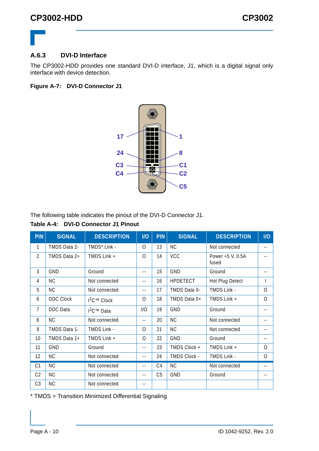# **A.6.3 DVI-D Interface**

The CP3002-HDD provides one standard DVI-D interface, J1, which is a digital signal only interface with device detection.

## **Figure A-7: DVI-D Connector J1**



The following table indicates the pinout of the DVI-D Connector J1.

# **Table A-4: DVI-D Connector J1 Pinout**

| <b>PIN</b>     | <b>SIGNAL</b>    | <b>DESCRIPTION</b> | 1/O                        | <b>PIN</b>     | <b>SIGNAL</b>   | <b>DESCRIPTION</b>        | 1/O      |
|----------------|------------------|--------------------|----------------------------|----------------|-----------------|---------------------------|----------|
| 1              | TMDS Data 2-     | TMDS* Link -       | $\Omega$                   | 13             | <b>NC</b>       | Not connected             | $- -$    |
| $\overline{2}$ | TMDS Data 2+     | TMDS Link +        | $\Omega$                   | 14             | <b>VCC</b>      | Power +5 V, 0.5A<br>fused |          |
| 3              | GND              | Ground             | $\overline{\phantom{a}}$ . | 15             | GND             | Ground                    | --       |
| 4              | <b>NC</b>        | Not connected      | $\overline{\phantom{a}}$ . | 16             | <b>HPDETECT</b> | Hot Plug Detect           |          |
| 5              | <b>NC</b>        | Not connected      | $- -$                      | 17             | TMDS Data 0-    | TMDS Link -               | $\Omega$ |
| 6              | <b>DDC Clock</b> | $1^2C^m$ Clock     | $\Omega$                   | 18             | TMDS Data 0+    | TMDS Link +               | $\Omega$ |
| 7              | <b>DDC</b> Data  | $I2C™$ Data        | I/O                        | 19             | GND             | Ground                    |          |
| 8              | <b>NC</b>        | Not connected      | $\overline{\phantom{a}}$ . | 20             | <b>NC</b>       | Not connected             | $ -$     |
| 9              | TMDS Data 1-     | TMDS Link -        | $\Omega$                   | 21             | <b>NC</b>       | Not connected             | $- -$    |
| 10             | TMDS Data 1+     | TMDS Link +        | 0                          | 22             | GND             | Ground                    |          |
| 11             | GND              | Ground             | $\overline{\phantom{a}}$ . | 23             | TMDS Clock +    | TMDS Link +               | $\Omega$ |
| 12             | <b>NC</b>        | Not connected      | $\overline{\phantom{a}}$ . | 24             | TMDS Clock -    | TMDS Link -               | $\Omega$ |
| C <sub>1</sub> | <b>NC</b>        | Not connected      | $\overline{\phantom{a}}$ . | C4             | <b>NC</b>       | Not connected             | $-$      |
| C <sub>2</sub> | <b>NC</b>        | Not connected      | $\overline{\phantom{a}}$ . | C <sub>5</sub> | GND             | Ground                    | --       |
| C3             | <b>NC</b>        | Not connected      | $\overline{\phantom{a}}$ . |                |                 |                           |          |

\* TMDS = Transition Minimized Differential Signaling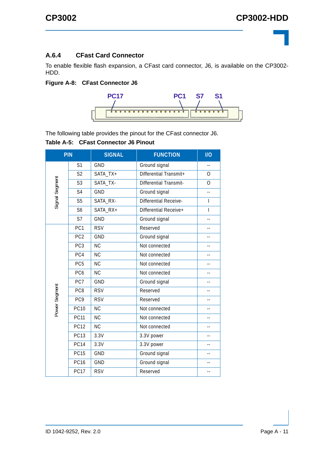

# **A.6.4 CFast Card Connector**

To enable flexible flash expansion, a CFast card connector, J6, is available on the CP3002- HDD.

# **Figure A-8: CFast Connector J6**



The following table provides the pinout for the CFast connector J6.

## **Table A-5: CFast Connector J6 Pinout**

| <b>PIN</b>     |                 | <b>SIGNAL</b> | <b>FUNCTION</b>              | 1/0            |
|----------------|-----------------|---------------|------------------------------|----------------|
|                | S <sub>1</sub>  | <b>GND</b>    | Ground signal                |                |
|                | S <sub>2</sub>  | SATA_TX+      | Differential Transmit+       | $\Omega$       |
|                | S <sub>3</sub>  | SATA_TX-      | Differential Transmit-       | $\overline{O}$ |
|                | S <sub>4</sub>  | <b>GND</b>    | Ground signal                | $\overline{a}$ |
| Signal Segment | S <sub>5</sub>  | SATA_RX-      | <b>Differential Receive-</b> | I              |
|                | S <sub>6</sub>  | SATA_RX+      | Differential Receive+        | I              |
|                | S7              | <b>GND</b>    | Ground signal                |                |
|                | PC1             | <b>RSV</b>    | Reserved                     |                |
|                | PC <sub>2</sub> | <b>GND</b>    | Ground signal                | $-$            |
|                | PC <sub>3</sub> | <b>NC</b>     | Not connected                | $\overline{a}$ |
|                | PC4             | <b>NC</b>     | Not connected                |                |
|                | PC <sub>5</sub> | <b>NC</b>     | Not connected                |                |
|                | PC <sub>6</sub> | <b>NC</b>     | Not connected                |                |
|                | PC7             | <b>GND</b>    | Ground signal                |                |
| Power Segment  | PC8             | <b>RSV</b>    | Reserved                     |                |
|                | PC9             | <b>RSV</b>    | Reserved                     | $\overline{a}$ |
|                | <b>PC10</b>     | <b>NC</b>     | Not connected                | $-$            |
|                | PC11            | <b>NC</b>     | Not connected                |                |
|                | <b>PC12</b>     | <b>NC</b>     | Not connected                | $-$            |
|                | <b>PC13</b>     | 3.3V          | 3.3V power                   | --             |
|                | PC14            | 3.3V          | 3.3V power                   | $-$            |
|                | <b>PC15</b>     | <b>GND</b>    | Ground signal                | $\overline{a}$ |
|                | <b>PC16</b>     | <b>GND</b>    | Ground signal                | $-$            |
|                | <b>PC17</b>     | <b>RSV</b>    | Reserved                     | $-$            |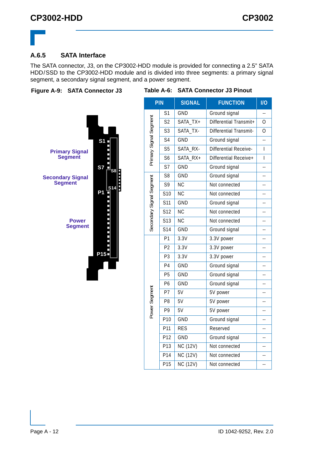# **A.6.5 SATA Interface**

The SATA connector, J3, on the CP3002-HDD module is provided for connecting a 2.5" SATA HDD/SSD to the CP3002-HDD module and is divided into three segments: a primary signal segment, a secondary signal segment, and a power segment.



### **PIN SIGNAL FUNCTION I/O** S1 GND Ground signal --Segment Primary Signal Segment S2 SATA\_TX+ Differential Transmit+ O S3 SATA\_TX- Differential Transmit- O Primary Signal S4 GND Ground signal --S5 SATA\_RX- Differential Receive- | I S6 | SATA\_RX+ | Differential Receive+ | I S7 GND Ground signal Fig. S8 GND Ground signal --Secondary Signal Segment Secondary Signal Segment S9 NC Not connected --S10 NC Not connected --S11 GND Ground signal --S12 NC Not connected --S13 NC Not connected --S14 GND Ground signal -- $P1$  3.3V 3.3V power  $\frac{1}{2}$  $P2 \mid 3.3V$  3.3V power  $\mid$  -- $P3$  3.3V 3.3V power --P4 GND Ground signal --P5 GND Ground signal Fig. P6 GND Ground signal contact and signal contact and Ground signal Power Segment Power Segment P7 5V 5V power --P8 5V 5V power -- $P9 \mid 5V$  5V power  $\sim$ P10 GND Ground signal Fig. P11 RES Reserved --P12 GND Ground signal Fig.  $P13 \mid NC(12V) \mid Not connected \qquad \qquad$  $P14$  NC (12V) Not connected  $\Box$  $P15 \mid NC(12V) \mid Not connected \qquad \qquad$

#### **Figure A-9: SATA Connector J3 Table A-6: SATA Connector J3 Pinout**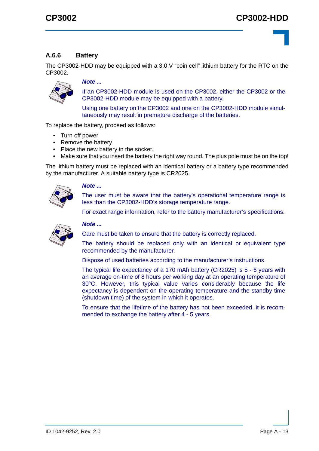# **A.6.6 Battery**

The CP3002-HDD may be equipped with a 3.0 V "coin cell" lithium battery for the RTC on the CP3002.



## *Note ...*

If an CP3002-HDD module is used on the CP3002, either the CP3002 or the CP3002-HDD module may be equipped with a battery.

Using one battery on the CP3002 and one on the CP3002-HDD module simultaneously may result in premature discharge of the batteries.

To replace the battery, proceed as follows:

- Turn off power
- Remove the battery
- Place the new battery in the socket.
- Make sure that you insert the battery the right way round. The plus pole must be on the top!

The lithium battery must be replaced with an identical battery or a battery type recommended by the manufacturer. A suitable battery type is CR2025.



## *Note ...*

The user must be aware that the battery's operational temperature range is less than the CP3002-HDD's storage temperature range.

For exact range information, refer to the battery manufacturer's specifications.



#### *Note ...*

Care must be taken to ensure that the battery is correctly replaced.

The battery should be replaced only with an identical or equivalent type recommended by the manufacturer.

Dispose of used batteries according to the manufacturer's instructions.

The typical life expectancy of a 170 mAh battery (CR2025) is 5 - 6 years with an average on-time of 8 hours per working day at an operating temperature of 30°C. However, this typical value varies considerably because the life expectancy is dependent on the operating temperature and the standby time (shutdown time) of the system in which it operates.

To ensure that the lifetime of the battery has not been exceeded, it is recommended to exchange the battery after 4 - 5 years.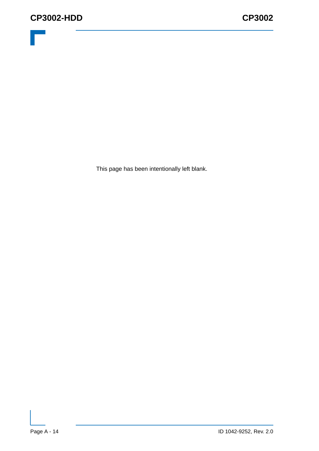This page has been intentionally left blank.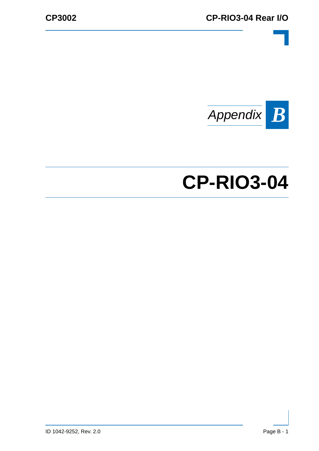

# **CP-RIO3-04**

ID 1042-9252, Rev. 2.0 Page B - 1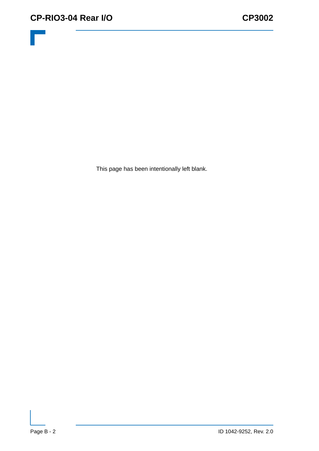

This page has been intentionally left blank.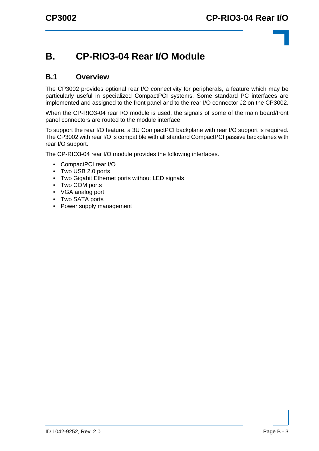# **B. CP-RIO3-04 Rear I/O Module**

# **B.1 Overview**

The CP3002 provides optional rear I/O connectivity for peripherals, a feature which may be particularly useful in specialized CompactPCI systems. Some standard PC interfaces are implemented and assigned to the front panel and to the rear I/O connector J2 on the CP3002.

When the CP-RIO3-04 rear I/O module is used, the signals of some of the main board/front panel connectors are routed to the module interface.

To support the rear I/O feature, a 3U CompactPCI backplane with rear I/O support is required. The CP3002 with rear I/O is compatible with all standard CompactPCI passive backplanes with rear I/O support.

The CP-RIO3-04 rear I/O module provides the following interfaces.

- CompactPCI rear I/O
- Two USB 2.0 ports
- Two Gigabit Ethernet ports without LED signals
- Two COM ports
- VGA analog port
- Two SATA ports
- Power supply management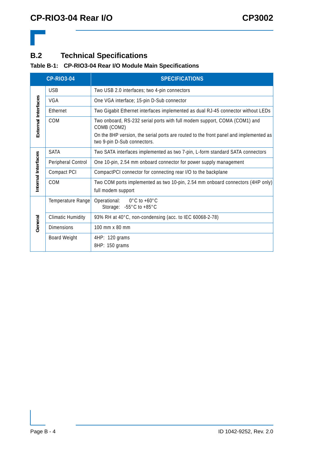

# **B.2 Technical Specifications**

# **Table B-1: CP-RIO3-04 Rear I/O Module Main Specifications**

|                     | <b>CP-RIO3-04</b>        | <b>SPECIFICATIONS</b>                                                                                                |  |  |
|---------------------|--------------------------|----------------------------------------------------------------------------------------------------------------------|--|--|
|                     | <b>USB</b>               | Two USB 2.0 interfaces; two 4-pin connectors                                                                         |  |  |
|                     | <b>VGA</b>               | One VGA interface; 15-pin D-Sub connector                                                                            |  |  |
|                     | Ethernet                 | Two Gigabit Ethernet interfaces implemented as dual RJ-45 connector without LEDs                                     |  |  |
| External Interfaces | COM                      | Two onboard, RS-232 serial ports with full modem support, COMA (COM1) and<br>COMB (COM2)                             |  |  |
|                     |                          | On the 8HP version, the serial ports are routed to the front panel and implemented as<br>two 9-pin D-Sub connectors. |  |  |
|                     | <b>SATA</b>              | Two SATA interfaces implemented as two 7-pin, L-form standard SATA connectors                                        |  |  |
|                     | Peripheral Control       | One 10-pin, 2.54 mm onboard connector for power supply management                                                    |  |  |
|                     | Compact PCI              | CompactPCI connector for connecting rear I/O to the backplane                                                        |  |  |
| Internal Interfaces | COM                      | Two COM ports implemented as two 10-pin, 2.54 mm onboard connectors (4HP only)<br>full modem support                 |  |  |
|                     | Temperature Range        | Operational:<br>$0^{\circ}$ C to +60 $^{\circ}$ C<br>Storage: -55°C to +85°C                                         |  |  |
|                     | <b>Climatic Humidity</b> | 93% RH at 40°C, non-condensing (acc. to IEC 60068-2-78)                                                              |  |  |
| General             | <b>Dimensions</b>        | 100 mm x 80 mm                                                                                                       |  |  |
|                     | Board Weight             | 4HP: 120 grams                                                                                                       |  |  |
|                     |                          | 8HP: 150 grams                                                                                                       |  |  |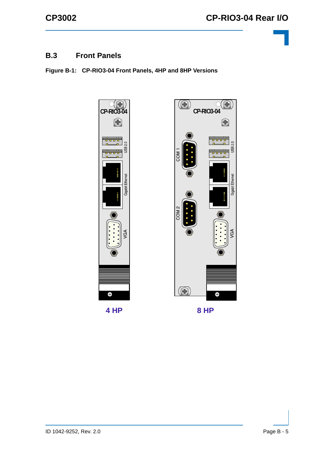

# **B.3 Front Panels**

**Figure B-1: CP-RIO3-04 Front Panels, 4HP and 8HP Versions**

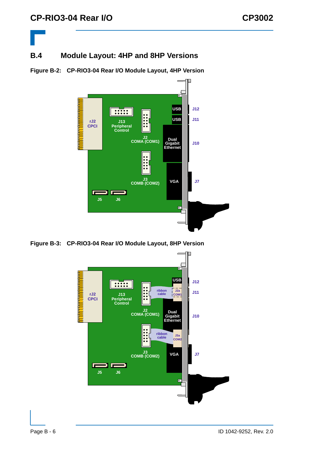

# **B.4 Module Layout: 4HP and 8HP Versions**

**Figure B-2: CP-RIO3-04 Rear I/O Module Layout, 4HP Version**



**Figure B-3: CP-RIO3-04 Rear I/O Module Layout, 8HP Version** 

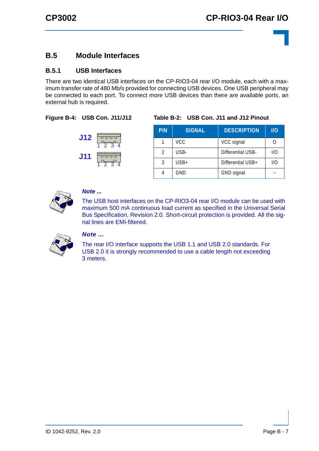# **B.5 Module Interfaces**

# **B.5.1 USB Interfaces**

There are two identical USB interfaces on the CP-RIO3-04 rear I/O module, each with a maximum transfer rate of 480 Mb/s provided for connecting USB devices. One USB peripheral may be connected to each port. To connect more USB devices than there are available ports, an external hub is required.

### **Figure B-4: USB Con. J11/J12**



| <b>PIN</b> | <b>SIGNAL</b> | <b>DESCRIPTION</b> | $\overline{1}$ |
|------------|---------------|--------------------|----------------|
|            | <b>VCC</b>    | VCC signal         |                |
| 2          | USB-          | Differential USB-  | I/O            |
| 3          | $USB+$        | Differential USB+  | I/O            |
|            | GND           | GND signal         |                |

**Table B-2: USB Con. J11 and J12 Pinout**



### *Note ...*

The USB host interfaces on the CP-RIO3-04 rear I/O module can be used with maximum 500 mA continuous load current as specified in the Universal Serial Bus Specification, Revision 2.0. Short-circuit protection is provided. All the signal lines are EMI-filtered.



## *Note ...*

The rear I/O interface supports the USB 1.1 and USB 2.0 standards. For USB 2.0 it is strongly recommended to use a cable length not exceeding 3 meters.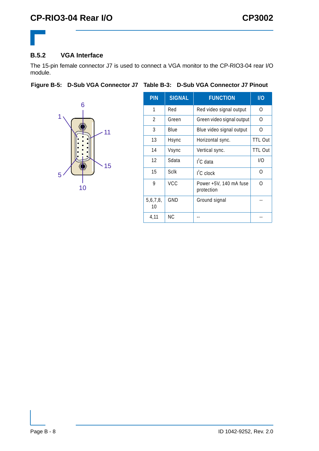

# **B.5.2 VGA Interface**

The 15-pin female connector J7 is used to connect a VGA monitor to the CP-RIO3-04 rear I/O module.



| <b>PIN</b>     | <b>SIGNAL</b> | <b>FUNCTION</b>                      | 1/O            |
|----------------|---------------|--------------------------------------|----------------|
| 1              | Red           | Red video signal output              | ∩              |
| $\mathfrak{D}$ | Green         | Green video signal output            | Ω              |
| 3              | Blue          | Blue video signal output             | Ω              |
| 13             | Hsync         | Horizontal sync.                     | <b>TTL Out</b> |
| 14             | Vsync         | Vertical sync.                       | <b>TTL Out</b> |
| 12             | Sdata         | $I^2C$ data                          | 1/O            |
| 15             | Sclk          | $I^2C$ clock                         | Ω              |
| 9              | <b>VCC</b>    | Power +5V, 140 mA fuse<br>protection | ∩              |
| 5,6,7,8,<br>10 | GND           | Ground signal                        |                |
| 4,11           | ΝC            |                                      |                |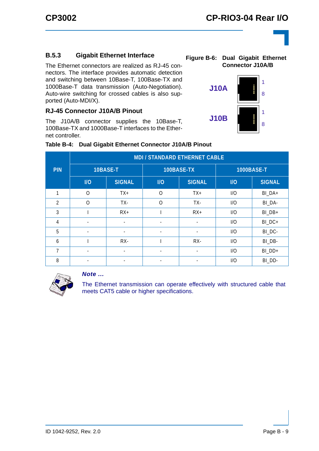

# **B.5.3 Gigabit Ethernet Interface**

The Ethernet connectors are realized as RJ-45 connectors. The interface provides automatic detection and switching between 10Base-T, 100Base-TX and 1000Base-T data transmission (Auto-Negotiation). Auto-wire switching for crossed cables is also supported (Auto-MDI/X).

# **RJ-45 Connector J10A/B Pinout**

The J10A/B connector supplies the 10Base-T, 100Base-TX and 1000Base-T interfaces to the Ethernet controller.

|                | <b>MDI / STANDARD ETHERNET CABLE</b> |                          |                          |                          |            |               |
|----------------|--------------------------------------|--------------------------|--------------------------|--------------------------|------------|---------------|
| <b>PIN</b>     | 10BASE-T                             |                          | 100BASE-TX               |                          | 1000BASE-T |               |
|                | I/O                                  | <b>SIGNAL</b>            | 1/0                      | <b>SIGNAL</b>            | I/O        | <b>SIGNAL</b> |
| 1              | $\Omega$                             | $TX+$                    | $\Omega$                 | $TX+$                    | I/O        | BI_DA+        |
| $\overline{2}$ | $\Omega$                             | TX-                      | $\Omega$                 | TX-                      | I/O        | BI_DA-        |
| 3              |                                      | $RX+$                    |                          | $RX+$                    | 1/0        | BI_DB+        |
| 4              | $\overline{\phantom{a}}$             | $\overline{\phantom{a}}$ | $\overline{\phantom{a}}$ | $\overline{\phantom{a}}$ | 1/0        | $BI\_DC+$     |
| 5              | $\overline{\phantom{a}}$             | $\overline{\phantom{a}}$ | $\overline{\phantom{a}}$ | $\overline{\phantom{a}}$ | I/O        | BI_DC-        |
| 6              |                                      | RX-                      |                          | RX-                      | I/O        | BI_DB-        |
| $\overline{7}$ |                                      |                          |                          |                          | 1/0        | $BI_DD+$      |
| 8              | $\overline{\phantom{a}}$             | $\overline{\phantom{a}}$ | -                        |                          | I/O        | BI_DD-        |

### **Table B-4: Dual Gigabit Ethernet Connector J10A/B Pinout**



## *Note ...*

The Ethernet transmission can operate effectively with structured cable that meets CAT5 cable or higher specifications.

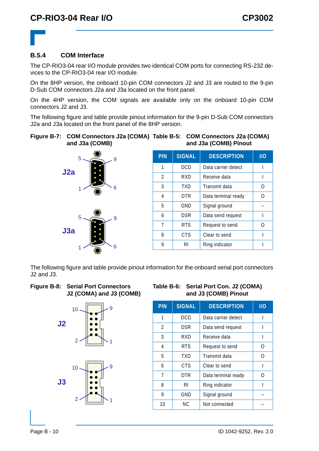# **B.5.4 COM Interface**

The CP-RIO3-04 rear I/O module provides two identical COM ports for connecting RS-232 devices to the CP-RIO3-04 rear I/O module.

On the 8HP version, the onboard 10-pin COM connectors J2 and J3 are routed to the 9-pin D-Sub COM connectors J2a and J3a located on the front panel.

On the 4HP version, the COM signals are available only on the onboard 10-pin COM connectors J2 and J3.

The following figure and table provide pinout information for the 9-pin D-Sub COM connectors J2a and J3a located on the front panel of the 8HP version.

**Figure B-7: COM Connectors J2a (COMA) Table B-5: COM Connectors J2a (COMA) and J3a (COMB) and J3a (COMB) Pinout**



| <b>PIN</b> | <b>SIGNAL</b> | <b>DESCRIPTION</b>  | 1/O |
|------------|---------------|---------------------|-----|
| 1          | <b>DCD</b>    | Data carrier detect |     |
| 2          | RXD           | Receive data        |     |
| 3          | <b>TXD</b>    | Transmit data       | Ω   |
| 4          | DTR           | Data terminal ready | 0   |
| 5          | GND           | Signal ground       |     |
| 6          | DSR           | Data send request   |     |
| 7          | <b>RTS</b>    | Request to send     | ∩   |
| 8          | CTS           | Clear to send       |     |
| 9          | RI            | Ring indicator      |     |

The following figure and table provide pinout information for the onboard serial port connectors J2 and J3.





### **Table B-6: Serial Port Con. J2 (COMA) and J3 (COMB) Pinout**

| PIN            | <b>SIGNAL</b> | <b>DESCRIPTION</b>  | I/O |
|----------------|---------------|---------------------|-----|
| 1              | <b>DCD</b>    | Data carrier detect |     |
| $\overline{2}$ | DSR           | Data send request   | I   |
| 3              | RXD           | Receive data        |     |
| 4              | <b>RTS</b>    | Request to send     | Ω   |
| 5              | <b>TXD</b>    | Transmit data       | Ω   |
| 6              | <b>CTS</b>    | Clear to send       |     |
| $\overline{7}$ | DTR           | Data terminal ready | O   |
| 8              | RI            | Ring indicator      |     |
| 9              | <b>GND</b>    | Signal ground       |     |
| 10             | NC.           | Not connected       |     |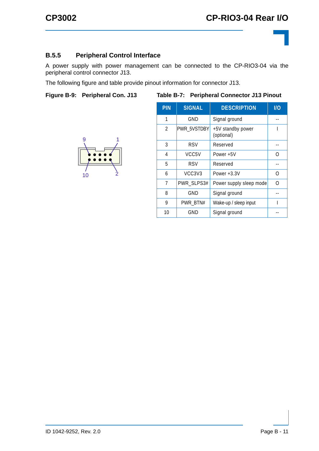

A power supply with power management can be connected to the CP-RIO3-04 via the peripheral control connector J13.

The following figure and table provide pinout information for connector J13.

## **Figure B-9: Peripheral Con. J13**

### **Table B-7: Peripheral Connector J13 Pinout**



| <b>PIN</b>     | <b>SIGNAL</b> | <b>DESCRIPTION</b>              | 1/O |
|----------------|---------------|---------------------------------|-----|
| 1              | GND           | Signal ground                   |     |
| $\overline{2}$ | PWR_5VSTDBY   | +5V standby power<br>(optional) |     |
| 3              | <b>RSV</b>    | Reserved                        |     |
| 4              | VCC5V         | Power $+5V$                     | ∩   |
| 5              | <b>RSV</b>    | Reserved                        |     |
| 6              | VCC3V3        | Power $+3.3V$                   | Ω   |
| 7              | PWR_SLPS3#    | Power supply sleep mode         | Ω   |
| 8              | GND           | Signal ground                   |     |
| 9              | PWR_BTN#      | Wake-up / sleep input           |     |
| 10             | GND           | Signal ground                   |     |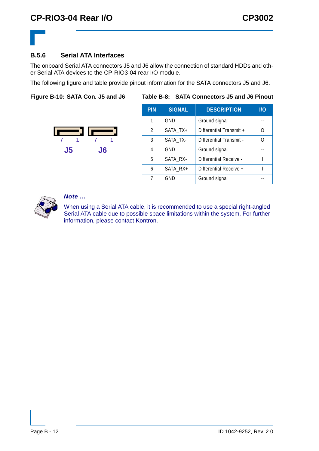# **B.5.6 Serial ATA Interfaces**

The onboard Serial ATA connectors J5 and J6 allow the connection of standard HDDs and other Serial ATA devices to the CP-RIO3-04 rear I/O module.

The following figure and table provide pinout information for the SATA connectors J5 and J6.

## **Figure B-10: SATA Con. J5 and J6**



| <b>PIN</b> | <b>SIGNAL</b> | <b>DESCRIPTION</b>      | 1/O |
|------------|---------------|-------------------------|-----|
| 1          | GND           | Ground signal           |     |
| 2          | SATA_TX+      | Differential Transmit + |     |
| 3          | SATA_TX-      | Differential Transmit - |     |
| 4          | GND           | Ground signal           |     |
| 5          | SATA_RX-      | Differential Receive -  |     |
| 6          | SATA_RX+      | Differential Receive +  |     |
|            | GND           | Ground signal           |     |

#### **Table B-8: SATA Connectors J5 and J6 Pinout**



# *Note ...*

When using a Serial ATA cable, it is recommended to use a special right-angled Serial ATA cable due to possible space limitations within the system. For further information, please contact Kontron.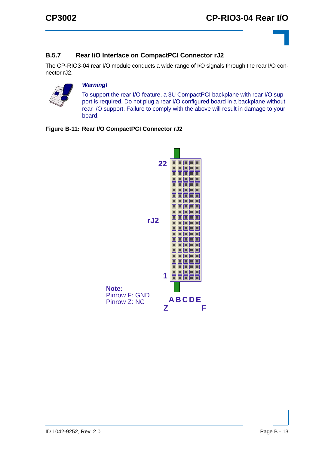## **B.5.7 Rear I/O Interface on CompactPCI Connector rJ2**

The CP-RIO3-04 rear I/O module conducts a wide range of I/O signals through the rear I/O connector rJ2.



## *Warning!*

To support the rear I/O feature, a 3U CompactPCI backplane with rear I/O support is required. Do not plug a rear I/O configured board in a backplane without rear I/O support. Failure to comply with the above will result in damage to your board.

**Figure B-11: Rear I/O CompactPCI Connector rJ2**

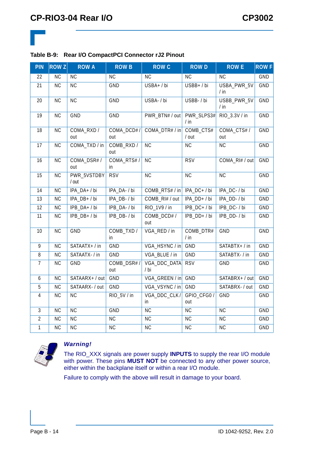

### **Table B-9: Rear I/O CompactPCI Connector rJ2 Pinout**

| <b>PIN</b>      | <b>ROW Z</b>           | <b>ROWA</b>            | <b>ROW B</b>           | <b>ROW C</b>           | <b>ROWD</b>                       | <b>ROWE</b>            | <b>ROWF</b> |
|-----------------|------------------------|------------------------|------------------------|------------------------|-----------------------------------|------------------------|-------------|
| 22              | <b>NC</b>              | <b>NC</b>              | <b>NC</b>              | <b>NC</b>              | <b>NC</b>                         | <b>NC</b>              | GND         |
| $\overline{21}$ | NC                     | $\overline{\text{NC}}$ | <b>GND</b>             | $USBA+ / bi$           | $USBB+ / bi$                      | USBA_PWR_5V<br>$/$ in  | <b>GND</b>  |
| 20              | <b>NC</b>              | <b>NC</b>              | <b>GND</b>             | USBA- / bi             | $USBB-$ /bi                       | USBB_PWR_5V<br>$/$ in  | GND         |
| 19              | NC                     | GND                    | GND                    | PWR_BTN# / out         | PWR_SLPS3#<br>$/$ in              | RIO_3.3V / in          | GND         |
| $\overline{18}$ | NC                     | COMA_RXD /<br>out      | COMA_DCD#/<br>out      | COMA_DTR# / in         | COMB_CTS#<br>/ out                | COMA_CTS#/<br>out      | <b>GND</b>  |
| 17              | <b>NC</b>              | COMA_TXD / in          | COMB_RXD /<br>out      | <b>NC</b>              | <b>NC</b>                         | <b>NC</b>              | GND         |
| 16              | NC                     | COMA_DSR#/<br>out      | COMA_RTS#/<br>in.      | <b>NC</b>              | <b>RSV</b>                        | COMA_RI# / out         | GND         |
| 15              | NC                     | PWR_5VSTDBY<br>/ out   | <b>RSV</b>             | NC                     | NC                                | NC                     | <b>GND</b>  |
| 14              | <b>NC</b>              | IPA_DA+ / bi           | IPA_DA- / bi           | $COMB_RTS#/in$         | IPA_DC+ / bi                      | IPA_DC- / bi           | <b>GND</b>  |
| 13              | NC                     | IPA_DB+ / bi           | IPA_DB- / bi           | COMB_RI# / out         | IPA_DD+ / bi                      | IPA_DD- / bi           | GND         |
| 12              | $\overline{\text{NC}}$ | IPB_DA+ / bi           | IPB_DA- / bi           | RIO_1V9 / in           | $\overline{\text{IPB\_DC+}}$ / bi | IPB_DC-/bi             | <b>GND</b>  |
| $\overline{11}$ | NC                     | $IPB$ _DB+ / bi        | IPB_DB-/bi             | COMB_DCD#/<br>out      | $IPB$ $DD+$ / bi                  | IPB_DD-/bi             | <b>GND</b>  |
| 10              | $\overline{\text{NC}}$ | <b>GND</b>             | COMB_TXD /<br>in       | VGA_RED / in           | COMB_DTR#<br>$/$ in               | <b>GND</b>             | <b>GND</b>  |
| $\overline{9}$  | $\overline{\text{NC}}$ | SATAATX+ / in          | <b>GND</b>             | VGA_HSYNC / in         | <b>GND</b>                        | SATABTX+/in            | <b>GND</b>  |
| $\overline{8}$  | NC                     | SATAATX- / in          | <b>GND</b>             | VGA_BLUE / in          | <b>GND</b>                        | SATABTX- / in          | <b>GND</b>  |
| $\overline{7}$  | $\overline{\text{NC}}$ | <b>GND</b>             | COMB_DSR#/<br>out      | VGA DDC DATA<br>/ bi   | <b>RSV</b>                        | <b>GND</b>             | <b>GND</b>  |
| 6               | $\overline{\text{NC}}$ | SATAARX+ / out         | <b>GND</b>             | VGA_GREEN / in         | <b>GND</b>                        | SATABRX+ / out         | <b>GND</b>  |
| $\overline{5}$  | NC                     | SATAARX- / out         | <b>GND</b>             | VGA_VSYNC / in         | <b>GND</b>                        | SATABRX- / out         | <b>GND</b>  |
| $\overline{4}$  | NC                     | $\overline{\text{NC}}$ | RIO_5V / in            | VGA_DDC_CLK/<br>in.    | GPIO_CFG0/<br>out                 | <b>GND</b>             | <b>GND</b>  |
| $\overline{3}$  | <b>NC</b>              | $\overline{\text{NC}}$ | GND                    | $\overline{\text{NC}}$ | $\overline{\text{NC}}$            | $\overline{\text{NC}}$ | GND         |
| $\overline{2}$  | NC                     | $\overline{\text{NC}}$ | $\overline{\text{NC}}$ | <b>NC</b>              | $\overline{\text{NC}}$            | $\overline{\text{NC}}$ | <b>GND</b>  |
| $\overline{1}$  | $\overline{\text{NC}}$ | $\overline{\text{NC}}$ | NC                     | $\overline{\text{NC}}$ | $\overline{\text{NC}}$            | $\overline{\text{NC}}$ | <b>GND</b>  |



# *Warning!*

The RIO\_XXX signals are power supply **INPUTS** to supply the rear I/O module with power. These pins **MUST NOT** be connected to any other power source, either within the backplane itself or within a rear I/O module.

Failure to comply with the above will result in damage to your board.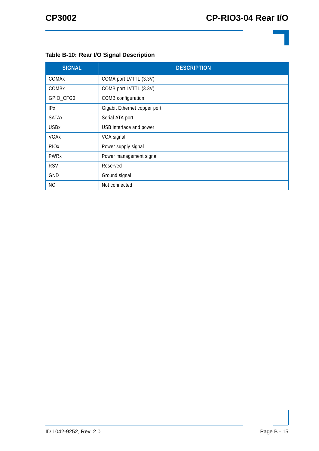# **Table B-10: Rear I/O Signal Description**

| <b>SIGNAL</b>          | <b>DESCRIPTION</b>           |
|------------------------|------------------------------|
| COMAx                  | COMA port LVTTL (3.3V)       |
| COMBX                  | COMB port LVTTL (3.3V)       |
| GPIO_CFG0              | COMB configuration           |
| <b>IPx</b>             | Gigabit Ethernet copper port |
| <b>SATAx</b>           | Serial ATA port              |
| <b>USBx</b>            | USB interface and power      |
| VGAx                   | VGA signal                   |
| <b>RIO<sub>x</sub></b> | Power supply signal          |
| <b>PWR<sub>x</sub></b> | Power management signal      |
| <b>RSV</b>             | Reserved                     |
| GND                    | Ground signal                |
| <b>NC</b>              | Not connected                |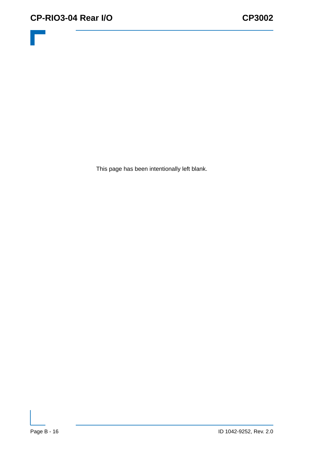

This page has been intentionally left blank.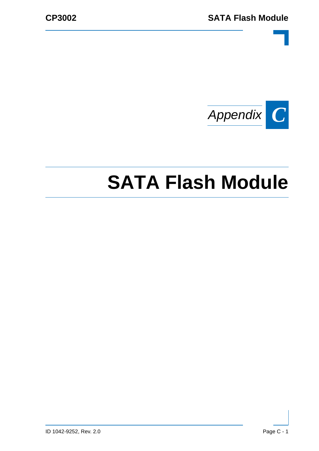

# **SATA Flash Module**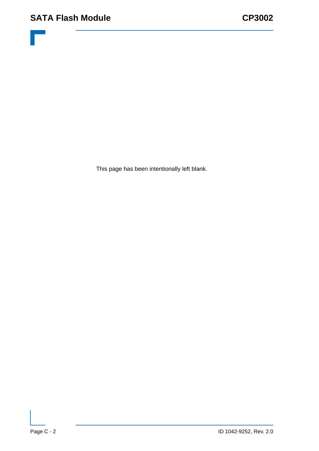

This page has been intentionally left blank.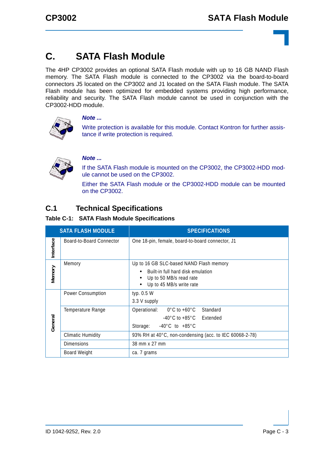# **C. SATA Flash Module**

The 4HP CP3002 provides an optional SATA Flash module with up to 16 GB NAND Flash memory. The SATA Flash module is connected to the CP3002 via the board-to-board connectors J5 located on the CP3002 and J1 located on the SATA Flash module. The SATA Flash module has been optimized for embedded systems providing high performance, reliability and security. The SATA Flash module cannot be used in conjunction with the CP3002-HDD module.



## *Note ...*

Write protection is available for this module. Contact Kontron for further assistance if write protection is required.



## *Note ...*

If the SATA Flash module is mounted on the CP3002, the CP3002-HDD module cannot be used on the CP3002.

Either the SATA Flash module or the CP3002-HDD module can be mounted on the CP3002.

# **C.1 Technical Specifications**

#### **Table C-1: SATA Flash Module Specifications**

|           | <b>SATA FLASH MODULE</b> | <b>SPECIFICATIONS</b>                                                                                                               |  |  |
|-----------|--------------------------|-------------------------------------------------------------------------------------------------------------------------------------|--|--|
| Interface | Board-to-Board Connector | One 18-pin, female, board-to-board connector, J1                                                                                    |  |  |
| Memory    | Memory                   | Up to 16 GB SLC-based NAND Flash memory<br>Built-in full hard disk emulation<br>Up to 50 MB/s read rate<br>Up to 45 MB/s write rate |  |  |
| General   | Power Consumption        | typ. 0.5 W<br>3.3 V supply                                                                                                          |  |  |
|           | Temperature Range        | Operational: 0°C to +60°C Standard<br>-40°C to +85°C Extended<br>Storage:<br>-40°C to +85°C                                         |  |  |
|           | <b>Climatic Humidity</b> | 93% RH at 40°C, non-condensing (acc. to IEC 60068-2-78)                                                                             |  |  |
|           | <b>Dimensions</b>        | 38 mm x 27 mm                                                                                                                       |  |  |
|           | <b>Board Weight</b>      | ca. 7 grams                                                                                                                         |  |  |